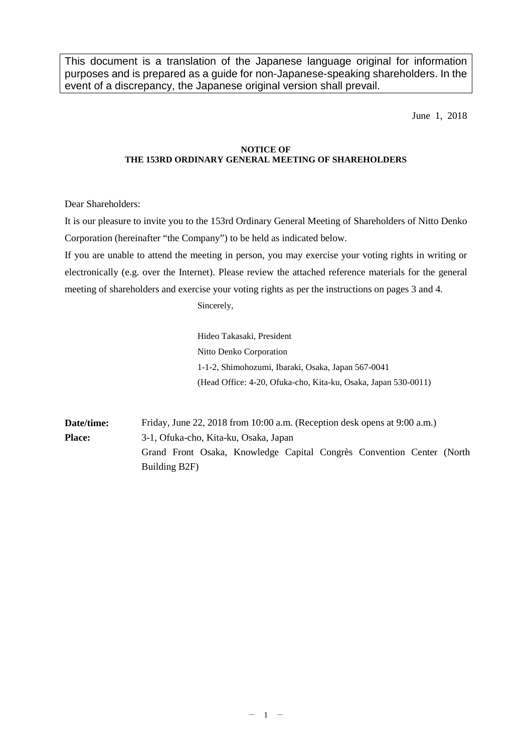This document is a translation of the Japanese language original for information purposes and is prepared as a guide for non-Japanese-speaking shareholders. In the event of a discrepancy, the Japanese original version shall prevail.

June 1, 2018

#### **NOTICE OF THE 153RD ORDINARY GENERAL MEETING OF SHAREHOLDERS**

Dear Shareholders:

It is our pleasure to invite you to the 153rd Ordinary General Meeting of Shareholders of Nitto Denko Corporation (hereinafter "the Company") to be held as indicated below.

If you are unable to attend the meeting in person, you may exercise your voting rights in writing or electronically (e.g. over the Internet). Please review the attached reference materials for the general meeting of shareholders and exercise your voting rights as per the instructions on pages 3 and 4.

Sincerely,

Hideo Takasaki, President Nitto Denko Corporation 1-1-2, Shimohozumi, Ibaraki, Osaka, Japan 567-0041 (Head Office: 4-20, Ofuka-cho, Kita-ku, Osaka, Japan 530-0011)

**Date/time:** Friday, June 22, 2018 from 10:00 a.m. (Reception desk opens at 9:00 a.m.) **Place:** 3-1, Ofuka-cho, Kita-ku, Osaka, Japan Grand Front Osaka, Knowledge Capital Congrès Convention Center (North Building B2F)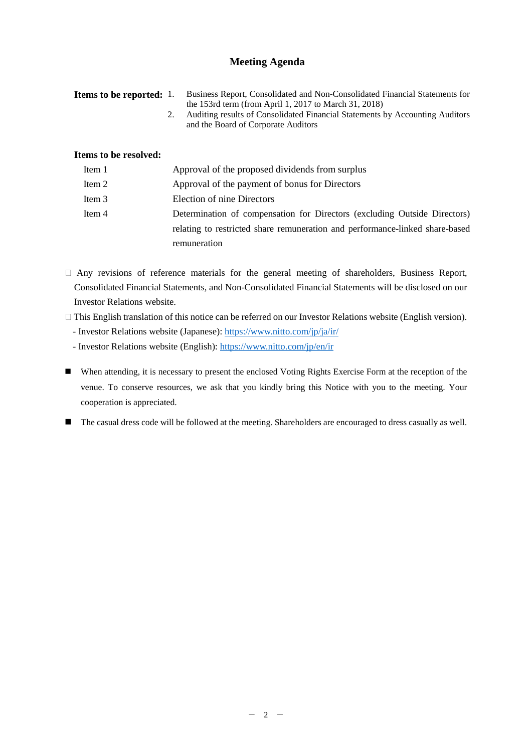# **Meeting Agenda**

| <b>Items to be reported:</b> 1. | Business Report, Consolidated and Non-Consolidated Financial Statements for<br>the 153rd term (from April 1, 2017 to March 31, 2018)<br>Auditing results of Consolidated Financial Statements by Accounting Auditors<br>2.<br>and the Board of Corporate Auditors |
|---------------------------------|-------------------------------------------------------------------------------------------------------------------------------------------------------------------------------------------------------------------------------------------------------------------|
| Items to be resolved:           |                                                                                                                                                                                                                                                                   |
| Item 1                          | Approval of the proposed dividends from surplus                                                                                                                                                                                                                   |
| Item 2                          | Approval of the payment of bonus for Directors                                                                                                                                                                                                                    |
| Item 3                          | Election of nine Directors                                                                                                                                                                                                                                        |
| Item 4                          | Determination of compensation for Directors (excluding Outside Directors)                                                                                                                                                                                         |

relating to restricted share remuneration and performance-linked share-based remuneration

 $\Box$  Any revisions of reference materials for the general meeting of shareholders, Business Report, Consolidated Financial Statements, and Non-Consolidated Financial Statements will be disclosed on our Investor Relations website.

� This English translation of this notice can be referred on our Investor Relations website (English version).

- Investor Relations website (Japanese):<https://www.nitto.com/jp/ja/ir/>

- Investor Relations website (English):<https://www.nitto.com/jp/en/ir>

 When attending, it is necessary to present the enclosed Voting Rights Exercise Form at the reception of the venue. To conserve resources, we ask that you kindly bring this Notice with you to the meeting. Your cooperation is appreciated.

The casual dress code will be followed at the meeting. Shareholders are encouraged to dress casually as well.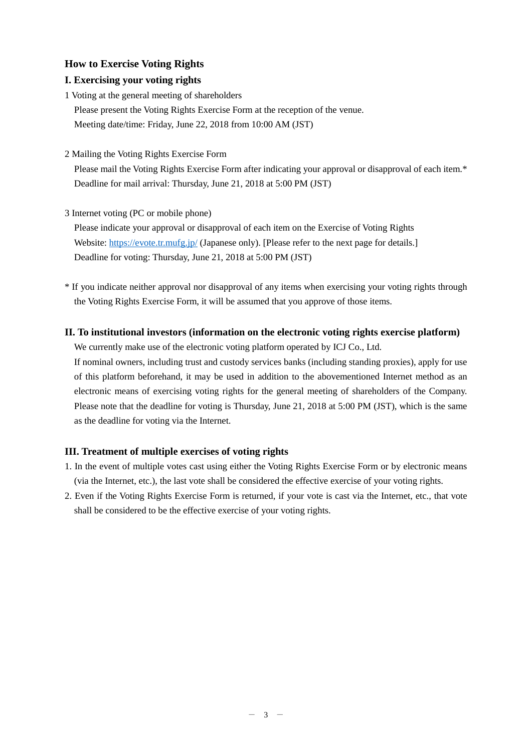## **How to Exercise Voting Rights**

## **I. Exercising your voting rights**

1 Voting at the general meeting of shareholders Please present the Voting Rights Exercise Form at the reception of the venue. Meeting date/time: Friday, June 22, 2018 from 10:00 AM (JST)

2 Mailing the Voting Rights Exercise Form

Please mail the Voting Rights Exercise Form after indicating your approval or disapproval of each item.\* Deadline for mail arrival: Thursday, June 21, 2018 at 5:00 PM (JST)

3 Internet voting (PC or mobile phone)

Please indicate your approval or disapproval of each item on the Exercise of Voting Rights Website:<https://evote.tr.mufg.jp/> (Japanese only). [Please refer to the next page for details.] Deadline for voting: Thursday, June 21, 2018 at 5:00 PM (JST)

\* If you indicate neither approval nor disapproval of any items when exercising your voting rights through the Voting Rights Exercise Form, it will be assumed that you approve of those items.

## **II. To institutional investors (information on the electronic voting rights exercise platform)**

We currently make use of the electronic voting platform operated by ICJ Co., Ltd.

If nominal owners, including trust and custody services banks (including standing proxies), apply for use of this platform beforehand, it may be used in addition to the abovementioned Internet method as an electronic means of exercising voting rights for the general meeting of shareholders of the Company. Please note that the deadline for voting is Thursday, June 21, 2018 at 5:00 PM (JST), which is the same as the deadline for voting via the Internet.

## **III. Treatment of multiple exercises of voting rights**

- 1. In the event of multiple votes cast using either the Voting Rights Exercise Form or by electronic means (via the Internet, etc.), the last vote shall be considered the effective exercise of your voting rights.
- 2. Even if the Voting Rights Exercise Form is returned, if your vote is cast via the Internet, etc., that vote shall be considered to be the effective exercise of your voting rights.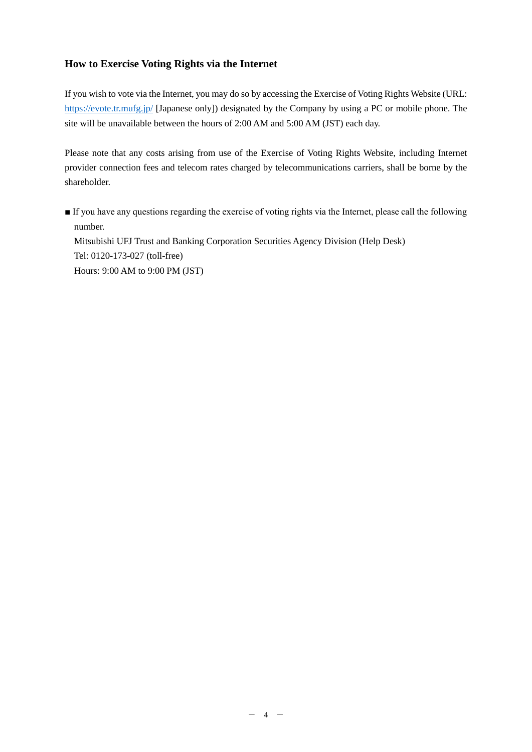# **How to Exercise Voting Rights via the Internet**

If you wish to vote via the Internet, you may do so by accessing the Exercise of Voting Rights Website (URL: <https://evote.tr.mufg.jp/> [Japanese only]) designated by the Company by using a PC or mobile phone. The site will be unavailable between the hours of 2:00 AM and 5:00 AM (JST) each day.

Please note that any costs arising from use of the Exercise of Voting Rights Website, including Internet provider connection fees and telecom rates charged by telecommunications carriers, shall be borne by the shareholder.

■ If you have any questions regarding the exercise of voting rights via the Internet, please call the following number. Mitsubishi UFJ Trust and Banking Corporation Securities Agency Division (Help Desk) Tel: 0120-173-027 (toll-free) Hours: 9:00 AM to 9:00 PM (JST)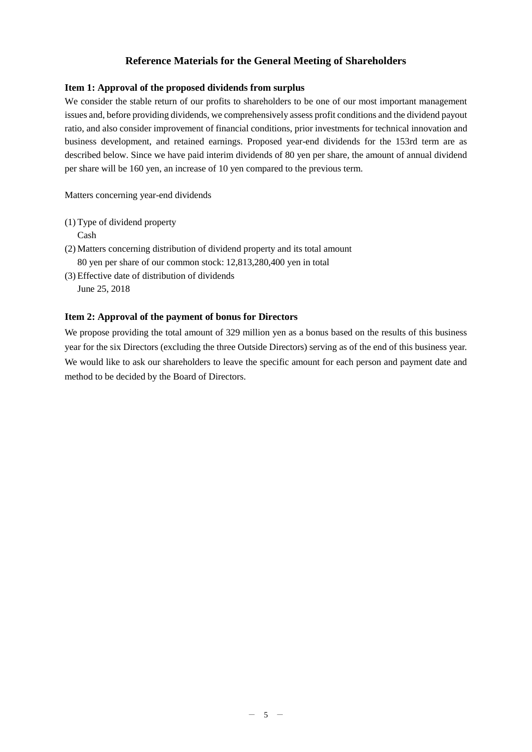# **Reference Materials for the General Meeting of Shareholders**

### **Item 1: Approval of the proposed dividends from surplus**

We consider the stable return of our profits to shareholders to be one of our most important management issues and, before providing dividends, we comprehensively assess profit conditions and the dividend payout ratio, and also consider improvement of financial conditions, prior investments for technical innovation and business development, and retained earnings. Proposed year-end dividends for the 153rd term are as described below. Since we have paid interim dividends of 80 yen per share, the amount of annual dividend per share will be 160 yen, an increase of 10 yen compared to the previous term.

Matters concerning year-end dividends

(1) Type of dividend property

Cash

- (2) Matters concerning distribution of dividend property and its total amount 80 yen per share of our common stock: 12,813,280,400 yen in total
- (3) Effective date of distribution of dividends

June 25, 2018

## **Item 2: Approval of the payment of bonus for Directors**

We propose providing the total amount of 329 million yen as a bonus based on the results of this business year for the six Directors (excluding the three Outside Directors) serving as of the end of this business year. We would like to ask our shareholders to leave the specific amount for each person and payment date and method to be decided by the Board of Directors.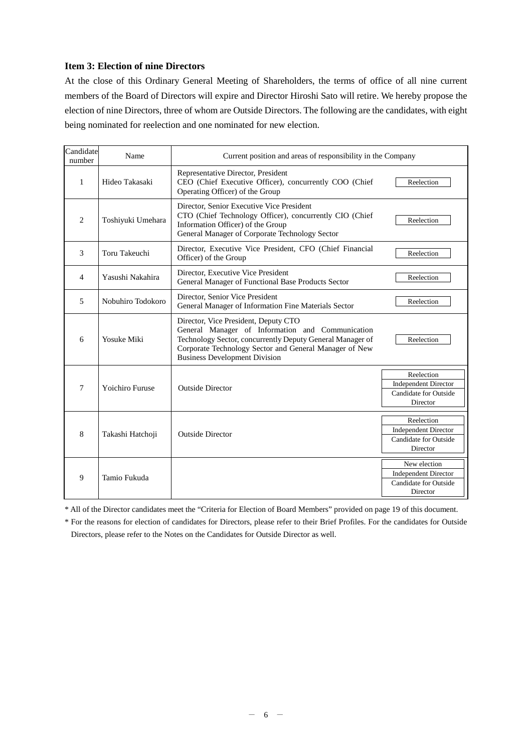## **Item 3: Election of nine Directors**

At the close of this Ordinary General Meeting of Shareholders, the terms of office of all nine current members of the Board of Directors will expire and Director Hiroshi Sato will retire. We hereby propose the election of nine Directors, three of whom are Outside Directors. The following are the candidates, with eight being nominated for reelection and one nominated for new election.

| Candidate<br>number | Name                   | Current position and areas of responsibility in the Company                                                                                                                                                                                             |                                                                                         |
|---------------------|------------------------|---------------------------------------------------------------------------------------------------------------------------------------------------------------------------------------------------------------------------------------------------------|-----------------------------------------------------------------------------------------|
| 1                   | Hideo Takasaki         | Representative Director, President<br>CEO (Chief Executive Officer), concurrently COO (Chief<br>Operating Officer) of the Group                                                                                                                         | Reelection                                                                              |
| $\overline{2}$      | Toshiyuki Umehara      | Director, Senior Executive Vice President<br>CTO (Chief Technology Officer), concurrently CIO (Chief<br>Information Officer) of the Group<br>General Manager of Corporate Technology Sector                                                             | Reelection                                                                              |
| 3                   | Toru Takeuchi          | Director, Executive Vice President, CFO (Chief Financial<br>Officer) of the Group                                                                                                                                                                       | Reelection                                                                              |
| $\overline{4}$      | Yasushi Nakahira       | Director, Executive Vice President<br>General Manager of Functional Base Products Sector                                                                                                                                                                | Reelection                                                                              |
| 5                   | Nobuhiro Todokoro      | Director, Senior Vice President<br>General Manager of Information Fine Materials Sector                                                                                                                                                                 | Reelection                                                                              |
| 6                   | <b>Yosuke Miki</b>     | Director, Vice President, Deputy CTO<br>General Manager of Information and Communication<br>Technology Sector, concurrently Deputy General Manager of<br>Corporate Technology Sector and General Manager of New<br><b>Business Development Division</b> | Reelection                                                                              |
| 7                   | <b>Yoichiro Furuse</b> | <b>Outside Director</b>                                                                                                                                                                                                                                 | Reelection<br><b>Independent Director</b><br><b>Candidate for Outside</b><br>Director   |
| 8                   | Takashi Hatchoji       | <b>Outside Director</b>                                                                                                                                                                                                                                 | Reelection<br><b>Independent Director</b><br>Candidate for Outside<br>Director          |
| 9                   | Tamio Fukuda           |                                                                                                                                                                                                                                                         | New election<br><b>Independent Director</b><br><b>Candidate for Outside</b><br>Director |

\* All of the Director candidates meet the "Criteria for Election of Board Members" provided on page 19 of this document.

\* For the reasons for election of candidates for Directors, please refer to their Brief Profiles. For the candidates for Outside Directors, please refer to the Notes on the Candidates for Outside Director as well.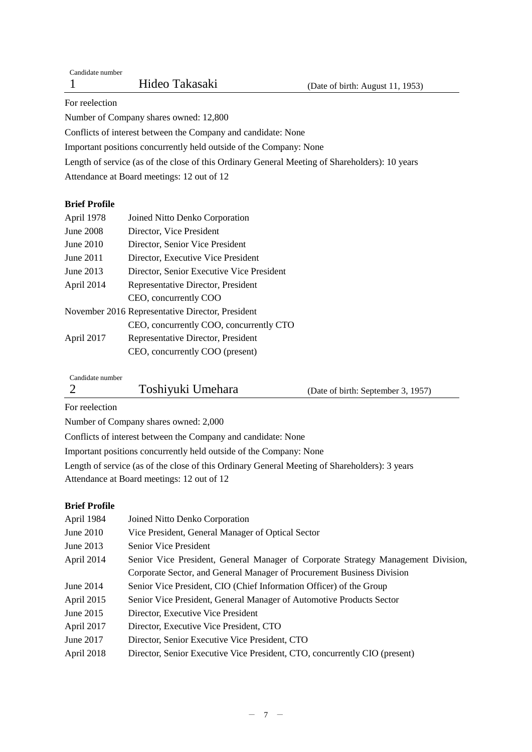For reelection

Number of Company shares owned: 12,800

Conflicts of interest between the Company and candidate: None

Important positions concurrently held outside of the Company: None

Length of service (as of the close of this Ordinary General Meeting of Shareholders): 10 years

Attendance at Board meetings: 12 out of 12

# **Brief Profile**

| April 1978  | Joined Nitto Denko Corporation                   |
|-------------|--------------------------------------------------|
| June 2008   | Director, Vice President                         |
| June $2010$ | Director, Senior Vice President                  |
| June 2011   | Director, Executive Vice President               |
| June 2013   | Director, Senior Executive Vice President        |
| April 2014  | Representative Director, President               |
|             | CEO, concurrently COO                            |
|             | November 2016 Representative Director, President |
|             | CEO, concurrently COO, concurrently CTO          |
| April 2017  | Representative Director, President               |
|             | CEO, concurrently COO (present)                  |

Candidate number

|  | Toshiyuki Umehara | (Date of birth: September 3, 1957) |
|--|-------------------|------------------------------------|
|--|-------------------|------------------------------------|

For reelection

Number of Company shares owned: 2,000

Conflicts of interest between the Company and candidate: None

Important positions concurrently held outside of the Company: None

Length of service (as of the close of this Ordinary General Meeting of Shareholders): 3 years

Attendance at Board meetings: 12 out of 12

# **Brief Profile**

| April 1984  | Joined Nitto Denko Corporation                                                    |
|-------------|-----------------------------------------------------------------------------------|
| June $2010$ | Vice President, General Manager of Optical Sector                                 |
| June 2013   | <b>Senior Vice President</b>                                                      |
| April 2014  | Senior Vice President, General Manager of Corporate Strategy Management Division, |
|             | Corporate Sector, and General Manager of Procurement Business Division            |
| June $2014$ | Senior Vice President, CIO (Chief Information Officer) of the Group               |
| April 2015  | Senior Vice President, General Manager of Automotive Products Sector              |
| June 2015   | Director, Executive Vice President                                                |
| April 2017  | Director, Executive Vice President, CTO                                           |
| June 2017   | Director, Senior Executive Vice President, CTO                                    |
| April 2018  | Director, Senior Executive Vice President, CTO, concurrently CIO (present)        |
|             |                                                                                   |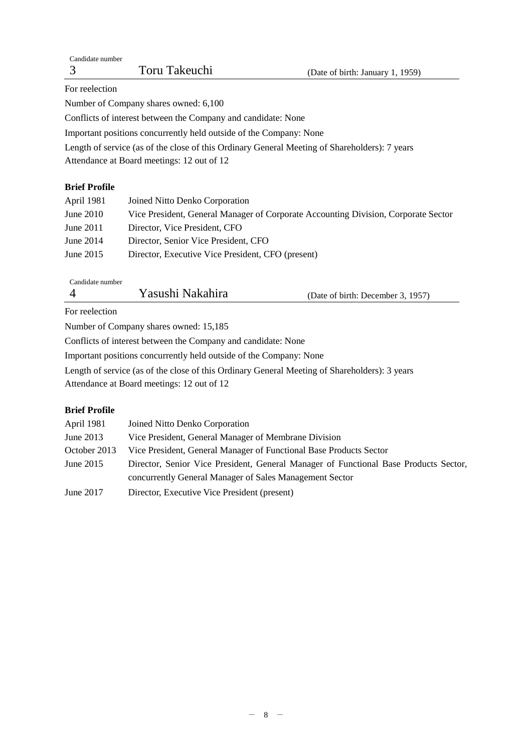| Candidate number                                                                              |               |                                  |
|-----------------------------------------------------------------------------------------------|---------------|----------------------------------|
|                                                                                               | Toru Takeuchi | (Date of birth: January 1, 1959) |
| For reelection                                                                                |               |                                  |
| Number of Company shares owned: 6,100                                                         |               |                                  |
| Conflicts of interest between the Company and candidate: None                                 |               |                                  |
| Important positions concurrently held outside of the Company: None                            |               |                                  |
| Length of service (as of the close of this Ordinary General Meeting of Shareholders): 7 years |               |                                  |
| Attendance at Board meetings: 12 out of 12                                                    |               |                                  |

## **Brief Profile**

| April 1981  | Joined Nitto Denko Corporation                                                     |
|-------------|------------------------------------------------------------------------------------|
| June $2010$ | Vice President, General Manager of Corporate Accounting Division, Corporate Sector |
| June $2011$ | Director, Vice President, CFO                                                      |
| June $2014$ | Director, Senior Vice President, CFO                                               |
| June $2015$ | Director, Executive Vice President, CFO (present)                                  |
|             |                                                                                    |

Candidate number

| Yasushi Nakahira | (Date of birth: December 3, 1957) |
|------------------|-----------------------------------|
|                  |                                   |

For reelection

Number of Company shares owned: 15,185

Conflicts of interest between the Company and candidate: None

Important positions concurrently held outside of the Company: None

Length of service (as of the close of this Ordinary General Meeting of Shareholders): 3 years

Attendance at Board meetings: 12 out of 12

# **Brief Profile**

| April 1981   | Joined Nitto Denko Corporation                                                       |
|--------------|--------------------------------------------------------------------------------------|
| June $2013$  | Vice President, General Manager of Membrane Division                                 |
| October 2013 | Vice President, General Manager of Functional Base Products Sector                   |
| June $2015$  | Director, Senior Vice President, General Manager of Functional Base Products Sector, |
|              | concurrently General Manager of Sales Management Sector                              |
| June 2017    | Director, Executive Vice President (present)                                         |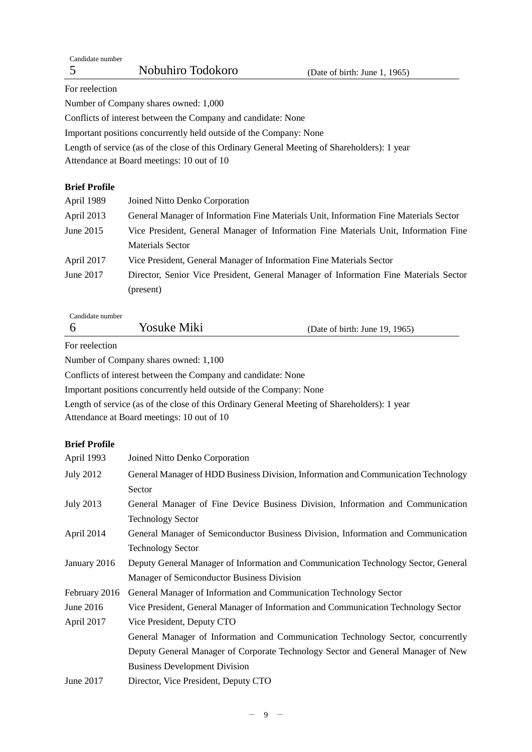For reelection

Number of Company shares owned: 1,000

Conflicts of interest between the Company and candidate: None

Important positions concurrently held outside of the Company: None

Length of service (as of the close of this Ordinary General Meeting of Shareholders): 1 year Attendance at Board meetings: 10 out of 10

## **Brief Profile**

| April 1989 | Joined Nitto Denko Corporation                                                        |
|------------|---------------------------------------------------------------------------------------|
| April 2013 | General Manager of Information Fine Materials Unit, Information Fine Materials Sector |
| June 2015  | Vice President, General Manager of Information Fine Materials Unit, Information Fine  |
|            | <b>Materials Sector</b>                                                               |
| April 2017 | Vice President, General Manager of Information Fine Materials Sector                  |
| June 2017  | Director, Senior Vice President, General Manager of Information Fine Materials Sector |
|            | (present)                                                                             |
|            |                                                                                       |

Candidate number

| Yosuke Miki | (Date of birth: June 19, 1965) |
|-------------|--------------------------------|
|             |                                |

For reelection

Number of Company shares owned: 1,100

Conflicts of interest between the Company and candidate: None

Important positions concurrently held outside of the Company: None

Length of service (as of the close of this Ordinary General Meeting of Shareholders): 1 year Attendance at Board meetings: 10 out of 10

## **Brief Profile**

| April 1993       | Joined Nitto Denko Corporation                                                     |  |
|------------------|------------------------------------------------------------------------------------|--|
| <b>July 2012</b> | General Manager of HDD Business Division, Information and Communication Technology |  |
|                  | Sector                                                                             |  |
| <b>July 2013</b> | General Manager of Fine Device Business Division, Information and Communication    |  |
|                  | <b>Technology Sector</b>                                                           |  |
| April 2014       | General Manager of Semiconductor Business Division, Information and Communication  |  |
|                  | <b>Technology Sector</b>                                                           |  |
| January 2016     | Deputy General Manager of Information and Communication Technology Sector, General |  |
|                  | Manager of Semiconductor Business Division                                         |  |
| February 2016    | General Manager of Information and Communication Technology Sector                 |  |
| June 2016        | Vice President, General Manager of Information and Communication Technology Sector |  |
| April 2017       | Vice President, Deputy CTO                                                         |  |
|                  | General Manager of Information and Communication Technology Sector, concurrently   |  |
|                  | Deputy General Manager of Corporate Technology Sector and General Manager of New   |  |
|                  | <b>Business Development Division</b>                                               |  |
| June 2017        | Director, Vice President, Deputy CTO                                               |  |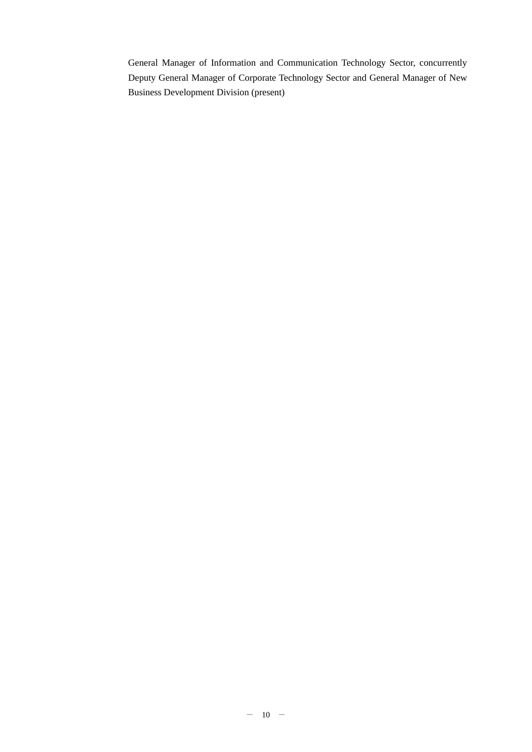General Manager of Information and Communication Technology Sector, concurrently Deputy General Manager of Corporate Technology Sector and General Manager of New Business Development Division (present)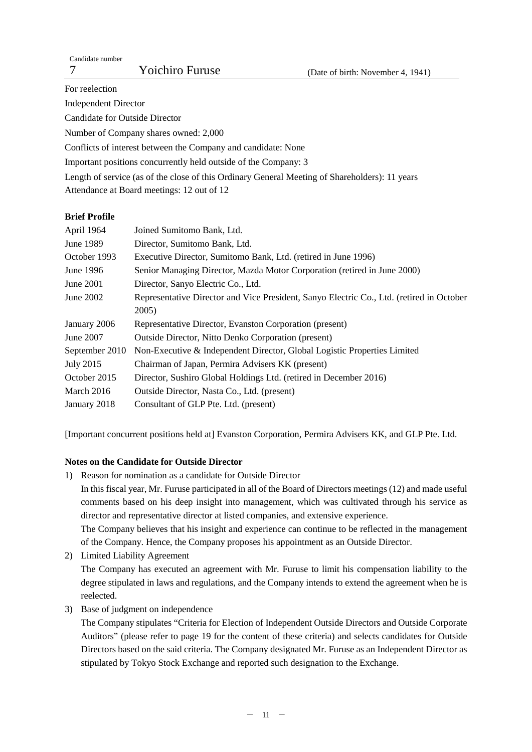For reelection Independent Director Candidate for Outside Director Number of Company shares owned: 2,000 Conflicts of interest between the Company and candidate: None Important positions concurrently held outside of the Company: 3 Length of service (as of the close of this Ordinary General Meeting of Shareholders): 11 years Attendance at Board meetings: 12 out of 12

## **Brief Profile**

| April 1964       | Joined Sumitomo Bank, Ltd.                                                               |
|------------------|------------------------------------------------------------------------------------------|
| June 1989        | Director, Sumitomo Bank, Ltd.                                                            |
| October 1993     | Executive Director, Sumitomo Bank, Ltd. (retired in June 1996)                           |
| June 1996        | Senior Managing Director, Mazda Motor Corporation (retired in June 2000)                 |
| June 2001        | Director, Sanyo Electric Co., Ltd.                                                       |
| June 2002        | Representative Director and Vice President, Sanyo Electric Co., Ltd. (retired in October |
|                  | 2005)                                                                                    |
| January 2006     | Representative Director, Evanston Corporation (present)                                  |
| June 2007        | <b>Outside Director, Nitto Denko Corporation (present)</b>                               |
| September 2010   | Non-Executive & Independent Director, Global Logistic Properties Limited                 |
| <b>July 2015</b> | Chairman of Japan, Permira Advisers KK (present)                                         |
| October 2015     | Director, Sushiro Global Holdings Ltd. (retired in December 2016)                        |
| March 2016       | Outside Director, Nasta Co., Ltd. (present)                                              |
| January 2018     | Consultant of GLP Pte. Ltd. (present)                                                    |

[Important concurrent positions held at] Evanston Corporation, Permira Advisers KK, and GLP Pte. Ltd.

## **Notes on the Candidate for Outside Director**

- 1) Reason for nomination as a candidate for Outside Director In this fiscal year, Mr. Furuse participated in all of the Board of Directors meetings (12) and made useful comments based on his deep insight into management, which was cultivated through his service as director and representative director at listed companies, and extensive experience. The Company believes that his insight and experience can continue to be reflected in the management of the Company. Hence, the Company proposes his appointment as an Outside Director.
- 2) Limited Liability Agreement The Company has executed an agreement with Mr. Furuse to limit his compensation liability to the degree stipulated in laws and regulations, and the Company intends to extend the agreement when he is reelected.
- 3) Base of judgment on independence

The Company stipulates "Criteria for Election of Independent Outside Directors and Outside Corporate Auditors" (please refer to page 19 for the content of these criteria) and selects candidates for Outside Directors based on the said criteria. The Company designated Mr. Furuse as an Independent Director as stipulated by Tokyo Stock Exchange and reported such designation to the Exchange.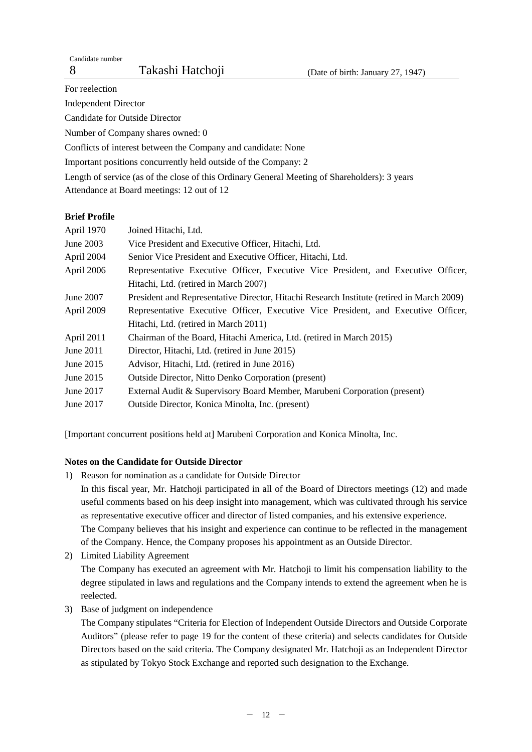For reelection

Independent Director

Candidate for Outside Director

Number of Company shares owned: 0

Conflicts of interest between the Company and candidate: None

Important positions concurrently held outside of the Company: 2

Length of service (as of the close of this Ordinary General Meeting of Shareholders): 3 years Attendance at Board meetings: 12 out of 12

## **Brief Profile**

| April 1970 | Joined Hitachi, Ltd.                                                                      |  |  |
|------------|-------------------------------------------------------------------------------------------|--|--|
| June 2003  | Vice President and Executive Officer, Hitachi, Ltd.                                       |  |  |
| April 2004 | Senior Vice President and Executive Officer, Hitachi, Ltd.                                |  |  |
| April 2006 | Representative Executive Officer, Executive Vice President, and Executive Officer,        |  |  |
|            | Hitachi, Ltd. (retired in March 2007)                                                     |  |  |
| June 2007  | President and Representative Director, Hitachi Research Institute (retired in March 2009) |  |  |
| April 2009 | Representative Executive Officer, Executive Vice President, and Executive Officer,        |  |  |
|            | Hitachi, Ltd. (retired in March 2011)                                                     |  |  |
| April 2011 | Chairman of the Board, Hitachi America, Ltd. (retired in March 2015)                      |  |  |
| June 2011  | Director, Hitachi, Ltd. (retired in June 2015)                                            |  |  |
| June 2015  | Advisor, Hitachi, Ltd. (retired in June 2016)                                             |  |  |
| June 2015  | <b>Outside Director, Nitto Denko Corporation (present)</b>                                |  |  |
| June 2017  | External Audit & Supervisory Board Member, Marubeni Corporation (present)                 |  |  |
| June 2017  | Outside Director, Konica Minolta, Inc. (present)                                          |  |  |
|            |                                                                                           |  |  |

[Important concurrent positions held at] Marubeni Corporation and Konica Minolta, Inc.

## **Notes on the Candidate for Outside Director**

- 1) Reason for nomination as a candidate for Outside Director In this fiscal year, Mr. Hatchoji participated in all of the Board of Directors meetings (12) and made useful comments based on his deep insight into management, which was cultivated through his service as representative executive officer and director of listed companies, and his extensive experience. The Company believes that his insight and experience can continue to be reflected in the management of the Company. Hence, the Company proposes his appointment as an Outside Director.
- 2) Limited Liability Agreement The Company has executed an agreement with Mr. Hatchoji to limit his compensation liability to the degree stipulated in laws and regulations and the Company intends to extend the agreement when he is reelected.
- 3) Base of judgment on independence

The Company stipulates "Criteria for Election of Independent Outside Directors and Outside Corporate Auditors" (please refer to page 19 for the content of these criteria) and selects candidates for Outside Directors based on the said criteria. The Company designated Mr. Hatchoji as an Independent Director as stipulated by Tokyo Stock Exchange and reported such designation to the Exchange.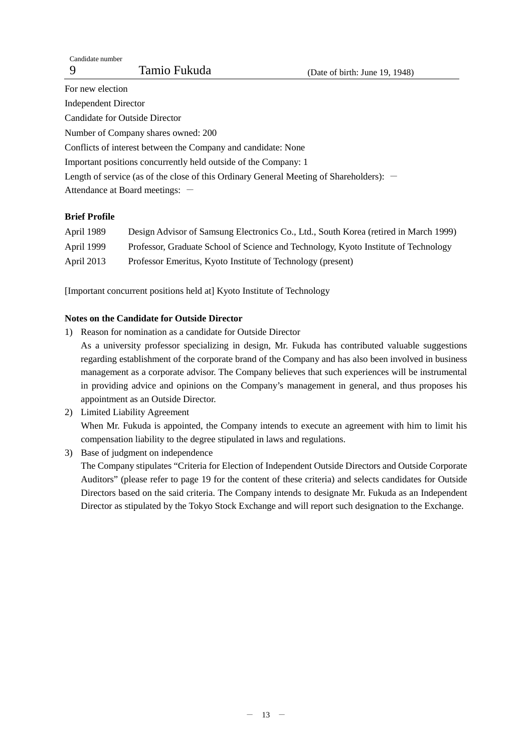For new election Independent Director Candidate for Outside Director Number of Company shares owned: 200 Conflicts of interest between the Company and candidate: None Important positions concurrently held outside of the Company: 1 Length of service (as of the close of this Ordinary General Meeting of Shareholders):  $-$ Attendance at Board meetings:  $-$ 

## **Brief Profile**

| April 1989 | Design Advisor of Samsung Electronics Co., Ltd., South Korea (retired in March 1999) |
|------------|--------------------------------------------------------------------------------------|
| April 1999 | Professor, Graduate School of Science and Technology, Kyoto Institute of Technology  |
| April 2013 | Professor Emeritus, Kyoto Institute of Technology (present)                          |

[Important concurrent positions held at] Kyoto Institute of Technology

## **Notes on the Candidate for Outside Director**

- 1) Reason for nomination as a candidate for Outside Director
	- As a university professor specializing in design, Mr. Fukuda has contributed valuable suggestions regarding establishment of the corporate brand of the Company and has also been involved in business management as a corporate advisor. The Company believes that such experiences will be instrumental in providing advice and opinions on the Company's management in general, and thus proposes his appointment as an Outside Director.
- 2) Limited Liability Agreement When Mr. Fukuda is appointed, the Company intends to execute an agreement with him to limit his compensation liability to the degree stipulated in laws and regulations.
- 3) Base of judgment on independence The Company stipulates "Criteria for Election of Independent Outside Directors and Outside Corporate Auditors" (please refer to page 19 for the content of these criteria) and selects candidates for Outside Directors based on the said criteria. The Company intends to designate Mr. Fukuda as an Independent Director as stipulated by the Tokyo Stock Exchange and will report such designation to the Exchange.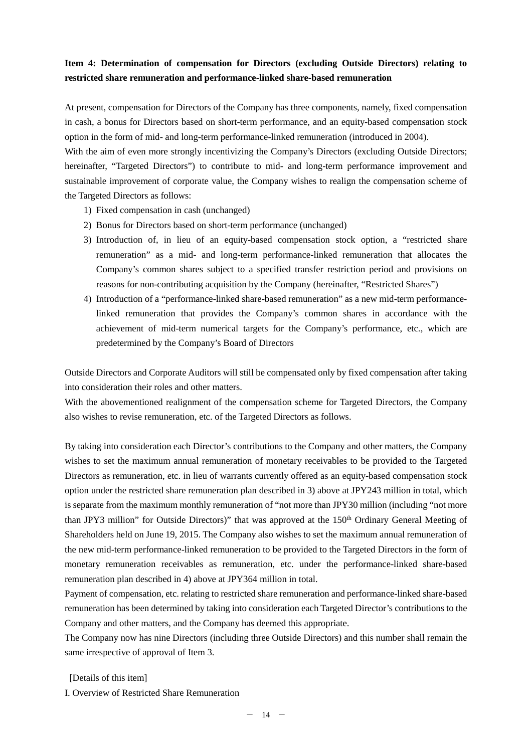# **Item 4: Determination of compensation for Directors (excluding Outside Directors) relating to restricted share remuneration and performance-linked share-based remuneration**

At present, compensation for Directors of the Company has three components, namely, fixed compensation in cash, a bonus for Directors based on short-term performance, and an equity-based compensation stock option in the form of mid- and long-term performance-linked remuneration (introduced in 2004).

With the aim of even more strongly incentivizing the Company's Directors (excluding Outside Directors; hereinafter, "Targeted Directors") to contribute to mid- and long-term performance improvement and sustainable improvement of corporate value, the Company wishes to realign the compensation scheme of the Targeted Directors as follows:

- 1) Fixed compensation in cash (unchanged)
- 2) Bonus for Directors based on short-term performance (unchanged)
- 3) Introduction of, in lieu of an equity-based compensation stock option, a "restricted share remuneration" as a mid- and long-term performance-linked remuneration that allocates the Company's common shares subject to a specified transfer restriction period and provisions on reasons for non-contributing acquisition by the Company (hereinafter, "Restricted Shares")
- 4) Introduction of a "performance-linked share-based remuneration" as a new mid-term performancelinked remuneration that provides the Company's common shares in accordance with the achievement of mid-term numerical targets for the Company's performance, etc., which are predetermined by the Company's Board of Directors

Outside Directors and Corporate Auditors will still be compensated only by fixed compensation after taking into consideration their roles and other matters.

With the abovementioned realignment of the compensation scheme for Targeted Directors, the Company also wishes to revise remuneration, etc. of the Targeted Directors as follows.

By taking into consideration each Director's contributions to the Company and other matters, the Company wishes to set the maximum annual remuneration of monetary receivables to be provided to the Targeted Directors as remuneration, etc. in lieu of warrants currently offered as an equity-based compensation stock option under the restricted share remuneration plan described in 3) above at JPY243 million in total, which is separate from the maximum monthly remuneration of "not more than JPY30 million (including "not more than JPY3 million" for Outside Directors)" that was approved at the 150<sup>th</sup> Ordinary General Meeting of Shareholders held on June 19, 2015. The Company also wishes to set the maximum annual remuneration of the new mid-term performance-linked remuneration to be provided to the Targeted Directors in the form of monetary remuneration receivables as remuneration, etc. under the performance-linked share-based remuneration plan described in 4) above at JPY364 million in total.

Payment of compensation, etc. relating to restricted share remuneration and performance-linked share-based remuneration has been determined by taking into consideration each Targeted Director's contributions to the Company and other matters, and the Company has deemed this appropriate.

The Company now has nine Directors (including three Outside Directors) and this number shall remain the same irrespective of approval of Item 3.

[Details of this item]

I. Overview of Restricted Share Remuneration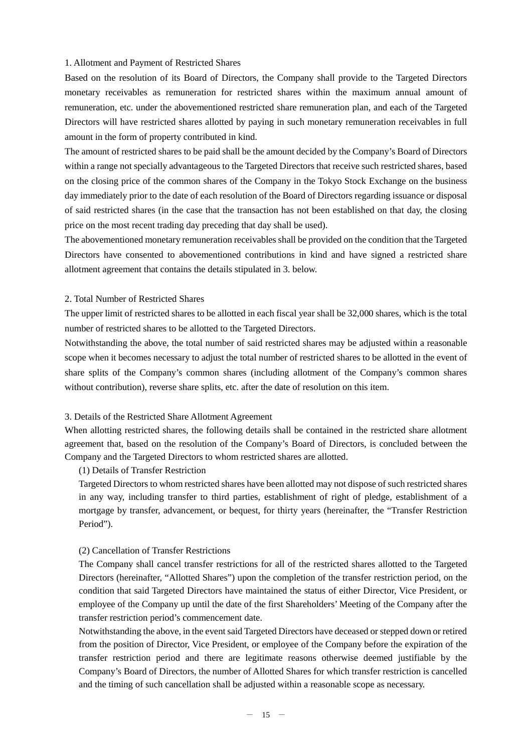#### 1. Allotment and Payment of Restricted Shares

Based on the resolution of its Board of Directors, the Company shall provide to the Targeted Directors monetary receivables as remuneration for restricted shares within the maximum annual amount of remuneration, etc. under the abovementioned restricted share remuneration plan, and each of the Targeted Directors will have restricted shares allotted by paying in such monetary remuneration receivables in full amount in the form of property contributed in kind.

The amount of restricted shares to be paid shall be the amount decided by the Company's Board of Directors within a range not specially advantageous to the Targeted Directors that receive such restricted shares, based on the closing price of the common shares of the Company in the Tokyo Stock Exchange on the business day immediately prior to the date of each resolution of the Board of Directors regarding issuance or disposal of said restricted shares (in the case that the transaction has not been established on that day, the closing price on the most recent trading day preceding that day shall be used).

The abovementioned monetary remuneration receivables shall be provided on the condition that the Targeted Directors have consented to abovementioned contributions in kind and have signed a restricted share allotment agreement that contains the details stipulated in 3. below.

#### 2. Total Number of Restricted Shares

The upper limit of restricted shares to be allotted in each fiscal year shall be 32,000 shares, which is the total number of restricted shares to be allotted to the Targeted Directors.

Notwithstanding the above, the total number of said restricted shares may be adjusted within a reasonable scope when it becomes necessary to adjust the total number of restricted shares to be allotted in the event of share splits of the Company's common shares (including allotment of the Company's common shares without contribution), reverse share splits, etc. after the date of resolution on this item.

#### 3. Details of the Restricted Share Allotment Agreement

When allotting restricted shares, the following details shall be contained in the restricted share allotment agreement that, based on the resolution of the Company's Board of Directors, is concluded between the Company and the Targeted Directors to whom restricted shares are allotted.

#### (1) Details of Transfer Restriction

Targeted Directors to whom restricted shares have been allotted may not dispose of such restricted shares in any way, including transfer to third parties, establishment of right of pledge, establishment of a mortgage by transfer, advancement, or bequest, for thirty years (hereinafter, the "Transfer Restriction Period").

#### (2) Cancellation of Transfer Restrictions

The Company shall cancel transfer restrictions for all of the restricted shares allotted to the Targeted Directors (hereinafter, "Allotted Shares") upon the completion of the transfer restriction period, on the condition that said Targeted Directors have maintained the status of either Director, Vice President, or employee of the Company up until the date of the first Shareholders' Meeting of the Company after the transfer restriction period's commencement date.

Notwithstanding the above, in the event said Targeted Directors have deceased or stepped down or retired from the position of Director, Vice President, or employee of the Company before the expiration of the transfer restriction period and there are legitimate reasons otherwise deemed justifiable by the Company's Board of Directors, the number of Allotted Shares for which transfer restriction is cancelled and the timing of such cancellation shall be adjusted within a reasonable scope as necessary.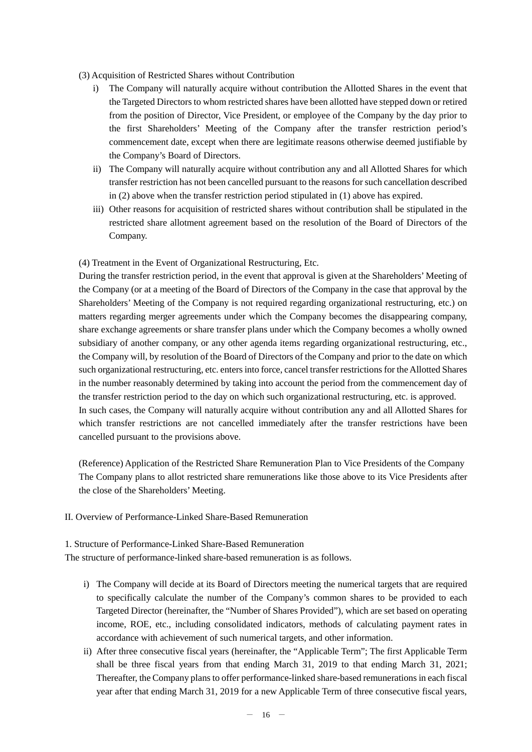- (3) Acquisition of Restricted Shares without Contribution
	- i) The Company will naturally acquire without contribution the Allotted Shares in the event that the Targeted Directors to whom restricted shares have been allotted have stepped down or retired from the position of Director, Vice President, or employee of the Company by the day prior to the first Shareholders' Meeting of the Company after the transfer restriction period's commencement date, except when there are legitimate reasons otherwise deemed justifiable by the Company's Board of Directors.
	- ii) The Company will naturally acquire without contribution any and all Allotted Shares for which transfer restriction has not been cancelled pursuant to the reasons for such cancellation described in (2) above when the transfer restriction period stipulated in (1) above has expired.
	- iii) Other reasons for acquisition of restricted shares without contribution shall be stipulated in the restricted share allotment agreement based on the resolution of the Board of Directors of the Company.

(4) Treatment in the Event of Organizational Restructuring, Etc.

During the transfer restriction period, in the event that approval is given at the Shareholders' Meeting of the Company (or at a meeting of the Board of Directors of the Company in the case that approval by the Shareholders' Meeting of the Company is not required regarding organizational restructuring, etc.) on matters regarding merger agreements under which the Company becomes the disappearing company, share exchange agreements or share transfer plans under which the Company becomes a wholly owned subsidiary of another company, or any other agenda items regarding organizational restructuring, etc., the Company will, by resolution of the Board of Directors of the Company and prior to the date on which such organizational restructuring, etc. enters into force, cancel transfer restrictions for the Allotted Shares in the number reasonably determined by taking into account the period from the commencement day of the transfer restriction period to the day on which such organizational restructuring, etc. is approved. In such cases, the Company will naturally acquire without contribution any and all Allotted Shares for which transfer restrictions are not cancelled immediately after the transfer restrictions have been cancelled pursuant to the provisions above.

(Reference) Application of the Restricted Share Remuneration Plan to Vice Presidents of the Company The Company plans to allot restricted share remunerations like those above to its Vice Presidents after the close of the Shareholders' Meeting.

II. Overview of Performance-Linked Share-Based Remuneration

1. Structure of Performance-Linked Share-Based Remuneration

The structure of performance-linked share-based remuneration is as follows.

- i) The Company will decide at its Board of Directors meeting the numerical targets that are required to specifically calculate the number of the Company's common shares to be provided to each Targeted Director (hereinafter, the "Number of Shares Provided"), which are set based on operating income, ROE, etc., including consolidated indicators, methods of calculating payment rates in accordance with achievement of such numerical targets, and other information.
- ii) After three consecutive fiscal years (hereinafter, the "Applicable Term"; The first Applicable Term shall be three fiscal years from that ending March 31, 2019 to that ending March 31, 2021; Thereafter, the Company plans to offer performance-linked share-based remunerations in each fiscal year after that ending March 31, 2019 for a new Applicable Term of three consecutive fiscal years,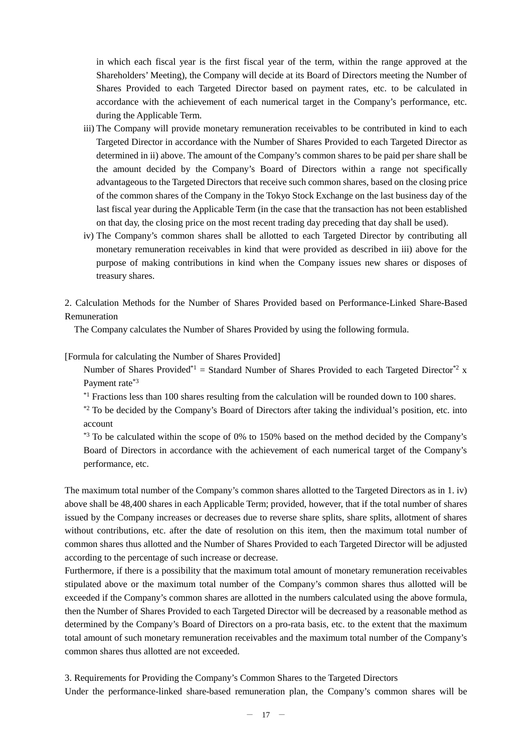in which each fiscal year is the first fiscal year of the term, within the range approved at the Shareholders' Meeting), the Company will decide at its Board of Directors meeting the Number of Shares Provided to each Targeted Director based on payment rates, etc. to be calculated in accordance with the achievement of each numerical target in the Company's performance, etc. during the Applicable Term.

- iii) The Company will provide monetary remuneration receivables to be contributed in kind to each Targeted Director in accordance with the Number of Shares Provided to each Targeted Director as determined in ii) above. The amount of the Company's common shares to be paid per share shall be the amount decided by the Company's Board of Directors within a range not specifically advantageous to the Targeted Directors that receive such common shares, based on the closing price of the common shares of the Company in the Tokyo Stock Exchange on the last business day of the last fiscal year during the Applicable Term (in the case that the transaction has not been established on that day, the closing price on the most recent trading day preceding that day shall be used).
- iv) The Company's common shares shall be allotted to each Targeted Director by contributing all monetary remuneration receivables in kind that were provided as described in iii) above for the purpose of making contributions in kind when the Company issues new shares or disposes of treasury shares.

2. Calculation Methods for the Number of Shares Provided based on Performance-Linked Share-Based Remuneration

The Company calculates the Number of Shares Provided by using the following formula.

[Formula for calculating the Number of Shares Provided]

Number of Shares Provided<sup>\*1</sup> = Standard Number of Shares Provided to each Targeted Director<sup>\*2</sup> x Payment rate\*3

 $*1$  Fractions less than 100 shares resulting from the calculation will be rounded down to 100 shares.

\*2 To be decided by the Company's Board of Directors after taking the individual's position, etc. into account

\*3 To be calculated within the scope of 0% to 150% based on the method decided by the Company's Board of Directors in accordance with the achievement of each numerical target of the Company's performance, etc.

The maximum total number of the Company's common shares allotted to the Targeted Directors as in 1. iv) above shall be 48,400 shares in each Applicable Term; provided, however, that if the total number of shares issued by the Company increases or decreases due to reverse share splits, share splits, allotment of shares without contributions, etc. after the date of resolution on this item, then the maximum total number of common shares thus allotted and the Number of Shares Provided to each Targeted Director will be adjusted according to the percentage of such increase or decrease.

Furthermore, if there is a possibility that the maximum total amount of monetary remuneration receivables stipulated above or the maximum total number of the Company's common shares thus allotted will be exceeded if the Company's common shares are allotted in the numbers calculated using the above formula, then the Number of Shares Provided to each Targeted Director will be decreased by a reasonable method as determined by the Company's Board of Directors on a pro-rata basis, etc. to the extent that the maximum total amount of such monetary remuneration receivables and the maximum total number of the Company's common shares thus allotted are not exceeded.

3. Requirements for Providing the Company's Common Shares to the Targeted Directors

Under the performance-linked share-based remuneration plan, the Company's common shares will be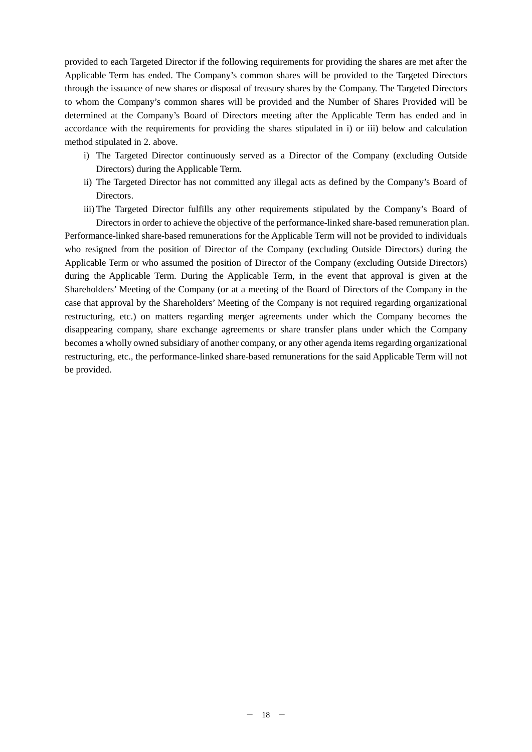provided to each Targeted Director if the following requirements for providing the shares are met after the Applicable Term has ended. The Company's common shares will be provided to the Targeted Directors through the issuance of new shares or disposal of treasury shares by the Company. The Targeted Directors to whom the Company's common shares will be provided and the Number of Shares Provided will be determined at the Company's Board of Directors meeting after the Applicable Term has ended and in accordance with the requirements for providing the shares stipulated in i) or iii) below and calculation method stipulated in 2. above.

- i) The Targeted Director continuously served as a Director of the Company (excluding Outside Directors) during the Applicable Term.
- ii) The Targeted Director has not committed any illegal acts as defined by the Company's Board of Directors.
- iii) The Targeted Director fulfills any other requirements stipulated by the Company's Board of Directors in order to achieve the objective of the performance-linked share-based remuneration plan.

Performance-linked share-based remunerations for the Applicable Term will not be provided to individuals who resigned from the position of Director of the Company (excluding Outside Directors) during the Applicable Term or who assumed the position of Director of the Company (excluding Outside Directors) during the Applicable Term. During the Applicable Term, in the event that approval is given at the Shareholders' Meeting of the Company (or at a meeting of the Board of Directors of the Company in the case that approval by the Shareholders' Meeting of the Company is not required regarding organizational restructuring, etc.) on matters regarding merger agreements under which the Company becomes the disappearing company, share exchange agreements or share transfer plans under which the Company becomes a wholly owned subsidiary of another company, or any other agenda items regarding organizational restructuring, etc., the performance-linked share-based remunerations for the said Applicable Term will not be provided.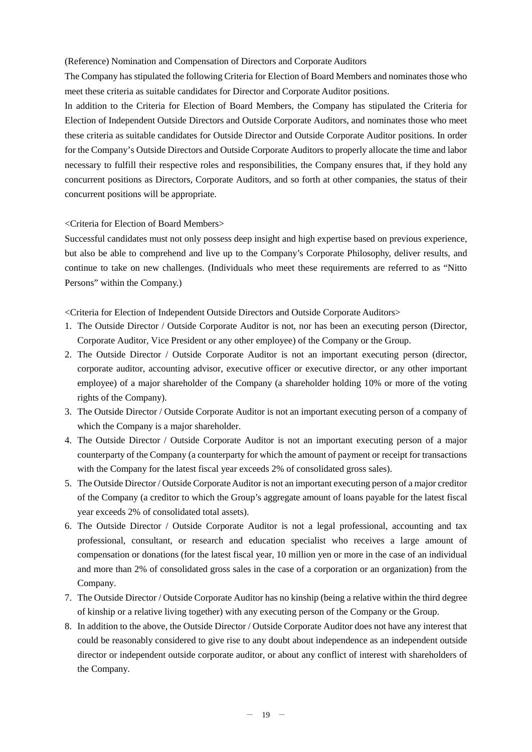(Reference) Nomination and Compensation of Directors and Corporate Auditors

The Company has stipulated the following Criteria for Election of Board Members and nominates those who meet these criteria as suitable candidates for Director and Corporate Auditor positions.

In addition to the Criteria for Election of Board Members, the Company has stipulated the Criteria for Election of Independent Outside Directors and Outside Corporate Auditors, and nominates those who meet these criteria as suitable candidates for Outside Director and Outside Corporate Auditor positions. In order for the Company's Outside Directors and Outside Corporate Auditors to properly allocate the time and labor necessary to fulfill their respective roles and responsibilities, the Company ensures that, if they hold any concurrent positions as Directors, Corporate Auditors, and so forth at other companies, the status of their concurrent positions will be appropriate.

<Criteria for Election of Board Members>

Successful candidates must not only possess deep insight and high expertise based on previous experience, but also be able to comprehend and live up to the Company's Corporate Philosophy, deliver results, and continue to take on new challenges. (Individuals who meet these requirements are referred to as "Nitto Persons" within the Company.)

<Criteria for Election of Independent Outside Directors and Outside Corporate Auditors>

- 1. The Outside Director / Outside Corporate Auditor is not, nor has been an executing person (Director, Corporate Auditor, Vice President or any other employee) of the Company or the Group.
- 2. The Outside Director / Outside Corporate Auditor is not an important executing person (director, corporate auditor, accounting advisor, executive officer or executive director, or any other important employee) of a major shareholder of the Company (a shareholder holding 10% or more of the voting rights of the Company).
- 3. The Outside Director / Outside Corporate Auditor is not an important executing person of a company of which the Company is a major shareholder.
- 4. The Outside Director / Outside Corporate Auditor is not an important executing person of a major counterparty of the Company (a counterparty for which the amount of payment or receipt for transactions with the Company for the latest fiscal year exceeds 2% of consolidated gross sales).
- 5. The Outside Director / Outside Corporate Auditor is not an important executing person of a major creditor of the Company (a creditor to which the Group's aggregate amount of loans payable for the latest fiscal year exceeds 2% of consolidated total assets).
- 6. The Outside Director / Outside Corporate Auditor is not a legal professional, accounting and tax professional, consultant, or research and education specialist who receives a large amount of compensation or donations (for the latest fiscal year, 10 million yen or more in the case of an individual and more than 2% of consolidated gross sales in the case of a corporation or an organization) from the Company.
- 7. The Outside Director / Outside Corporate Auditor has no kinship (being a relative within the third degree of kinship or a relative living together) with any executing person of the Company or the Group.
- 8. In addition to the above, the Outside Director / Outside Corporate Auditor does not have any interest that could be reasonably considered to give rise to any doubt about independence as an independent outside director or independent outside corporate auditor, or about any conflict of interest with shareholders of the Company.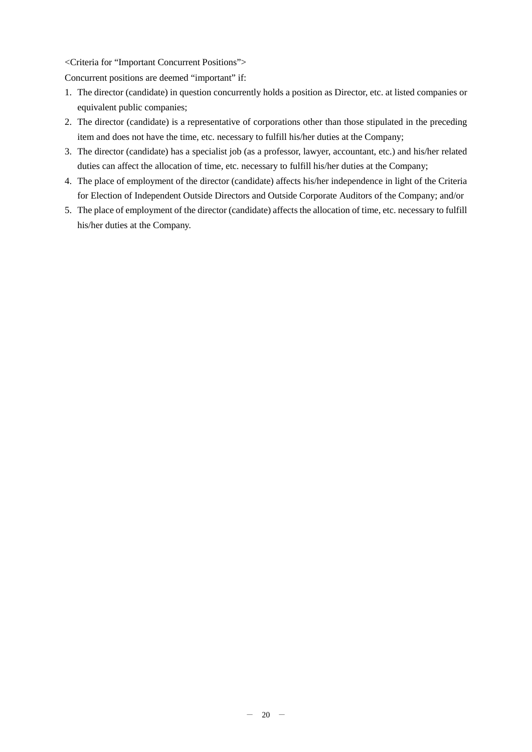#### <Criteria for "Important Concurrent Positions">

Concurrent positions are deemed "important" if:

- 1. The director (candidate) in question concurrently holds a position as Director, etc. at listed companies or equivalent public companies;
- 2. The director (candidate) is a representative of corporations other than those stipulated in the preceding item and does not have the time, etc. necessary to fulfill his/her duties at the Company;
- 3. The director (candidate) has a specialist job (as a professor, lawyer, accountant, etc.) and his/her related duties can affect the allocation of time, etc. necessary to fulfill his/her duties at the Company;
- 4. The place of employment of the director (candidate) affects his/her independence in light of the Criteria for Election of Independent Outside Directors and Outside Corporate Auditors of the Company; and/or
- 5. The place of employment of the director (candidate) affects the allocation of time, etc. necessary to fulfill his/her duties at the Company.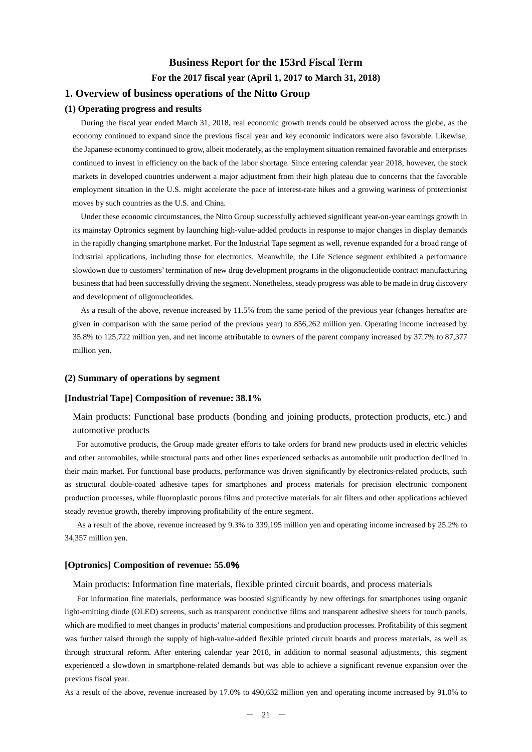# **Business Report for the 153rd Fiscal Term For the 2017 fiscal year (April 1, 2017 to March 31, 2018)**

## **1. Overview of business operations of the Nitto Group**

#### **(1) Operating progress and results**

During the fiscal year ended March 31, 2018, real economic growth trends could be observed across the globe, as the economy continued to expand since the previous fiscal year and key economic indicators were also favorable. Likewise, the Japanese economy continued to grow, albeit moderately, as the employment situation remained favorable and enterprises continued to invest in efficiency on the back of the labor shortage. Since entering calendar year 2018, however, the stock markets in developed countries underwent a major adjustment from their high plateau due to concerns that the favorable employment situation in the U.S. might accelerate the pace of interest-rate hikes and a growing wariness of protectionist moves by such countries as the U.S. and China.

Under these economic circumstances, the Nitto Group successfully achieved significant year-on-year earnings growth in its mainstay Optronics segment by launching high-value-added products in response to major changes in display demands in the rapidly changing smartphone market. For the Industrial Tape segment as well, revenue expanded for a broad range of industrial applications, including those for electronics. Meanwhile, the Life Science segment exhibited a performance slowdown due to customers'termination of new drug development programs in the oligonucleotide contract manufacturing business that had been successfully driving the segment. Nonetheless, steady progress was able to be made in drug discovery and development of oligonucleotides.

As a result of the above, revenue increased by 11.5% from the same period of the previous year (changes hereafter are given in comparison with the same period of the previous year) to 856,262 million yen. Operating income increased by 35.8% to 125,722 million yen, and net income attributable to owners of the parent company increased by 37.7% to 87,377 million yen.

#### **(2) Summary of operations by segment**

#### **[Industrial Tape] Composition of revenue: 38.1%**

Main products: Functional base products (bonding and joining products, protection products, etc.) and automotive products

For automotive products, the Group made greater efforts to take orders for brand new products used in electric vehicles and other automobiles, while structural parts and other lines experienced setbacks as automobile unit production declined in their main market. For functional base products, performance was driven significantly by electronics-related products, such as structural double-coated adhesive tapes for smartphones and process materials for precision electronic component production processes, while fluoroplastic porous films and protective materials for air filters and other applications achieved steady revenue growth, thereby improving profitability of the entire segment.

As a result of the above, revenue increased by 9.3% to 339,195 million yen and operating income increased by 25.2% to 34,357 million yen.

#### **[Optronics] Composition of revenue: 55.0**%

Main products: Information fine materials, flexible printed circuit boards, and process materials

For information fine materials, performance was boosted significantly by new offerings for smartphones using organic light-emitting diode (OLED) screens, such as transparent conductive films and transparent adhesive sheets for touch panels, which are modified to meet changes in products'material compositions and production processes. Profitability of this segment was further raised through the supply of high-value-added flexible printed circuit boards and process materials, as well as through structural reform. After entering calendar year 2018, in addition to normal seasonal adjustments, this segment experienced a slowdown in smartphone-related demands but was able to achieve a significant revenue expansion over the previous fiscal year.

As a result of the above, revenue increased by 17.0% to 490,632 million yen and operating income increased by 91.0% to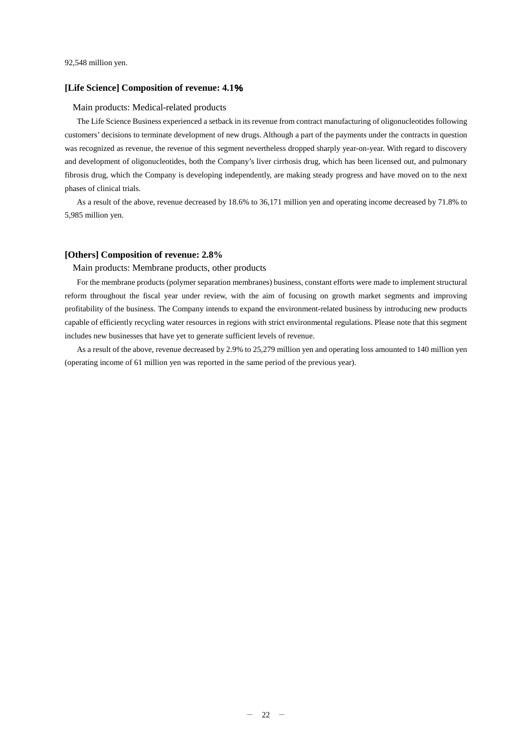#### **[Life Science] Composition of revenue: 4.1**%

#### Main products: Medical-related products

The Life Science Business experienced a setback in its revenue from contract manufacturing of oligonucleotides following customers' decisions to terminate development of new drugs. Although a part of the payments under the contracts in question was recognized as revenue, the revenue of this segment nevertheless dropped sharply year-on-year. With regard to discovery and development of oligonucleotides, both the Company's liver cirrhosis drug, which has been licensed out, and pulmonary fibrosis drug, which the Company is developing independently, are making steady progress and have moved on to the next phases of clinical trials.

As a result of the above, revenue decreased by 18.6% to 36,171 million yen and operating income decreased by 71.8% to 5,985 million yen.

#### **[Others] Composition of revenue: 2.8%**

Main products: Membrane products, other products

For the membrane products (polymer separation membranes) business, constant efforts were made to implement structural reform throughout the fiscal year under review, with the aim of focusing on growth market segments and improving profitability of the business. The Company intends to expand the environment-related business by introducing new products capable of efficiently recycling water resources in regions with strict environmental regulations. Please note that this segment includes new businesses that have yet to generate sufficient levels of revenue.

As a result of the above, revenue decreased by 2.9% to 25,279 million yen and operating loss amounted to 140 million yen (operating income of 61 million yen was reported in the same period of the previous year).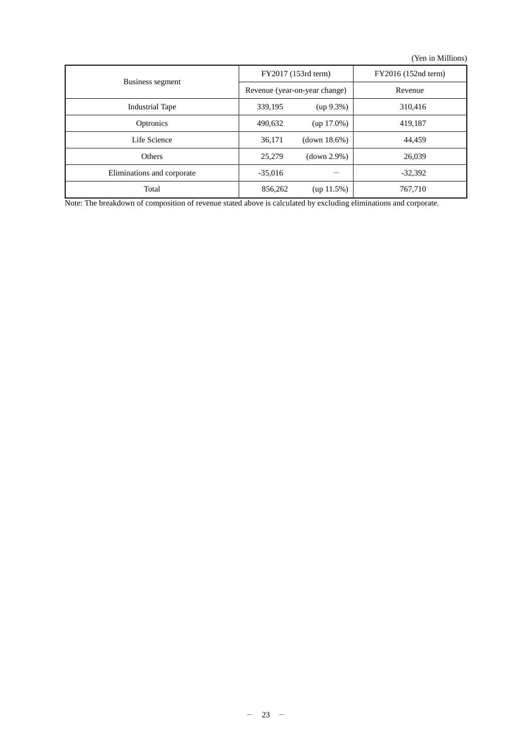(Yen in Millions)

|                            |           | FY2017 (153rd term)           | FY2016 (152nd term) |  |
|----------------------------|-----------|-------------------------------|---------------------|--|
| Business segment           |           | Revenue (year-on-year change) | Revenue             |  |
| <b>Industrial Tape</b>     | 339,195   | $(up 9.3\%)$                  | 310,416             |  |
| Optronics                  | 490,632   | $(up 17.0\%)$                 | 419,187             |  |
| Life Science               | 36,171    | (down 18.6%)                  | 44.459              |  |
| Others                     | 25,279    | (down 2.9%)                   | 26,039              |  |
| Eliminations and corporate | $-35.016$ |                               | $-32,392$           |  |
| Total                      | 856,262   | $(up 11.5\%)$                 | 767,710             |  |

Note: The breakdown of composition of revenue stated above is calculated by excluding eliminations and corporate.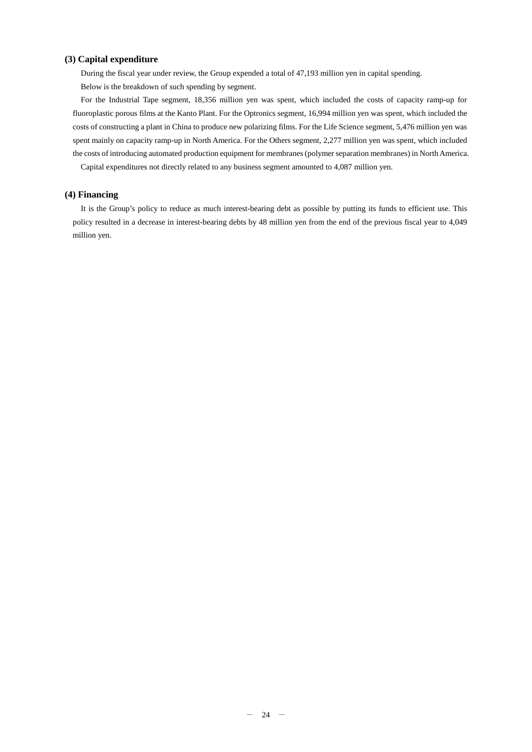#### **(3) Capital expenditure**

During the fiscal year under review, the Group expended a total of 47,193 million yen in capital spending. Below is the breakdown of such spending by segment.

For the Industrial Tape segment, 18,356 million yen was spent, which included the costs of capacity ramp-up for fluoroplastic porous films at the Kanto Plant. For the Optronics segment, 16,994 million yen was spent, which included the costs of constructing a plant in China to produce new polarizing films. For the Life Science segment, 5,476 million yen was spent mainly on capacity ramp-up in North America. For the Others segment, 2,277 million yen was spent, which included the costs of introducing automated production equipment for membranes(polymer separation membranes) in North America.

Capital expenditures not directly related to any business segment amounted to 4,087 million yen.

#### **(4) Financing**

It is the Group's policy to reduce as much interest-bearing debt as possible by putting its funds to efficient use. This policy resulted in a decrease in interest-bearing debts by 48 million yen from the end of the previous fiscal year to 4,049 million yen.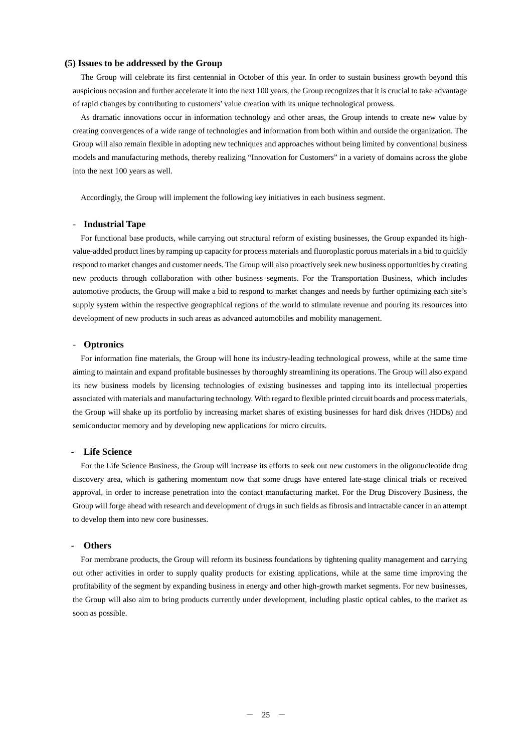#### **(5) Issues to be addressed by the Group**

The Group will celebrate its first centennial in October of this year. In order to sustain business growth beyond this auspicious occasion and further accelerate it into the next 100 years, the Group recognizes that it is crucial to take advantage of rapid changes by contributing to customers' value creation with its unique technological prowess.

As dramatic innovations occur in information technology and other areas, the Group intends to create new value by creating convergences of a wide range of technologies and information from both within and outside the organization. The Group will also remain flexible in adopting new techniques and approaches without being limited by conventional business models and manufacturing methods, thereby realizing "Innovation for Customers" in a variety of domains across the globe into the next 100 years as well.

Accordingly, the Group will implement the following key initiatives in each business segment.

#### - **Industrial Tape**

For functional base products, while carrying out structural reform of existing businesses, the Group expanded its highvalue-added product lines by ramping up capacity for process materials and fluoroplastic porous materials in a bid to quickly respond to market changes and customer needs. The Group will also proactively seek new business opportunities by creating new products through collaboration with other business segments. For the Transportation Business, which includes automotive products, the Group will make a bid to respond to market changes and needs by further optimizing each site's supply system within the respective geographical regions of the world to stimulate revenue and pouring its resources into development of new products in such areas as advanced automobiles and mobility management.

#### - **Optronics**

For information fine materials, the Group will hone its industry-leading technological prowess, while at the same time aiming to maintain and expand profitable businesses by thoroughly streamlining its operations. The Group will also expand its new business models by licensing technologies of existing businesses and tapping into its intellectual properties associated with materials and manufacturing technology. With regard to flexible printed circuit boards and process materials, the Group will shake up its portfolio by increasing market shares of existing businesses for hard disk drives (HDDs) and semiconductor memory and by developing new applications for micro circuits.

#### **- Life Science**

For the Life Science Business, the Group will increase its efforts to seek out new customers in the oligonucleotide drug discovery area, which is gathering momentum now that some drugs have entered late-stage clinical trials or received approval, in order to increase penetration into the contact manufacturing market. For the Drug Discovery Business, the Group will forge ahead with research and development of drugs in such fields as fibrosis and intractable cancer in an attempt to develop them into new core businesses.

#### **- Others**

For membrane products, the Group will reform its business foundations by tightening quality management and carrying out other activities in order to supply quality products for existing applications, while at the same time improving the profitability of the segment by expanding business in energy and other high-growth market segments. For new businesses, the Group will also aim to bring products currently under development, including plastic optical cables, to the market as soon as possible.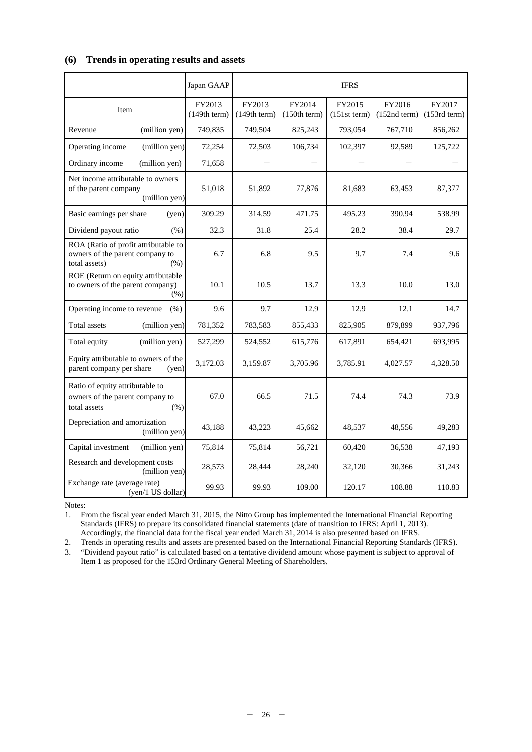## **(6) Trends in operating results and assets**

|                                                                                                  | Japan GAAP             | <b>IFRS</b>            |                        |                          |                        |                          |
|--------------------------------------------------------------------------------------------------|------------------------|------------------------|------------------------|--------------------------|------------------------|--------------------------|
| Item                                                                                             | FY2013<br>(149th term) | FY2013<br>(149th term) | FY2014<br>(150th term) | FY2015<br>$(151st$ term) | FY2016<br>(152nd term) | FY2017<br>$(153rd$ term) |
| (million yen)<br>Revenue                                                                         | 749,835                | 749,504                | 825,243                | 793,054                  | 767,710                | 856,262                  |
| Operating income<br>(million yen)                                                                | 72,254                 | 72,503                 | 106,734                | 102,397                  | 92,589                 | 125,722                  |
| Ordinary income<br>(million yen)                                                                 | 71,658                 |                        |                        |                          |                        |                          |
| Net income attributable to owners<br>of the parent company<br>(million yen)                      | 51,018                 | 51,892                 | 77,876                 | 81,683                   | 63,453                 | 87,377                   |
| Basic earnings per share<br>(ven)                                                                | 309.29                 | 314.59                 | 471.75                 | 495.23                   | 390.94                 | 538.99                   |
| Dividend payout ratio<br>(% )                                                                    | 32.3                   | 31.8                   | 25.4                   | 28.2                     | 38.4                   | 29.7                     |
| ROA (Ratio of profit attributable to<br>owners of the parent company to<br>total assets)<br>(% ) | 6.7                    | 6.8                    | 9.5                    | 9.7                      | 7.4                    | 9.6                      |
| ROE (Return on equity attributable<br>to owners of the parent company)<br>(% )                   | 10.1                   | 10.5                   | 13.7                   | 13.3                     | 10.0                   | 13.0                     |
| Operating income to revenue<br>(% )                                                              | 9.6                    | 9.7                    | 12.9                   | 12.9                     | 12.1                   | 14.7                     |
| Total assets<br>(million yen)                                                                    | 781,352                | 783,583                | 855,433                | 825,905                  | 879,899                | 937,796                  |
| Total equity<br>(million yen)                                                                    | 527,299                | 524,552                | 615,776                | 617,891                  | 654,421                | 693,995                  |
| Equity attributable to owners of the<br>parent company per share<br>(yen)                        | 3.172.03               | 3,159.87               | 3,705.96               | 3.785.91                 | 4,027.57               | 4,328.50                 |
| Ratio of equity attributable to<br>owners of the parent company to<br>total assets<br>(% )       | 67.0                   | 66.5                   | 71.5                   | 74.4                     | 74.3                   | 73.9                     |
| Depreciation and amortization<br>(million yen)                                                   | 43,188                 | 43,223                 | 45,662                 | 48,537                   | 48,556                 | 49,283                   |
| Capital investment<br>(million yen)<br>75,814                                                    |                        | 75,814                 | 56,721                 | 60,420                   | 36,538                 | 47,193                   |
| Research and development costs<br>28,573<br>(million yen)                                        |                        | 28,444                 | 28,240                 | 32,120                   | 30,366                 | 31,243                   |
| Exchange rate (average rate)<br>(yen/1 US dollar)                                                | 99.93                  | 99.93                  | 109.00                 | 120.17                   | 108.88                 | 110.83                   |

Notes:

1. From the fiscal year ended March 31, 2015, the Nitto Group has implemented the International Financial Reporting Standards (IFRS) to prepare its consolidated financial statements (date of transition to IFRS: April 1, 2013). Accordingly, the financial data for the fiscal year ended March 31, 2014 is also presented based on IFRS.

2. Trends in operating results and assets are presented based on the International Financial Reporting Standards (IFRS). 3. "Dividend payout ratio" is calculated based on a tentative dividend amount whose payment is subject to approval of

Item 1 as proposed for the 153rd Ordinary General Meeting of Shareholders.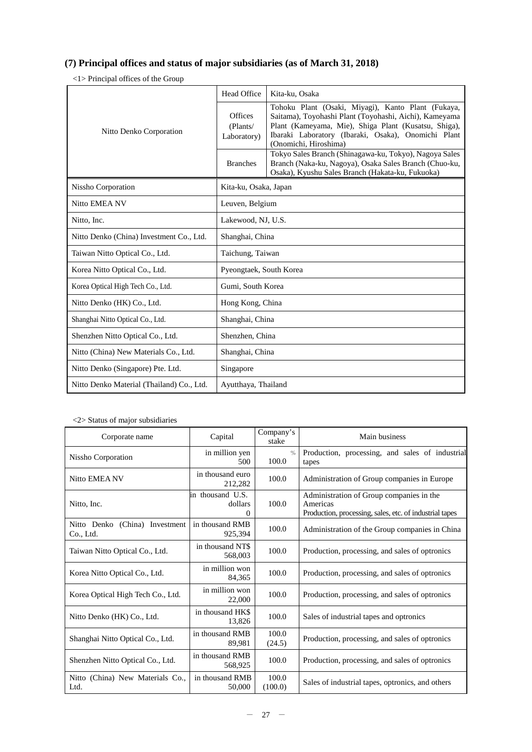# **(7) Principal offices and status of major subsidiaries (as of March 31, 2018)**

<1> Principal offices of the Group

|                                                                  | Head Office<br>Kita-ku, Osaka      |                                                                                                                                                                                                                                                      |  |
|------------------------------------------------------------------|------------------------------------|------------------------------------------------------------------------------------------------------------------------------------------------------------------------------------------------------------------------------------------------------|--|
| Nitto Denko Corporation                                          | Offices<br>(Plants/<br>Laboratory) | Tohoku Plant (Osaki, Miyagi), Kanto Plant (Fukaya,<br>Saitama), Toyohashi Plant (Toyohashi, Aichi), Kameyama<br>Plant (Kameyama, Mie), Shiga Plant (Kusatsu, Shiga),<br>Ibaraki Laboratory (Ibaraki, Osaka), Onomichi Plant<br>(Onomichi, Hiroshima) |  |
|                                                                  | <b>Branches</b>                    | Tokyo Sales Branch (Shinagawa-ku, Tokyo), Nagoya Sales<br>Branch (Naka-ku, Nagoya), Osaka Sales Branch (Chuo-ku,<br>Osaka), Kyushu Sales Branch (Hakata-ku, Fukuoka)                                                                                 |  |
| Nissho Corporation                                               | Kita-ku, Osaka, Japan              |                                                                                                                                                                                                                                                      |  |
| Nitto EMEA NV                                                    | Leuven, Belgium                    |                                                                                                                                                                                                                                                      |  |
| Nitto, Inc.<br>Lakewood, NJ, U.S.                                |                                    |                                                                                                                                                                                                                                                      |  |
| Nitto Denko (China) Investment Co., Ltd.<br>Shanghai, China      |                                    |                                                                                                                                                                                                                                                      |  |
| Taiwan Nitto Optical Co., Ltd.                                   | Taichung, Taiwan                   |                                                                                                                                                                                                                                                      |  |
| Korea Nitto Optical Co., Ltd.                                    | Pyeongtaek, South Korea            |                                                                                                                                                                                                                                                      |  |
| Gumi, South Korea<br>Korea Optical High Tech Co., Ltd.           |                                    |                                                                                                                                                                                                                                                      |  |
| Hong Kong, China<br>Nitto Denko (HK) Co., Ltd.                   |                                    |                                                                                                                                                                                                                                                      |  |
| Shanghai Nitto Optical Co., Ltd.<br>Shanghai, China              |                                    |                                                                                                                                                                                                                                                      |  |
| Shenzhen Nitto Optical Co., Ltd.<br>Shenzhen, China              |                                    |                                                                                                                                                                                                                                                      |  |
| Nitto (China) New Materials Co., Ltd.                            | Shanghai, China                    |                                                                                                                                                                                                                                                      |  |
| Nitto Denko (Singapore) Pte. Ltd.                                | Singapore                          |                                                                                                                                                                                                                                                      |  |
| Nitto Denko Material (Thailand) Co., Ltd.<br>Ayutthaya, Thailand |                                    |                                                                                                                                                                                                                                                      |  |

#### <2> Status of major subsidiaries

| Corporate name                              | Capital                          | Company's<br>stake     | Main business                                                                                                   |
|---------------------------------------------|----------------------------------|------------------------|-----------------------------------------------------------------------------------------------------------------|
| Nissho Corporation                          | in million yen<br>500            | $\frac{0}{0}$<br>100.0 | Production, processing, and sales of industrial<br>tapes                                                        |
| Nitto EMEA NV                               | in thousand euro<br>212,282      | 100.0                  | Administration of Group companies in Europe                                                                     |
| Nitto, Inc.                                 | in thousand U.S.<br>dollars<br>0 | 100.0                  | Administration of Group companies in the<br>Americas<br>Production, processing, sales, etc. of industrial tapes |
| Nitto Denko (China) Investment<br>Co., Ltd. | in thousand RMB<br>925,394       | 100.0                  | Administration of the Group companies in China                                                                  |
| Taiwan Nitto Optical Co., Ltd.              | in thousand NT\$<br>568,003      | 100.0                  | Production, processing, and sales of optronics                                                                  |
| Korea Nitto Optical Co., Ltd.               | in million won<br>84.365         | 100.0                  | Production, processing, and sales of optronics                                                                  |
| Korea Optical High Tech Co., Ltd.           | in million won<br>22,000         | 100.0                  | Production, processing, and sales of optronics                                                                  |
| Nitto Denko (HK) Co., Ltd.                  | in thousand HK\$<br>13.826       | 100.0                  | Sales of industrial tapes and optronics                                                                         |
| Shanghai Nitto Optical Co., Ltd.            | in thousand RMB<br>89,981        | 100.0<br>(24.5)        | Production, processing, and sales of optronics                                                                  |
| Shenzhen Nitto Optical Co., Ltd.            | in thousand RMB<br>568,925       | 100.0                  | Production, processing, and sales of optronics                                                                  |
| Nitto (China) New Materials Co.,<br>Ltd.    | in thousand RMB<br>50,000        | 100.0<br>(100.0)       | Sales of industrial tapes, optronics, and others                                                                |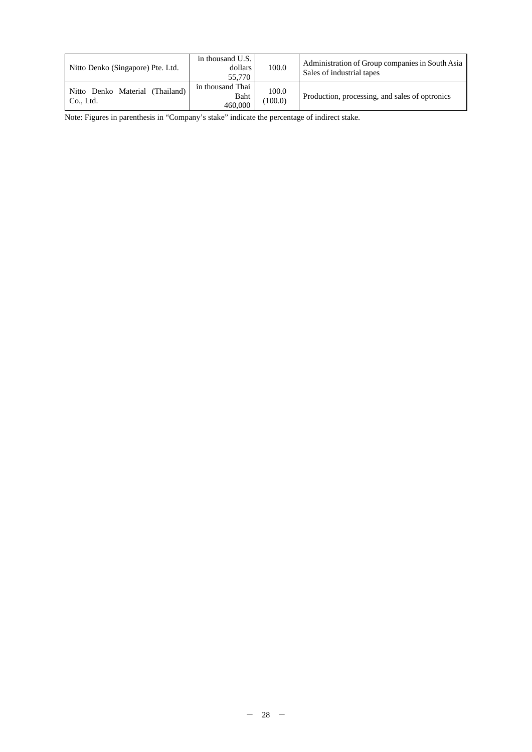| Nitto Denko (Singapore) Pte. Ltd.            | in thousand U.S.<br>dollars<br>55.770 |                  | Administration of Group companies in South Asia<br>Sales of industrial tapes |
|----------------------------------------------|---------------------------------------|------------------|------------------------------------------------------------------------------|
| Nitto Denko Material (Thailand)<br>Co., Ltd. | in thousand Thai<br>Baht<br>460,000   | 100.0<br>(100.0) | Production, processing, and sales of optronics                               |

Note: Figures in parenthesis in "Company's stake" indicate the percentage of indirect stake.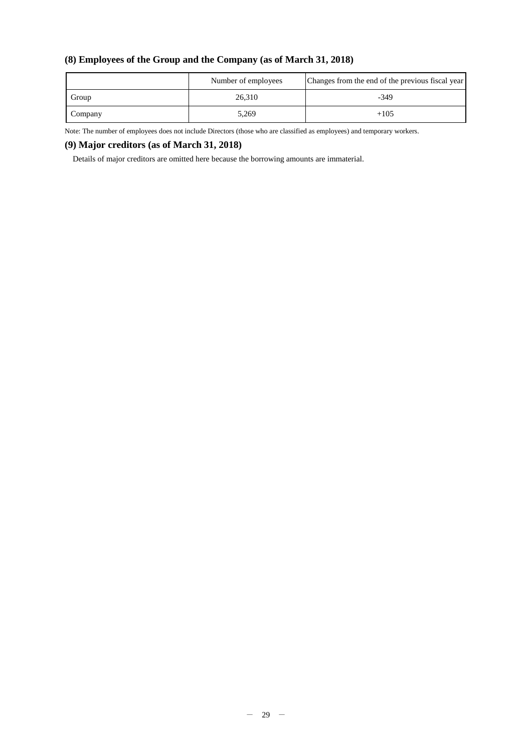# **(8) Employees of the Group and the Company (as of March 31, 2018)**

|         | Number of employees | Changes from the end of the previous fiscal year |
|---------|---------------------|--------------------------------------------------|
| Group   | 26,310              | $-349$                                           |
| Company | 5,269               | $+105$                                           |

Note: The number of employees does not include Directors (those who are classified as employees) and temporary workers.

## **(9) Major creditors (as of March 31, 2018)**

Details of major creditors are omitted here because the borrowing amounts are immaterial.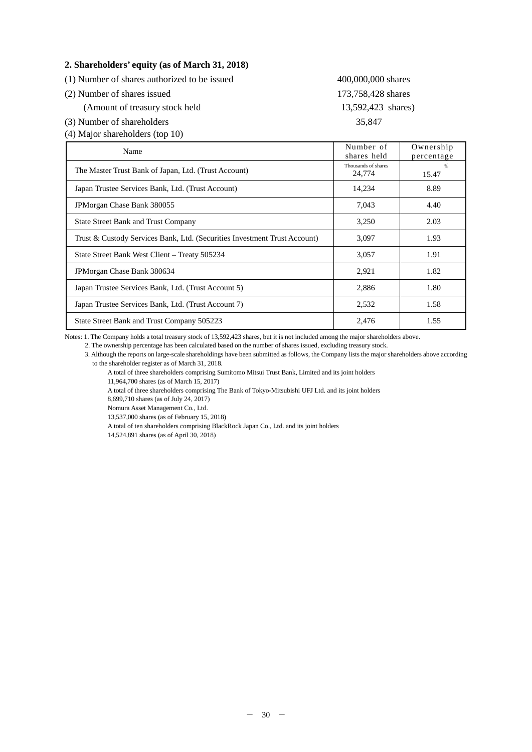#### **2. Shareholders' equity (as of March 31, 2018)**

(1) Number of shares authorized to be issued 400,000,000 shares

- (2) Number of shares issued 173,758,428 shares
	- (Amount of treasury stock held 13,592,423 shares)
- (3) Number of shareholders 35,847
- (4) Major shareholders (top 10)

| Name                                                                      | Number of<br>shares held      | Ownership<br>percentage |
|---------------------------------------------------------------------------|-------------------------------|-------------------------|
| The Master Trust Bank of Japan, Ltd. (Trust Account)                      | Thousands of shares<br>24,774 | $\frac{0}{0}$<br>15.47  |
| Japan Trustee Services Bank, Ltd. (Trust Account)                         | 14,234                        | 8.89                    |
| JPM organ Chase Bank 380055                                               | 7.043                         | 4.40                    |
| <b>State Street Bank and Trust Company</b>                                | 3,250                         | 2.03                    |
| Trust & Custody Services Bank, Ltd. (Securities Investment Trust Account) | 3,097                         | 1.93                    |
| State Street Bank West Client – Treaty 505234                             | 3,057                         | 1.91                    |
| JPM organ Chase Bank 380634                                               | 2,921                         | 1.82                    |
| Japan Trustee Services Bank, Ltd. (Trust Account 5)                       | 2,886                         | 1.80                    |
| Japan Trustee Services Bank, Ltd. (Trust Account 7)                       | 2,532                         | 1.58                    |
| State Street Bank and Trust Company 505223                                | 2,476                         | 1.55                    |

Notes: 1. The Company holds a total treasury stock of 13,592,423 shares, but it is not included among the major shareholders above.

2. The ownership percentage has been calculated based on the number of shares issued, excluding treasury stock.

3. Although the reports on large-scale shareholdings have been submitted as follows, the Company lists the major shareholders above according to the shareholder register as of March 31, 2018.

A total of three shareholders comprising Sumitomo Mitsui Trust Bank, Limited and its joint holders

A total of three shareholders comprising The Bank of Tokyo-Mitsubishi UFJ Ltd. and its joint holders

8,699,710 shares (as of July 24, 2017)

Nomura Asset Management Co., Ltd. 13,537,000 shares (as of February 15, 2018)

A total of ten shareholders comprising BlackRock Japan Co., Ltd. and its joint holders

14,524,891 shares (as of April 30, 2018)

<sup>11,964,700</sup> shares (as of March 15, 2017)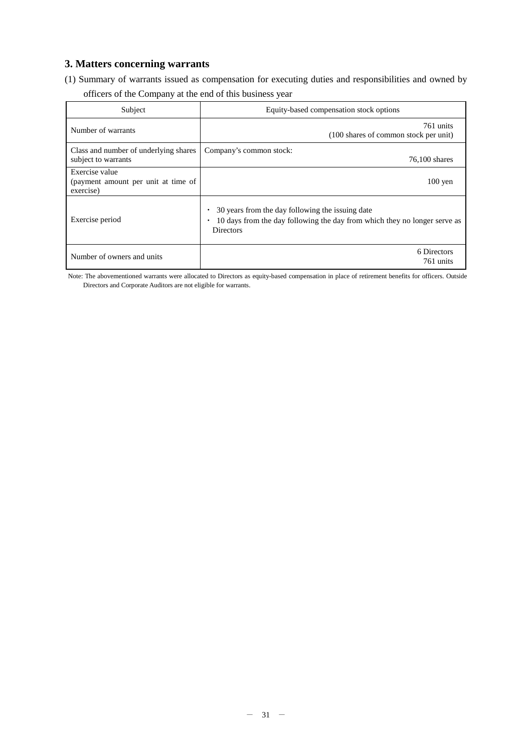# **3. Matters concerning warrants**

(1) Summary of warrants issued as compensation for executing duties and responsibilities and owned by

| Subject                                                            | Equity-based compensation stock options                                                                                                           |
|--------------------------------------------------------------------|---------------------------------------------------------------------------------------------------------------------------------------------------|
| Number of warrants                                                 | 761 units<br>(100 shares of common stock per unit)                                                                                                |
| Class and number of underlying shares<br>subject to warrants       | Company's common stock:<br>$76,100$ shares                                                                                                        |
| Exercise value<br>(payment amount per unit at time of<br>exercise) | $100 \text{ yen}$                                                                                                                                 |
| Exercise period                                                    | 30 years from the day following the issuing date<br>10 days from the day following the day from which they no longer serve as<br><b>Directors</b> |
| Number of owners and units                                         | 6 Directors<br>761 units                                                                                                                          |

Note: The abovementioned warrants were allocated to Directors as equity-based compensation in place of retirement benefits for officers. Outside Directors and Corporate Auditors are not eligible for warrants.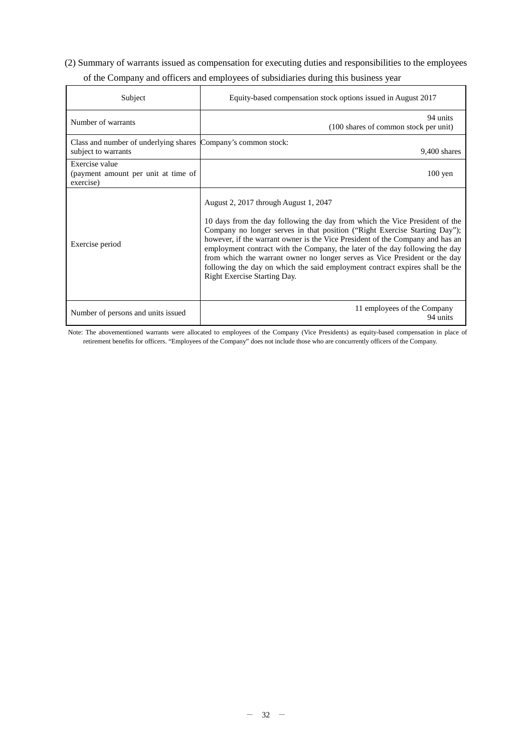# (2) Summary of warrants issued as compensation for executing duties and responsibilities to the employees of the Company and officers and employees of subsidiaries during this business year

| Subject                                                                              | Equity-based compensation stock options issued in August 2017                                                                                                                                                                                                                                                                                                                                                                                                                                                                                                     |
|--------------------------------------------------------------------------------------|-------------------------------------------------------------------------------------------------------------------------------------------------------------------------------------------------------------------------------------------------------------------------------------------------------------------------------------------------------------------------------------------------------------------------------------------------------------------------------------------------------------------------------------------------------------------|
| Number of warrants                                                                   | 94 units<br>(100 shares of common stock per unit)                                                                                                                                                                                                                                                                                                                                                                                                                                                                                                                 |
| Class and number of underlying shares Company's common stock:<br>subject to warrants | $9,400$ shares                                                                                                                                                                                                                                                                                                                                                                                                                                                                                                                                                    |
| Exercise value<br>(payment amount per unit at time of<br>exercise)                   | $100 \text{ yen}$                                                                                                                                                                                                                                                                                                                                                                                                                                                                                                                                                 |
| Exercise period                                                                      | August 2, 2017 through August 1, 2047<br>10 days from the day following the day from which the Vice President of the<br>Company no longer serves in that position ("Right Exercise Starting Day");<br>however, if the warrant owner is the Vice President of the Company and has an<br>employment contract with the Company, the later of the day following the day<br>from which the warrant owner no longer serves as Vice President or the day<br>following the day on which the said employment contract expires shall be the<br>Right Exercise Starting Day. |
| Number of persons and units issued                                                   | 11 employees of the Company<br>94 units                                                                                                                                                                                                                                                                                                                                                                                                                                                                                                                           |

Note: The abovementioned warrants were allocated to employees of the Company (Vice Presidents) as equity-based compensation in place of retirement benefits for officers. "Employees of the Company" does not include those who are concurrently officers of the Company.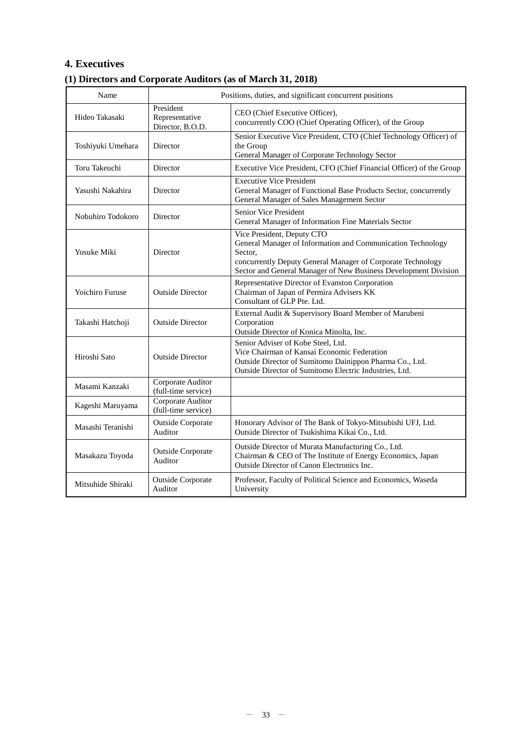# **4. Executives**

# **(1) Directors and Corporate Auditors (as of March 31, 2018)**

| Name              | Positions, duties, and significant concurrent positions |                                                                                                                                                                                                                                        |  |
|-------------------|---------------------------------------------------------|----------------------------------------------------------------------------------------------------------------------------------------------------------------------------------------------------------------------------------------|--|
| Hideo Takasaki    | President<br>Representative<br>Director, B.O.D.         | CEO (Chief Executive Officer),<br>concurrently COO (Chief Operating Officer), of the Group                                                                                                                                             |  |
| Toshiyuki Umehara | Director                                                | Senior Executive Vice President, CTO (Chief Technology Officer) of<br>the Group<br>General Manager of Corporate Technology Sector                                                                                                      |  |
| Toru Takeuchi     | Director                                                | Executive Vice President, CFO (Chief Financial Officer) of the Group                                                                                                                                                                   |  |
| Yasushi Nakahira  | Director                                                | <b>Executive Vice President</b><br>General Manager of Functional Base Products Sector, concurrently<br>General Manager of Sales Management Sector                                                                                      |  |
| Nobuhiro Todokoro | Director                                                | <b>Senior Vice President</b><br>General Manager of Information Fine Materials Sector                                                                                                                                                   |  |
| Yosuke Miki       | Director                                                | Vice President, Deputy CTO<br>General Manager of Information and Communication Technology<br>Sector,<br>concurrently Deputy General Manager of Corporate Technology<br>Sector and General Manager of New Business Development Division |  |
| Yoichiro Furuse   | <b>Outside Director</b>                                 | Representative Director of Evanston Corporation<br>Chairman of Japan of Permira Advisers KK<br>Consultant of GLP Pte. Ltd.                                                                                                             |  |
| Takashi Hatchoji  | <b>Outside Director</b>                                 | External Audit & Supervisory Board Member of Marubeni<br>Corporation<br>Outside Director of Konica Minolta, Inc.                                                                                                                       |  |
| Hiroshi Sato      | <b>Outside Director</b>                                 | Senior Adviser of Kobe Steel, Ltd.<br>Vice Chairman of Kansai Economic Federation<br>Outside Director of Sumitomo Dainippon Pharma Co., Ltd.<br>Outside Director of Sumitomo Electric Industries, Ltd.                                 |  |
| Masami Kanzaki    | Corporate Auditor<br>(full-time service)                |                                                                                                                                                                                                                                        |  |
| Kageshi Maruyama  | Corporate Auditor<br>(full-time service)                |                                                                                                                                                                                                                                        |  |
| Masashi Teranishi | <b>Outside Corporate</b><br>Auditor                     | Honorary Advisor of The Bank of Tokyo-Mitsubishi UFJ, Ltd.<br>Outside Director of Tsukishima Kikai Co., Ltd.                                                                                                                           |  |
| Masakazu Toyoda   | <b>Outside Corporate</b><br>Auditor                     | Outside Director of Murata Manufacturing Co., Ltd.<br>Chairman & CEO of The Institute of Energy Economics, Japan<br>Outside Director of Canon Electronics Inc.                                                                         |  |
| Mitsuhide Shiraki | <b>Outside Corporate</b><br>Auditor                     | Professor, Faculty of Political Science and Economics, Waseda<br>University                                                                                                                                                            |  |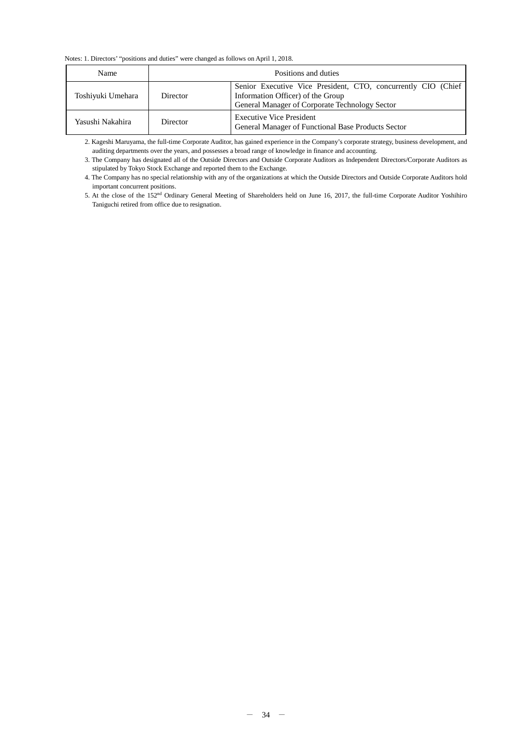Notes: 1. Directors' "positions and duties" were changed as follows on April 1, 2018.

| <b>Name</b>       | Positions and duties |                                                                                                                                                      |  |  |  |
|-------------------|----------------------|------------------------------------------------------------------------------------------------------------------------------------------------------|--|--|--|
| Toshiyuki Umehara | Director             | Senior Executive Vice President, CTO, concurrently CIO (Chief<br>Information Officer) of the Group<br>General Manager of Corporate Technology Sector |  |  |  |
| Yasushi Nakahira  | Director             | <b>Executive Vice President</b><br>General Manager of Functional Base Products Sector                                                                |  |  |  |

2. Kageshi Maruyama, the full-time Corporate Auditor, has gained experience in the Company's corporate strategy, business development, and auditing departments over the years, and possesses a broad range of knowledge in finance and accounting.

3. The Company has designated all of the Outside Directors and Outside Corporate Auditors as Independent Directors/Corporate Auditors as stipulated by Tokyo Stock Exchange and reported them to the Exchange.

4. The Company has no special relationship with any of the organizations at which the Outside Directors and Outside Corporate Auditors hold important concurrent positions.

5. At the close of the 152nd Ordinary General Meeting of Shareholders held on June 16, 2017, the full-time Corporate Auditor Yoshihiro Taniguchi retired from office due to resignation.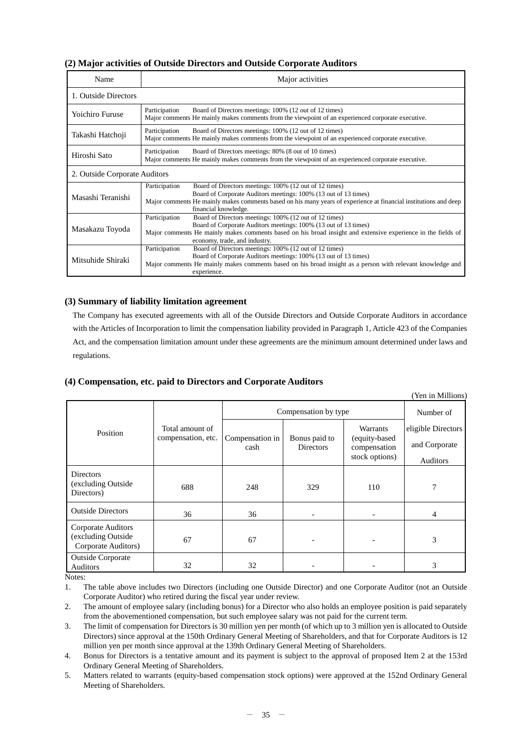### **(2) Major activities of Outside Directors and Outside Corporate Auditors**

| Name                          | Major activities                                                                                                                                                                                                                                                                            |  |  |
|-------------------------------|---------------------------------------------------------------------------------------------------------------------------------------------------------------------------------------------------------------------------------------------------------------------------------------------|--|--|
| 1. Outside Directors          |                                                                                                                                                                                                                                                                                             |  |  |
| Yoichiro Furuse               | Participation<br>Board of Directors meetings: 100% (12 out of 12 times)<br>Major comments He mainly makes comments from the viewpoint of an experienced corporate executive.                                                                                                                |  |  |
| Takashi Hatchoji              | Participation<br>Board of Directors meetings: 100% (12 out of 12 times)<br>Major comments He mainly makes comments from the viewpoint of an experienced corporate executive.                                                                                                                |  |  |
| Hiroshi Sato                  | Participation<br>Board of Directors meetings: 80% (8 out of 10 times)<br>Major comments He mainly makes comments from the viewpoint of an experienced corporate executive.                                                                                                                  |  |  |
| 2. Outside Corporate Auditors |                                                                                                                                                                                                                                                                                             |  |  |
| Masashi Teranishi             | Participation<br>Board of Directors meetings: 100% (12 out of 12 times)<br>Board of Corporate Auditors meetings: 100% (13 out of 13 times)<br>Major comments He mainly makes comments based on his many years of experience at financial institutions and deep<br>financial knowledge.      |  |  |
| Masakazu Toyoda               | Participation<br>Board of Directors meetings: 100% (12 out of 12 times)<br>Board of Corporate Auditors meetings: 100% (13 out of 13 times)<br>Major comments He mainly makes comments based on his broad insight and extensive experience in the fields of<br>economy, trade, and industry. |  |  |
| Mitsuhide Shiraki             | Participation<br>Board of Directors meetings: 100% (12 out of 12 times)<br>Board of Corporate Auditors meetings: 100% (13 out of 13 times)<br>Major comments He mainly makes comments based on his broad insight as a person with relevant knowledge and<br>experience.                     |  |  |

#### **(3) Summary of liability limitation agreement**

The Company has executed agreements with all of the Outside Directors and Outside Corporate Auditors in accordance with the Articles of Incorporation to limit the compensation liability provided in Paragraph 1, Article 423 of the Companies Act, and the compensation limitation amount under these agreements are the minimum amount determined under laws and regulations.

#### **(4) Compensation, etc. paid to Directors and Corporate Auditors**

|                                                                        |                                       |                         |                                   |                                           | (Yen in Millions)  |
|------------------------------------------------------------------------|---------------------------------------|-------------------------|-----------------------------------|-------------------------------------------|--------------------|
|                                                                        |                                       | Compensation by type    | Number of                         |                                           |                    |
| Position                                                               | Total amount of<br>compensation, etc. |                         | Bonus paid to<br><b>Directors</b> | Warrants<br>(equity-based<br>compensation | eligible Directors |
|                                                                        |                                       | Compensation in<br>cash |                                   |                                           | and Corporate      |
|                                                                        |                                       |                         |                                   | stock options)                            | Auditors           |
| <b>Directors</b><br>(excluding Outside)<br>Directors)                  | 688                                   | 248                     | 329                               | 110                                       | 7                  |
| <b>Outside Directors</b>                                               | 36                                    | 36                      |                                   |                                           | 4                  |
| <b>Corporate Auditors</b><br>(excluding Outside<br>Corporate Auditors) | 67                                    | 67                      |                                   |                                           | 3                  |
| <b>Outside Corporate</b><br>Auditors                                   | 32                                    | 32                      |                                   |                                           | 3                  |

Notes:

1. The table above includes two Directors (including one Outside Director) and one Corporate Auditor (not an Outside Corporate Auditor) who retired during the fiscal year under review.

2. The amount of employee salary (including bonus) for a Director who also holds an employee position is paid separately from the abovementioned compensation, but such employee salary was not paid for the current term.

3. The limit of compensation for Directors is 30 million yen per month (of which up to 3 million yen is allocated to Outside Directors) since approval at the 150th Ordinary General Meeting of Shareholders, and that for Corporate Auditors is 12 million yen per month since approval at the 139th Ordinary General Meeting of Shareholders.

4. Bonus for Directors is a tentative amount and its payment is subject to the approval of proposed Item 2 at the 153rd Ordinary General Meeting of Shareholders.

5. Matters related to warrants (equity-based compensation stock options) were approved at the 152nd Ordinary General Meeting of Shareholders.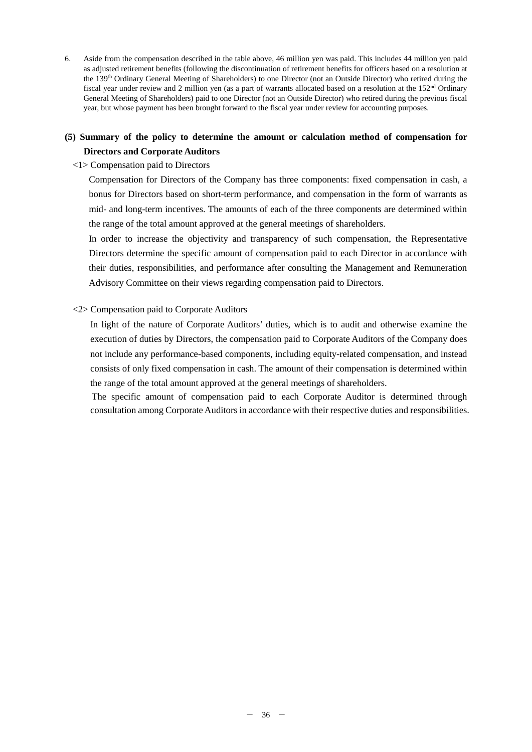6. Aside from the compensation described in the table above, 46 million yen was paid. This includes 44 million yen paid as adjusted retirement benefits (following the discontinuation of retirement benefits for officers based on a resolution at the 139th Ordinary General Meeting of Shareholders) to one Director (not an Outside Director) who retired during the fiscal year under review and 2 million yen (as a part of warrants allocated based on a resolution at the 152<sup>nd</sup> Ordinary General Meeting of Shareholders) paid to one Director (not an Outside Director) who retired during the previous fiscal year, but whose payment has been brought forward to the fiscal year under review for accounting purposes.

# **(5) Summary of the policy to determine the amount or calculation method of compensation for Directors and Corporate Auditors**

#### <1> Compensation paid to Directors

Compensation for Directors of the Company has three components: fixed compensation in cash, a bonus for Directors based on short-term performance, and compensation in the form of warrants as mid- and long-term incentives. The amounts of each of the three components are determined within the range of the total amount approved at the general meetings of shareholders.

In order to increase the objectivity and transparency of such compensation, the Representative Directors determine the specific amount of compensation paid to each Director in accordance with their duties, responsibilities, and performance after consulting the Management and Remuneration Advisory Committee on their views regarding compensation paid to Directors.

#### <2> Compensation paid to Corporate Auditors

In light of the nature of Corporate Auditors' duties, which is to audit and otherwise examine the execution of duties by Directors, the compensation paid to Corporate Auditors of the Company does not include any performance-based components, including equity-related compensation, and instead consists of only fixed compensation in cash. The amount of their compensation is determined within the range of the total amount approved at the general meetings of shareholders.

The specific amount of compensation paid to each Corporate Auditor is determined through consultation among Corporate Auditors in accordance with their respective duties and responsibilities.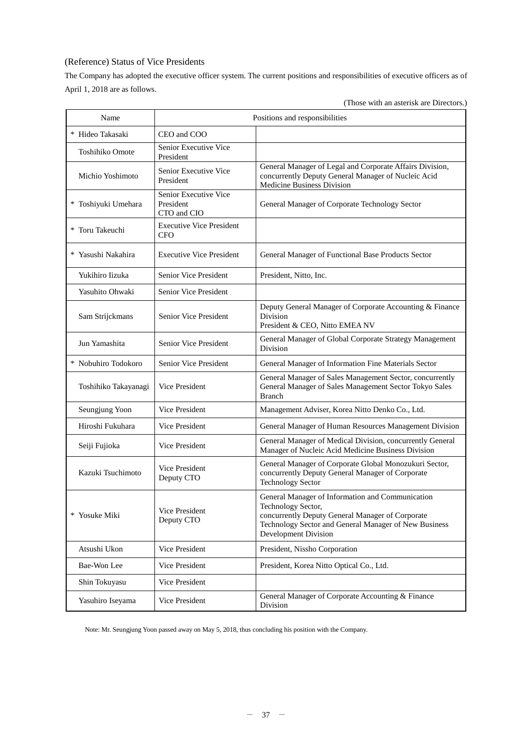## (Reference) Status of Vice Presidents

The Company has adopted the executive officer system. The current positions and responsibilities of executive officers as of April 1, 2018 are as follows.

|  |  |  |  |  | (Those with an asterisk are Directors.) |  |
|--|--|--|--|--|-----------------------------------------|--|
|--|--|--|--|--|-----------------------------------------|--|

| Name                 | Positions and responsibilities                    |                                                                                                                                                                                                             |  |  |
|----------------------|---------------------------------------------------|-------------------------------------------------------------------------------------------------------------------------------------------------------------------------------------------------------------|--|--|
| * Hideo Takasaki     | CEO and COO                                       |                                                                                                                                                                                                             |  |  |
| Toshihiko Omote      | Senior Executive Vice<br>President                |                                                                                                                                                                                                             |  |  |
| Michio Yoshimoto     | Senior Executive Vice<br>President                | General Manager of Legal and Corporate Affairs Division,<br>concurrently Deputy General Manager of Nucleic Acid<br>Medicine Business Division                                                               |  |  |
| * Toshiyuki Umehara  | Senior Executive Vice<br>President<br>CTO and CIO | General Manager of Corporate Technology Sector                                                                                                                                                              |  |  |
| * Toru Takeuchi      | <b>Executive Vice President</b><br><b>CFO</b>     |                                                                                                                                                                                                             |  |  |
| * Yasushi Nakahira   | <b>Executive Vice President</b>                   | General Manager of Functional Base Products Sector                                                                                                                                                          |  |  |
| Yukihiro Iizuka      | Senior Vice President                             | President, Nitto, Inc.                                                                                                                                                                                      |  |  |
| Yasuhito Ohwaki      | Senior Vice President                             |                                                                                                                                                                                                             |  |  |
| Sam Strijckmans      | Senior Vice President                             | Deputy General Manager of Corporate Accounting & Finance<br>Division<br>President & CEO, Nitto EMEA NV                                                                                                      |  |  |
| Jun Yamashita        | <b>Senior Vice President</b>                      | General Manager of Global Corporate Strategy Management<br>Division                                                                                                                                         |  |  |
| * Nobuhiro Todokoro  | Senior Vice President                             | General Manager of Information Fine Materials Sector                                                                                                                                                        |  |  |
| Toshihiko Takayanagi | <b>Vice President</b>                             | General Manager of Sales Management Sector, concurrently<br>General Manager of Sales Management Sector Tokyo Sales<br><b>Branch</b>                                                                         |  |  |
| Seungjung Yoon       | <b>Vice President</b>                             | Management Adviser, Korea Nitto Denko Co., Ltd.                                                                                                                                                             |  |  |
| Hiroshi Fukuhara     | Vice President                                    | General Manager of Human Resources Management Division                                                                                                                                                      |  |  |
| Seiji Fujioka        | <b>Vice President</b>                             | General Manager of Medical Division, concurrently General<br>Manager of Nucleic Acid Medicine Business Division                                                                                             |  |  |
| Kazuki Tsuchimoto    | Vice President<br>Deputy CTO                      | General Manager of Corporate Global Monozukuri Sector,<br>concurrently Deputy General Manager of Corporate<br><b>Technology Sector</b>                                                                      |  |  |
| Yosuke Miki<br>*     | Vice President<br>Deputy CTO                      | General Manager of Information and Communication<br>Technology Sector,<br>concurrently Deputy General Manager of Corporate<br>Technology Sector and General Manager of New Business<br>Development Division |  |  |
| Atsushi Ukon         | Vice President                                    | President, Nissho Corporation                                                                                                                                                                               |  |  |
| Bae-Won Lee          | Vice President                                    | President, Korea Nitto Optical Co., Ltd.                                                                                                                                                                    |  |  |
| Shin Tokuyasu        | <b>Vice President</b>                             |                                                                                                                                                                                                             |  |  |
| Yasuhiro Iseyama     | Vice President                                    | General Manager of Corporate Accounting & Finance<br>Division                                                                                                                                               |  |  |

Note: Mr. Seungjung Yoon passed away on May 5, 2018, thus concluding his position with the Company.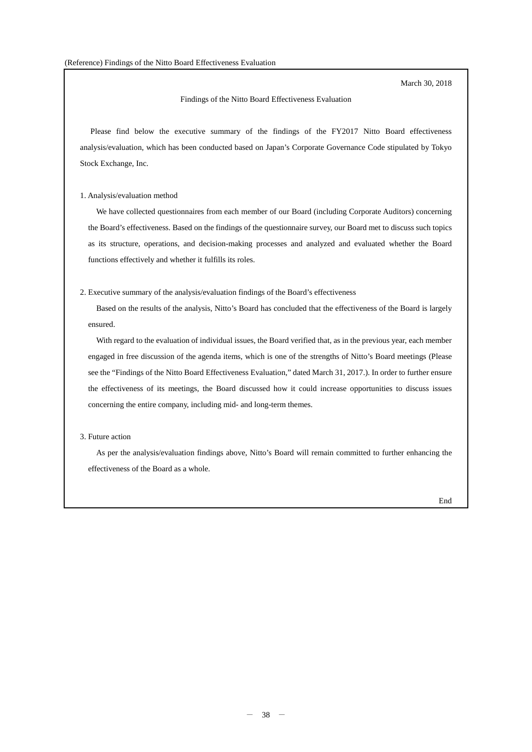March 30, 2018

#### Findings of the Nitto Board Effectiveness Evaluation

Please find below the executive summary of the findings of the FY2017 Nitto Board effectiveness analysis/evaluation, which has been conducted based on Japan's Corporate Governance Code stipulated by Tokyo Stock Exchange, Inc.

#### 1. Analysis/evaluation method

We have collected questionnaires from each member of our Board (including Corporate Auditors) concerning the Board's effectiveness. Based on the findings of the questionnaire survey, our Board met to discuss such topics as its structure, operations, and decision-making processes and analyzed and evaluated whether the Board functions effectively and whether it fulfills its roles.

#### 2. Executive summary of the analysis/evaluation findings of the Board's effectiveness

Based on the results of the analysis, Nitto's Board has concluded that the effectiveness of the Board is largely ensured.

With regard to the evaluation of individual issues, the Board verified that, as in the previous year, each member engaged in free discussion of the agenda items, which is one of the strengths of Nitto's Board meetings (Please see the "Findings of the Nitto Board Effectiveness Evaluation," dated March 31, 2017.). In order to further ensure the effectiveness of its meetings, the Board discussed how it could increase opportunities to discuss issues concerning the entire company, including mid- and long-term themes.

#### 3. Future action

As per the analysis/evaluation findings above, Nitto's Board will remain committed to further enhancing the effectiveness of the Board as a whole.

End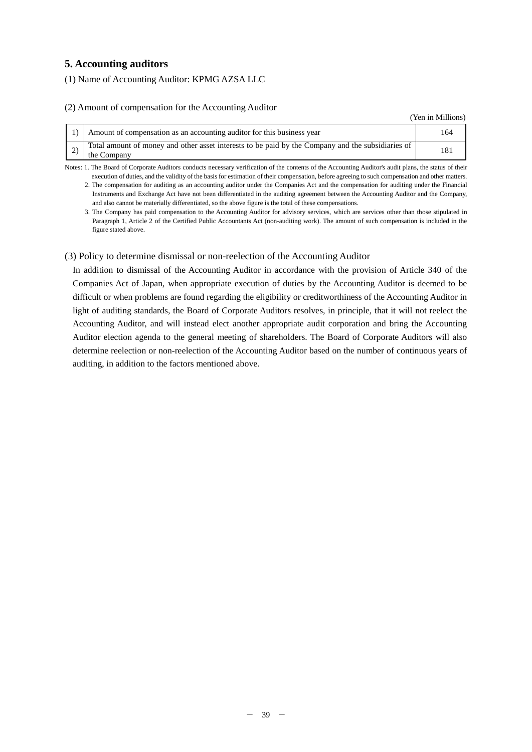## **5. Accounting auditors**

(1) Name of Accounting Auditor: KPMG AZSA LLC

#### (2) Amount of compensation for the Accounting Auditor

(Yen in Millions)

| Amount of compensation as an accounting auditor for this business year                                           |  |
|------------------------------------------------------------------------------------------------------------------|--|
| Total amount of money and other asset interests to be paid by the Company and the subsidiaries of<br>the Company |  |

Notes: 1. The Board of Corporate Auditors conducts necessary verification of the contents of the Accounting Auditor's audit plans, the status of their execution of duties, and the validity of the basis for estimation of their compensation, before agreeing to such compensation and other matters.

2. The compensation for auditing as an accounting auditor under the Companies Act and the compensation for auditing under the Financial Instruments and Exchange Act have not been differentiated in the auditing agreement between the Accounting Auditor and the Company, and also cannot be materially differentiated, so the above figure is the total of these compensations.

3. The Company has paid compensation to the Accounting Auditor for advisory services, which are services other than those stipulated in Paragraph 1, Article 2 of the Certified Public Accountants Act (non-auditing work). The amount of such compensation is included in the figure stated above.

#### (3) Policy to determine dismissal or non-reelection of the Accounting Auditor

In addition to dismissal of the Accounting Auditor in accordance with the provision of Article 340 of the Companies Act of Japan, when appropriate execution of duties by the Accounting Auditor is deemed to be difficult or when problems are found regarding the eligibility or creditworthiness of the Accounting Auditor in light of auditing standards, the Board of Corporate Auditors resolves, in principle, that it will not reelect the Accounting Auditor, and will instead elect another appropriate audit corporation and bring the Accounting Auditor election agenda to the general meeting of shareholders. The Board of Corporate Auditors will also determine reelection or non-reelection of the Accounting Auditor based on the number of continuous years of auditing, in addition to the factors mentioned above.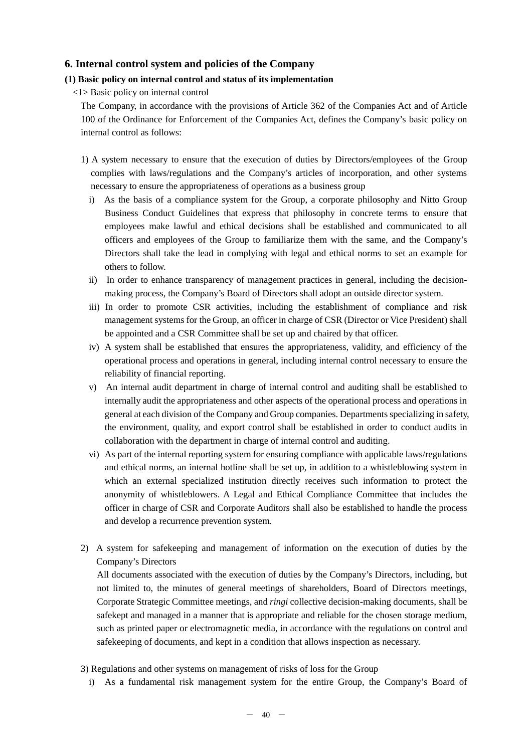## **6. Internal control system and policies of the Company**

#### **(1) Basic policy on internal control and status of its implementation**

<1> Basic policy on internal control

The Company, in accordance with the provisions of Article 362 of the Companies Act and of Article 100 of the Ordinance for Enforcement of the Companies Act, defines the Company's basic policy on internal control as follows:

- 1) A system necessary to ensure that the execution of duties by Directors/employees of the Group complies with laws/regulations and the Company's articles of incorporation, and other systems necessary to ensure the appropriateness of operations as a business group
	- i) As the basis of a compliance system for the Group, a corporate philosophy and Nitto Group Business Conduct Guidelines that express that philosophy in concrete terms to ensure that employees make lawful and ethical decisions shall be established and communicated to all officers and employees of the Group to familiarize them with the same, and the Company's Directors shall take the lead in complying with legal and ethical norms to set an example for others to follow.
	- ii) In order to enhance transparency of management practices in general, including the decisionmaking process, the Company's Board of Directors shall adopt an outside director system.
	- iii) In order to promote CSR activities, including the establishment of compliance and risk management systems for the Group, an officer in charge of CSR (Director or Vice President) shall be appointed and a CSR Committee shall be set up and chaired by that officer.
	- iv) A system shall be established that ensures the appropriateness, validity, and efficiency of the operational process and operations in general, including internal control necessary to ensure the reliability of financial reporting.
	- v) An internal audit department in charge of internal control and auditing shall be established to internally audit the appropriateness and other aspects of the operational process and operations in general at each division of the Company and Group companies. Departments specializing in safety, the environment, quality, and export control shall be established in order to conduct audits in collaboration with the department in charge of internal control and auditing.
	- vi) As part of the internal reporting system for ensuring compliance with applicable laws/regulations and ethical norms, an internal hotline shall be set up, in addition to a whistleblowing system in which an external specialized institution directly receives such information to protect the anonymity of whistleblowers. A Legal and Ethical Compliance Committee that includes the officer in charge of CSR and Corporate Auditors shall also be established to handle the process and develop a recurrence prevention system.
- 2) A system for safekeeping and management of information on the execution of duties by the Company's Directors

All documents associated with the execution of duties by the Company's Directors, including, but not limited to, the minutes of general meetings of shareholders, Board of Directors meetings, Corporate Strategic Committee meetings, and *ringi* collective decision-making documents, shall be safekept and managed in a manner that is appropriate and reliable for the chosen storage medium, such as printed paper or electromagnetic media, in accordance with the regulations on control and safekeeping of documents, and kept in a condition that allows inspection as necessary.

- 3) Regulations and other systems on management of risks of loss for the Group
	- i) As a fundamental risk management system for the entire Group, the Company's Board of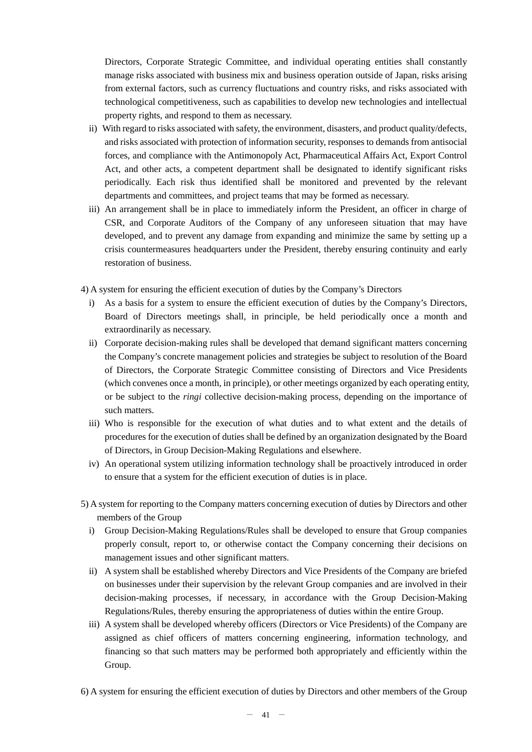Directors, Corporate Strategic Committee, and individual operating entities shall constantly manage risks associated with business mix and business operation outside of Japan, risks arising from external factors, such as currency fluctuations and country risks, and risks associated with technological competitiveness, such as capabilities to develop new technologies and intellectual property rights, and respond to them as necessary.

- ii) With regard to risks associated with safety, the environment, disasters, and product quality/defects, and risks associated with protection of information security, responses to demands from antisocial forces, and compliance with the Antimonopoly Act, Pharmaceutical Affairs Act, Export Control Act, and other acts, a competent department shall be designated to identify significant risks periodically. Each risk thus identified shall be monitored and prevented by the relevant departments and committees, and project teams that may be formed as necessary.
- iii) An arrangement shall be in place to immediately inform the President, an officer in charge of CSR, and Corporate Auditors of the Company of any unforeseen situation that may have developed, and to prevent any damage from expanding and minimize the same by setting up a crisis countermeasures headquarters under the President, thereby ensuring continuity and early restoration of business.

4) A system for ensuring the efficient execution of duties by the Company's Directors

- i) As a basis for a system to ensure the efficient execution of duties by the Company's Directors, Board of Directors meetings shall, in principle, be held periodically once a month and extraordinarily as necessary.
- ii) Corporate decision-making rules shall be developed that demand significant matters concerning the Company's concrete management policies and strategies be subject to resolution of the Board of Directors, the Corporate Strategic Committee consisting of Directors and Vice Presidents (which convenes once a month, in principle), or other meetings organized by each operating entity, or be subject to the *ringi* collective decision-making process, depending on the importance of such matters.
- iii) Who is responsible for the execution of what duties and to what extent and the details of procedures for the execution of duties shall be defined by an organization designated by the Board of Directors, in Group Decision-Making Regulations and elsewhere.
- iv) An operational system utilizing information technology shall be proactively introduced in order to ensure that a system for the efficient execution of duties is in place.
- 5) A system for reporting to the Company matters concerning execution of duties by Directors and other members of the Group
	- i) Group Decision-Making Regulations/Rules shall be developed to ensure that Group companies properly consult, report to, or otherwise contact the Company concerning their decisions on management issues and other significant matters.
	- ii) A system shall be established whereby Directors and Vice Presidents of the Company are briefed on businesses under their supervision by the relevant Group companies and are involved in their decision-making processes, if necessary, in accordance with the Group Decision-Making Regulations/Rules, thereby ensuring the appropriateness of duties within the entire Group.
	- iii) A system shall be developed whereby officers (Directors or Vice Presidents) of the Company are assigned as chief officers of matters concerning engineering, information technology, and financing so that such matters may be performed both appropriately and efficiently within the Group.
- 6) A system for ensuring the efficient execution of duties by Directors and other members of the Group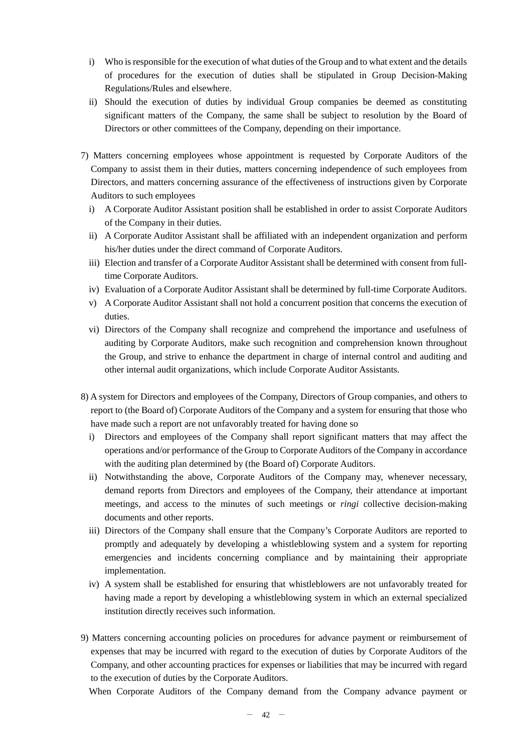- i) Who is responsible for the execution of what duties of the Group and to what extent and the details of procedures for the execution of duties shall be stipulated in Group Decision-Making Regulations/Rules and elsewhere.
- ii) Should the execution of duties by individual Group companies be deemed as constituting significant matters of the Company, the same shall be subject to resolution by the Board of Directors or other committees of the Company, depending on their importance.
- 7) Matters concerning employees whose appointment is requested by Corporate Auditors of the Company to assist them in their duties, matters concerning independence of such employees from Directors, and matters concerning assurance of the effectiveness of instructions given by Corporate Auditors to such employees
	- i) A Corporate Auditor Assistant position shall be established in order to assist Corporate Auditors of the Company in their duties.
	- ii) A Corporate Auditor Assistant shall be affiliated with an independent organization and perform his/her duties under the direct command of Corporate Auditors.
	- iii) Election and transfer of a Corporate Auditor Assistant shall be determined with consent from fulltime Corporate Auditors.
	- iv) Evaluation of a Corporate Auditor Assistant shall be determined by full-time Corporate Auditors.
	- v) A Corporate Auditor Assistant shall not hold a concurrent position that concerns the execution of duties.
	- vi) Directors of the Company shall recognize and comprehend the importance and usefulness of auditing by Corporate Auditors, make such recognition and comprehension known throughout the Group, and strive to enhance the department in charge of internal control and auditing and other internal audit organizations, which include Corporate Auditor Assistants.
- 8) A system for Directors and employees of the Company, Directors of Group companies, and others to report to (the Board of) Corporate Auditors of the Company and a system for ensuring that those who have made such a report are not unfavorably treated for having done so
	- i) Directors and employees of the Company shall report significant matters that may affect the operations and/or performance of the Group to Corporate Auditors of the Company in accordance with the auditing plan determined by (the Board of) Corporate Auditors.
	- ii) Notwithstanding the above, Corporate Auditors of the Company may, whenever necessary, demand reports from Directors and employees of the Company, their attendance at important meetings, and access to the minutes of such meetings or *ringi* collective decision-making documents and other reports.
	- iii) Directors of the Company shall ensure that the Company's Corporate Auditors are reported to promptly and adequately by developing a whistleblowing system and a system for reporting emergencies and incidents concerning compliance and by maintaining their appropriate implementation.
	- iv) A system shall be established for ensuring that whistleblowers are not unfavorably treated for having made a report by developing a whistleblowing system in which an external specialized institution directly receives such information.
- 9) Matters concerning accounting policies on procedures for advance payment or reimbursement of expenses that may be incurred with regard to the execution of duties by Corporate Auditors of the Company, and other accounting practices for expenses or liabilities that may be incurred with regard to the execution of duties by the Corporate Auditors.

When Corporate Auditors of the Company demand from the Company advance payment or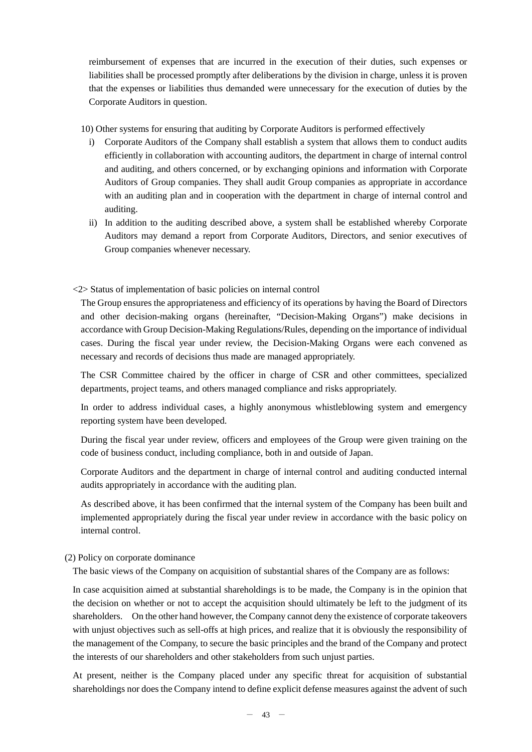reimbursement of expenses that are incurred in the execution of their duties, such expenses or liabilities shall be processed promptly after deliberations by the division in charge, unless it is proven that the expenses or liabilities thus demanded were unnecessary for the execution of duties by the Corporate Auditors in question.

10) Other systems for ensuring that auditing by Corporate Auditors is performed effectively

- i) Corporate Auditors of the Company shall establish a system that allows them to conduct audits efficiently in collaboration with accounting auditors, the department in charge of internal control and auditing, and others concerned, or by exchanging opinions and information with Corporate Auditors of Group companies. They shall audit Group companies as appropriate in accordance with an auditing plan and in cooperation with the department in charge of internal control and auditing.
- ii) In addition to the auditing described above, a system shall be established whereby Corporate Auditors may demand a report from Corporate Auditors, Directors, and senior executives of Group companies whenever necessary.

#### <2> Status of implementation of basic policies on internal control

The Group ensures the appropriateness and efficiency of its operations by having the Board of Directors and other decision-making organs (hereinafter, "Decision-Making Organs") make decisions in accordance with Group Decision-Making Regulations/Rules, depending on the importance of individual cases. During the fiscal year under review, the Decision-Making Organs were each convened as necessary and records of decisions thus made are managed appropriately.

The CSR Committee chaired by the officer in charge of CSR and other committees, specialized departments, project teams, and others managed compliance and risks appropriately.

In order to address individual cases, a highly anonymous whistleblowing system and emergency reporting system have been developed.

During the fiscal year under review, officers and employees of the Group were given training on the code of business conduct, including compliance, both in and outside of Japan.

Corporate Auditors and the department in charge of internal control and auditing conducted internal audits appropriately in accordance with the auditing plan.

As described above, it has been confirmed that the internal system of the Company has been built and implemented appropriately during the fiscal year under review in accordance with the basic policy on internal control.

#### (2) Policy on corporate dominance

The basic views of the Company on acquisition of substantial shares of the Company are as follows:

In case acquisition aimed at substantial shareholdings is to be made, the Company is in the opinion that the decision on whether or not to accept the acquisition should ultimately be left to the judgment of its shareholders. On the other hand however, the Company cannot deny the existence of corporate takeovers with unjust objectives such as sell-offs at high prices, and realize that it is obviously the responsibility of the management of the Company, to secure the basic principles and the brand of the Company and protect the interests of our shareholders and other stakeholders from such unjust parties.

At present, neither is the Company placed under any specific threat for acquisition of substantial shareholdings nor does the Company intend to define explicit defense measures against the advent of such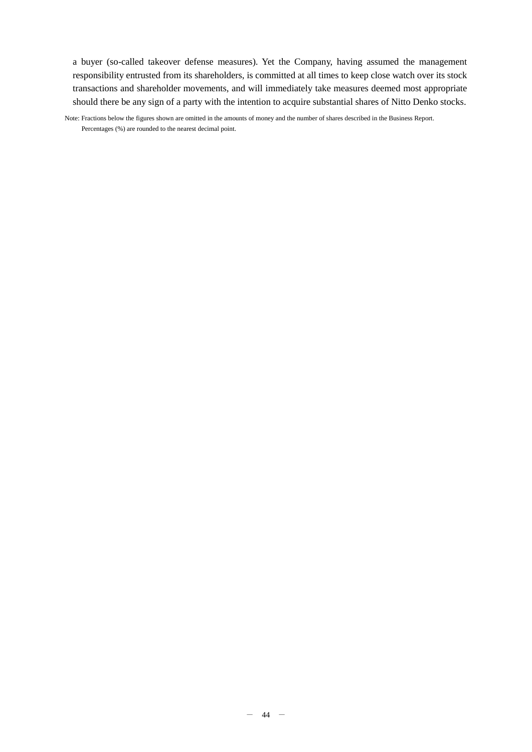a buyer (so-called takeover defense measures). Yet the Company, having assumed the management responsibility entrusted from its shareholders, is committed at all times to keep close watch over its stock transactions and shareholder movements, and will immediately take measures deemed most appropriate should there be any sign of a party with the intention to acquire substantial shares of Nitto Denko stocks.

Note: Fractions below the figures shown are omitted in the amounts of money and the number of shares described in the Business Report. Percentages (%) are rounded to the nearest decimal point.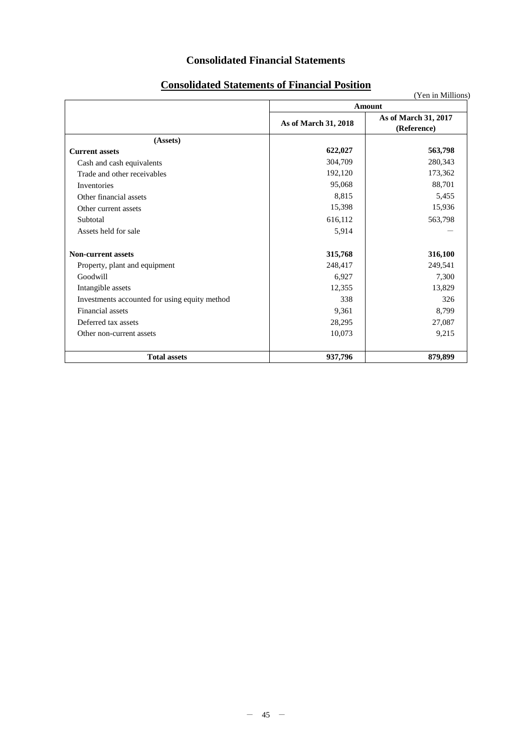# **Consolidated Financial Statements**

|                                               | сонэончака втактисны от г ніансіат і ознош | (Yen in Millions)                   |  |  |
|-----------------------------------------------|--------------------------------------------|-------------------------------------|--|--|
|                                               |                                            | Amount                              |  |  |
|                                               | As of March 31, 2018                       | As of March 31, 2017<br>(Reference) |  |  |
| (Assets)                                      |                                            |                                     |  |  |
| <b>Current assets</b>                         | 622,027                                    | 563,798                             |  |  |
| Cash and cash equivalents                     | 304,709                                    | 280,343                             |  |  |
| Trade and other receivables                   | 192,120                                    | 173,362                             |  |  |
| Inventories                                   | 95,068                                     | 88,701                              |  |  |
| Other financial assets                        | 8,815                                      | 5,455                               |  |  |
| Other current assets                          | 15,398                                     | 15,936                              |  |  |
| Subtotal                                      | 616,112                                    | 563,798                             |  |  |
| Assets held for sale                          | 5,914                                      |                                     |  |  |
| <b>Non-current assets</b>                     | 315,768                                    | 316,100                             |  |  |
| Property, plant and equipment                 | 248,417                                    | 249,541                             |  |  |
| Goodwill                                      | 6,927                                      | 7,300                               |  |  |
| Intangible assets                             | 12,355                                     | 13,829                              |  |  |
| Investments accounted for using equity method | 338                                        | 326                                 |  |  |
| <b>Financial</b> assets                       | 9,361                                      | 8,799                               |  |  |
| Deferred tax assets                           | 28,295                                     | 27,087                              |  |  |
| Other non-current assets                      | 10,073                                     | 9,215                               |  |  |
| <b>Total assets</b>                           | 937,796                                    | 879,899                             |  |  |

# **Consolidated Statements of Financial Position**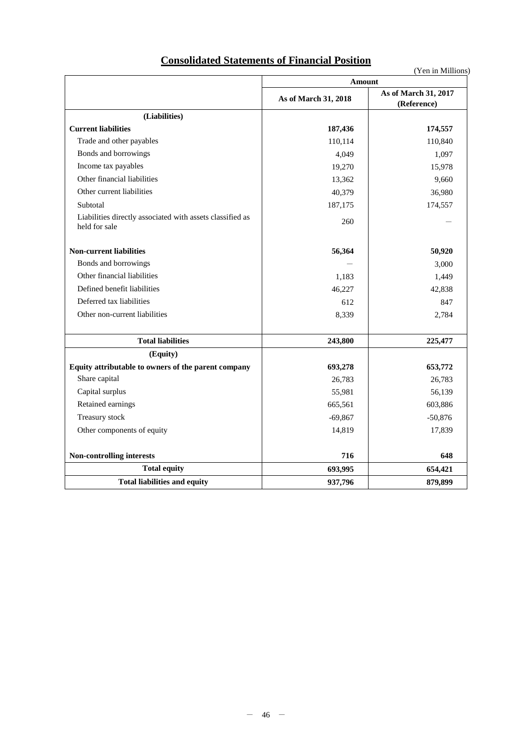# **Consolidated Statements of Financial Position**

|                                                                            |                      | (Yen in Millions)                   |  |
|----------------------------------------------------------------------------|----------------------|-------------------------------------|--|
|                                                                            | Amount               |                                     |  |
|                                                                            | As of March 31, 2018 | As of March 31, 2017<br>(Reference) |  |
| (Liabilities)                                                              |                      |                                     |  |
| <b>Current liabilities</b>                                                 | 187,436              | 174,557                             |  |
| Trade and other payables                                                   | 110,114              | 110,840                             |  |
| Bonds and borrowings                                                       | 4.049                | 1,097                               |  |
| Income tax payables                                                        | 19,270               | 15,978                              |  |
| Other financial liabilities                                                | 13,362               | 9,660                               |  |
| Other current liabilities                                                  | 40,379               | 36,980                              |  |
| Subtotal                                                                   | 187,175              | 174,557                             |  |
| Liabilities directly associated with assets classified as<br>held for sale | 260                  |                                     |  |
| <b>Non-current liabilities</b>                                             | 56,364               | 50,920                              |  |
| Bonds and borrowings                                                       |                      | 3,000                               |  |
| Other financial liabilities                                                | 1,183                | 1,449                               |  |
| Defined benefit liabilities                                                | 46,227               | 42,838                              |  |
| Deferred tax liabilities                                                   | 612                  | 847                                 |  |
| Other non-current liabilities                                              | 8,339                | 2,784                               |  |
| <b>Total liabilities</b>                                                   | 243,800              | 225,477                             |  |
| (Equity)                                                                   |                      |                                     |  |
| Equity attributable to owners of the parent company                        | 693,278              | 653,772                             |  |
| Share capital                                                              | 26.783               | 26,783                              |  |
| Capital surplus                                                            | 55,981               | 56,139                              |  |
| Retained earnings                                                          | 665,561              | 603,886                             |  |
| Treasury stock                                                             | $-69,867$            | $-50,876$                           |  |
| Other components of equity                                                 | 14,819               | 17,839                              |  |
| Non-controlling interests                                                  | 716                  | 648                                 |  |
| <b>Total equity</b>                                                        | 693,995              | 654,421                             |  |
| <b>Total liabilities and equity</b>                                        | 937,796              | 879,899                             |  |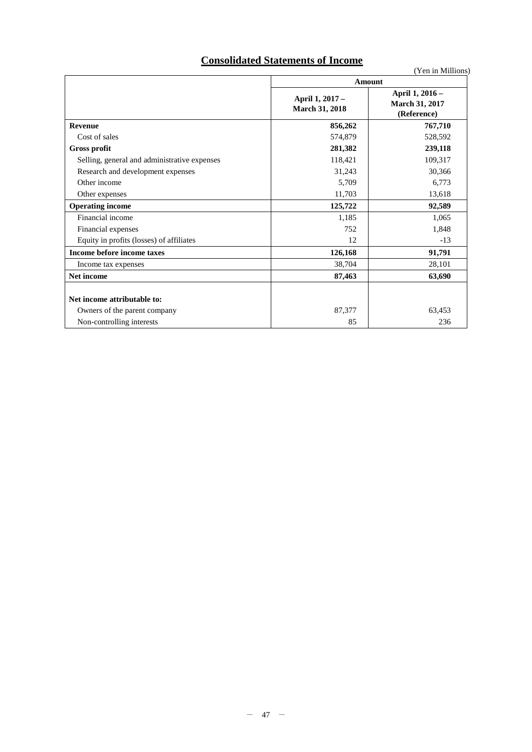# **Consolidated Statements of Income**

|                                              | Amount                                   |                                                         |  |
|----------------------------------------------|------------------------------------------|---------------------------------------------------------|--|
|                                              | April 1, 2017 -<br><b>March 31, 2018</b> | April 1, 2016 -<br><b>March 31, 2017</b><br>(Reference) |  |
| <b>Revenue</b>                               | 856,262                                  | 767,710                                                 |  |
| Cost of sales                                | 574,879                                  | 528,592                                                 |  |
| <b>Gross profit</b>                          | 281,382                                  | 239,118                                                 |  |
| Selling, general and administrative expenses | 118,421                                  | 109,317                                                 |  |
| Research and development expenses            | 31,243                                   | 30,366                                                  |  |
| Other income                                 | 5,709                                    | 6,773                                                   |  |
| Other expenses                               | 11,703                                   | 13,618                                                  |  |
| <b>Operating income</b>                      | 125,722                                  | 92,589                                                  |  |
| Financial income                             | 1,185                                    | 1,065                                                   |  |
| Financial expenses                           | 752                                      | 1,848                                                   |  |
| Equity in profits (losses) of affiliates     | 12                                       | $-13$                                                   |  |
| Income before income taxes                   | 126,168                                  | 91,791                                                  |  |
| Income tax expenses                          | 38,704                                   | 28,101                                                  |  |
| Net income                                   | 87,463                                   | 63,690                                                  |  |
| Net income attributable to:                  |                                          |                                                         |  |
| Owners of the parent company                 | 87,377                                   | 63,453                                                  |  |
| Non-controlling interests                    | 85                                       | 236                                                     |  |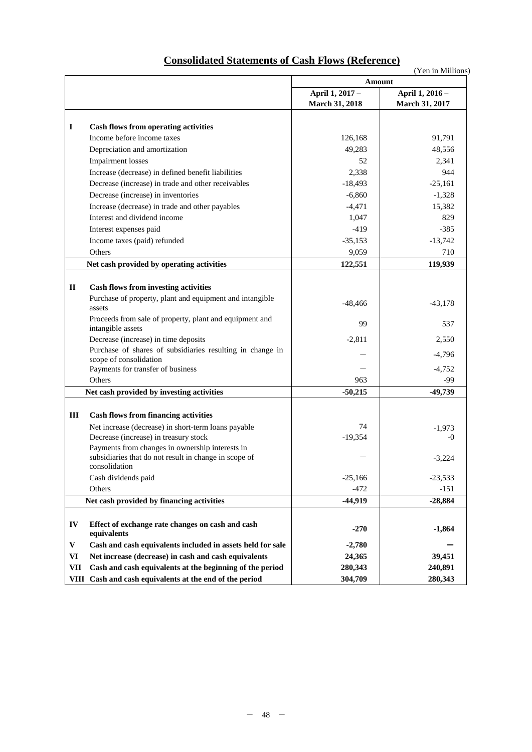|              |                                                                                                                           | Amount                            |                                          |
|--------------|---------------------------------------------------------------------------------------------------------------------------|-----------------------------------|------------------------------------------|
|              |                                                                                                                           | April 1, 2017 -<br>March 31, 2018 | April 1, 2016 -<br><b>March 31, 2017</b> |
|              |                                                                                                                           |                                   |                                          |
| $\mathbf I$  | <b>Cash flows from operating activities</b>                                                                               |                                   |                                          |
|              | Income before income taxes                                                                                                | 126,168                           | 91,791                                   |
|              | Depreciation and amortization                                                                                             | 49,283                            | 48,556                                   |
|              | <b>Impairment</b> losses                                                                                                  | 52                                | 2,341                                    |
|              | Increase (decrease) in defined benefit liabilities                                                                        | 2,338                             | 944                                      |
|              | Decrease (increase) in trade and other receivables                                                                        | $-18,493$                         | $-25,161$                                |
|              | Decrease (increase) in inventories                                                                                        | $-6,860$                          | $-1,328$                                 |
|              | Increase (decrease) in trade and other payables                                                                           | $-4,471$                          | 15,382                                   |
|              | Interest and dividend income                                                                                              | 1,047                             | 829                                      |
|              | Interest expenses paid                                                                                                    | $-419$                            | $-385$                                   |
|              | Income taxes (paid) refunded                                                                                              | $-35,153$                         | $-13,742$                                |
|              | Others                                                                                                                    | 9,059                             | 710                                      |
|              | Net cash provided by operating activities                                                                                 | 122,551                           | 119,939                                  |
|              |                                                                                                                           |                                   |                                          |
| $\mathbf{I}$ | <b>Cash flows from investing activities</b>                                                                               |                                   |                                          |
|              | Purchase of property, plant and equipment and intangible<br>assets                                                        | $-48,466$                         | $-43,178$                                |
|              | Proceeds from sale of property, plant and equipment and<br>intangible assets                                              | 99                                | 537                                      |
|              | Decrease (increase) in time deposits                                                                                      | $-2,811$                          | 2,550                                    |
|              | Purchase of shares of subsidiaries resulting in change in<br>scope of consolidation                                       |                                   | $-4,796$                                 |
|              | Payments for transfer of business                                                                                         |                                   | $-4,752$                                 |
|              | Others                                                                                                                    | 963                               | -99                                      |
|              | Net cash provided by investing activities                                                                                 | $-50,215$                         | -49,739                                  |
| Ш            | <b>Cash flows from financing activities</b>                                                                               |                                   |                                          |
|              | Net increase (decrease) in short-term loans payable                                                                       | 74                                | $-1,973$                                 |
|              | Decrease (increase) in treasury stock                                                                                     | $-19,354$                         | $-0$                                     |
|              | Payments from changes in ownership interests in<br>subsidiaries that do not result in change in scope of<br>consolidation |                                   | $-3,224$                                 |
|              | Cash dividends paid                                                                                                       | $-25,166$                         | $-23,533$                                |
|              | Others                                                                                                                    | $-472$                            | $-151$                                   |
|              | Net cash provided by financing activities                                                                                 | $-44,919$                         | $-28,884$                                |
|              |                                                                                                                           |                                   |                                          |
| IV           | Effect of exchange rate changes on cash and cash<br>equivalents                                                           | $-270$                            | $-1,864$                                 |
| $\mathbf{V}$ | Cash and cash equivalents included in assets held for sale                                                                | $-2,780$                          |                                          |
| VI           | Net increase (decrease) in cash and cash equivalents                                                                      | 24,365                            | 39,451                                   |
| <b>VII</b>   | Cash and cash equivalents at the beginning of the period                                                                  | 280,343                           | 240,891                                  |
| VIII         | Cash and cash equivalents at the end of the period                                                                        | 304,709                           | 280,343                                  |

# **Consolidated Statements of Cash Flows (Reference)**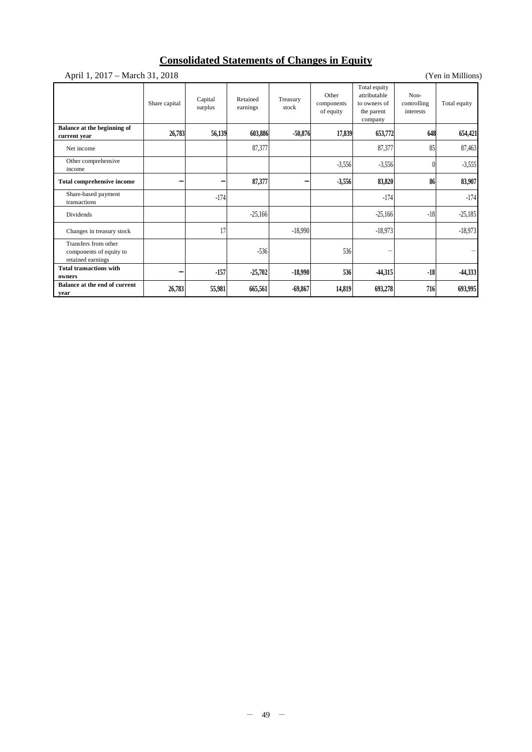# **Consolidated Statements of Changes in Equity**

|                                                                      |               |                    | Consonuated Diatements of Changes in Equity |                   |                                  |                                                                       |                                  |                   |
|----------------------------------------------------------------------|---------------|--------------------|---------------------------------------------|-------------------|----------------------------------|-----------------------------------------------------------------------|----------------------------------|-------------------|
| April 1, 2017 – March 31, 2018                                       |               |                    |                                             |                   |                                  |                                                                       |                                  | (Yen in Millions) |
|                                                                      | Share capital | Capital<br>surplus | Retained<br>earnings                        | Treasury<br>stock | Other<br>components<br>of equity | Total equity<br>attributable<br>to owners of<br>the parent<br>company | Non-<br>controlling<br>interests | Total equity      |
| Balance at the beginning of<br>current year                          | 26,783        | 56,139             | 603,886                                     | $-50,876$         | 17,839                           | 653,772                                                               | 648                              | 654,421           |
| Net income                                                           |               |                    | 87,377                                      |                   |                                  | 87,377                                                                | 85                               | 87,463            |
| Other comprehensive<br>income                                        |               |                    |                                             |                   | $-3,556$                         | $-3,556$                                                              | $\theta$                         | $-3,555$          |
| <b>Total comprehensive income</b>                                    |               |                    | 87,377                                      |                   | $-3,556$                         | 83,820                                                                | 86                               | 83,907            |
| Share-based payment<br>transactions                                  |               | $-174$             |                                             |                   |                                  | $-174$                                                                |                                  | $-174$            |
| Dividends                                                            |               |                    | $-25,166$                                   |                   |                                  | $-25,166$                                                             | $-18$                            | $-25,185$         |
| Changes in treasury stock                                            |               | 17                 |                                             | $-18,990$         |                                  | $-18,973$                                                             |                                  | $-18,973$         |
| Transfers from other<br>components of equity to<br>retained earnings |               |                    | $-536$                                      |                   | 536                              |                                                                       |                                  |                   |
| <b>Total transactions with</b><br>owners                             | -             | $-157$             | $-25,702$                                   | $-18,990$         | 536                              | -44,315                                                               | $-18$                            | $-44,333$         |
| Balance at the end of current<br>vear                                | 26,783        | 55,981             | 665,561                                     | $-69,867$         | 14,819                           | 693,278                                                               | 716                              | 693,995           |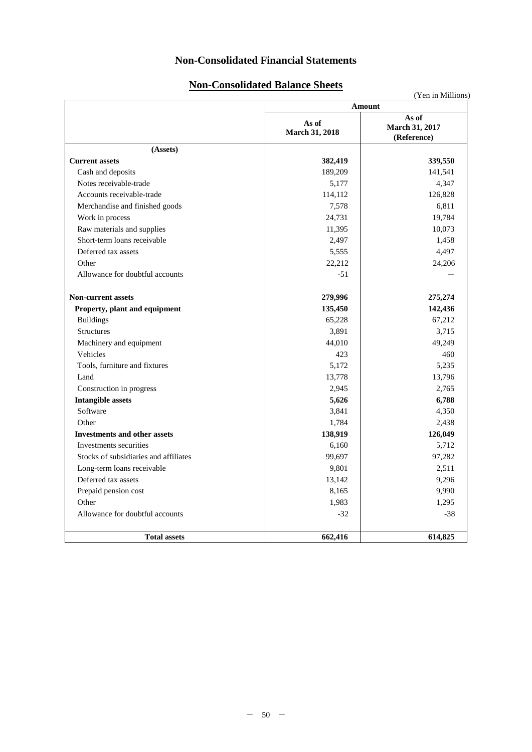# **Non-Consolidated Financial Statements**

# **Non-Consolidated Balance Sheets**

|                                       | Amount                  |                                        |  |  |  |
|---------------------------------------|-------------------------|----------------------------------------|--|--|--|
|                                       | As of<br>March 31, 2018 | As of<br>March 31, 2017<br>(Reference) |  |  |  |
| (Assets)                              |                         |                                        |  |  |  |
| <b>Current assets</b>                 | 382,419                 | 339,550                                |  |  |  |
| Cash and deposits                     | 189,209                 | 141,541                                |  |  |  |
| Notes receivable-trade                | 5,177                   | 4,347                                  |  |  |  |
| Accounts receivable-trade             | 114,112                 | 126,828                                |  |  |  |
| Merchandise and finished goods        | 7,578                   | 6,811                                  |  |  |  |
| Work in process                       | 24,731                  | 19,784                                 |  |  |  |
| Raw materials and supplies            | 11,395                  | 10,073                                 |  |  |  |
| Short-term loans receivable           | 2,497                   | 1,458                                  |  |  |  |
| Deferred tax assets                   | 5,555                   | 4,497                                  |  |  |  |
| Other                                 | 22,212                  | 24,206                                 |  |  |  |
| Allowance for doubtful accounts       | $-51$                   |                                        |  |  |  |
| <b>Non-current assets</b>             | 279,996                 | 275,274                                |  |  |  |
| Property, plant and equipment         | 135,450                 | 142,436                                |  |  |  |
| <b>Buildings</b>                      | 65,228                  | 67,212                                 |  |  |  |
| Structures                            | 3,891                   | 3,715                                  |  |  |  |
| Machinery and equipment               | 44,010                  | 49,249                                 |  |  |  |
| Vehicles                              | 423                     | 460                                    |  |  |  |
| Tools, furniture and fixtures         | 5,172                   | 5,235                                  |  |  |  |
| Land                                  | 13,778                  | 13,796                                 |  |  |  |
| Construction in progress              | 2,945                   | 2,765                                  |  |  |  |
| <b>Intangible assets</b>              | 5,626                   | 6,788                                  |  |  |  |
| Software                              | 3,841                   | 4,350                                  |  |  |  |
| Other                                 | 1,784                   | 2,438                                  |  |  |  |
| <b>Investments and other assets</b>   | 138,919                 | 126,049                                |  |  |  |
| Investments securities                | 6,160                   | 5,712                                  |  |  |  |
| Stocks of subsidiaries and affiliates | 99,697                  | 97,282                                 |  |  |  |
| Long-term loans receivable            | 9,801                   | 2,511                                  |  |  |  |
| Deferred tax assets                   | 13,142                  | 9,296                                  |  |  |  |
| Prepaid pension cost                  | 8,165                   | 9,990                                  |  |  |  |
| Other                                 | 1,983                   | 1,295                                  |  |  |  |
| Allowance for doubtful accounts       | $-32$                   | $-38$                                  |  |  |  |
| <b>Total assets</b>                   | 662,416                 | 614,825                                |  |  |  |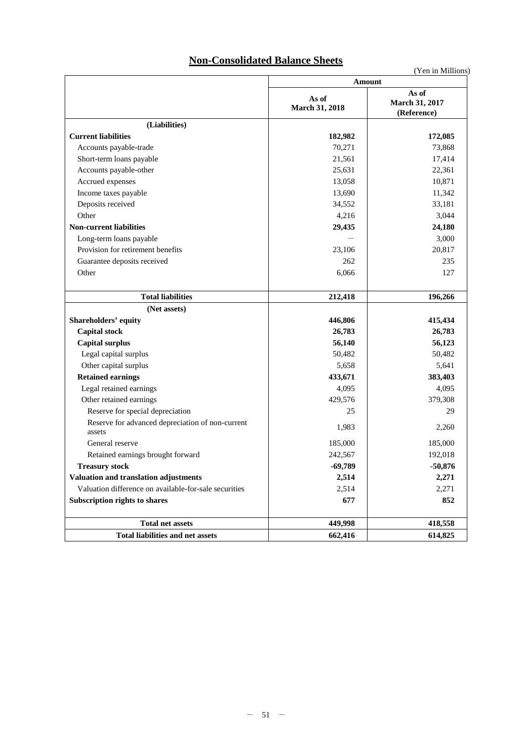# **Non-Consolidated Balance Sheets**

|                                                            | Amount                  |                                        |  |  |  |
|------------------------------------------------------------|-------------------------|----------------------------------------|--|--|--|
|                                                            | As of<br>March 31, 2018 | As of<br>March 31, 2017<br>(Reference) |  |  |  |
| (Liabilities)                                              |                         |                                        |  |  |  |
| <b>Current liabilities</b>                                 | 182,982                 | 172,085                                |  |  |  |
| Accounts payable-trade                                     | 70,271                  | 73,868                                 |  |  |  |
| Short-term loans payable                                   | 21,561                  | 17,414                                 |  |  |  |
| Accounts payable-other                                     | 25,631                  | 22,361                                 |  |  |  |
| Accrued expenses                                           | 13,058                  | 10,871                                 |  |  |  |
| Income taxes payable                                       | 13,690                  | 11,342                                 |  |  |  |
| Deposits received                                          | 34,552                  | 33,181                                 |  |  |  |
| Other                                                      | 4,216                   | 3,044                                  |  |  |  |
| <b>Non-current liabilities</b>                             | 29,435                  | 24,180                                 |  |  |  |
| Long-term loans payable                                    |                         | 3,000                                  |  |  |  |
| Provision for retirement benefits                          | 23,106                  | 20,817                                 |  |  |  |
| Guarantee deposits received                                | 262                     | 235                                    |  |  |  |
| Other                                                      | 6,066                   | 127                                    |  |  |  |
|                                                            |                         |                                        |  |  |  |
| <b>Total liabilities</b>                                   | 212,418                 | 196,266                                |  |  |  |
| (Net assets)                                               |                         |                                        |  |  |  |
| Shareholders' equity                                       | 446,806                 | 415,434                                |  |  |  |
| <b>Capital stock</b>                                       | 26,783                  | 26,783                                 |  |  |  |
| <b>Capital surplus</b>                                     | 56,140                  | 56,123                                 |  |  |  |
| Legal capital surplus                                      | 50,482                  | 50,482                                 |  |  |  |
| Other capital surplus                                      | 5,658                   | 5,641                                  |  |  |  |
| <b>Retained earnings</b>                                   | 433,671                 | 383,403                                |  |  |  |
| Legal retained earnings                                    | 4,095                   | 4,095                                  |  |  |  |
| Other retained earnings                                    | 429,576                 | 379,308                                |  |  |  |
| Reserve for special depreciation                           | 25                      | 29                                     |  |  |  |
| Reserve for advanced depreciation of non-current<br>assets | 1,983                   | 2,260                                  |  |  |  |
| General reserve                                            | 185,000                 | 185,000                                |  |  |  |
| Retained earnings brought forward                          | 242,567                 | 192,018                                |  |  |  |
| <b>Treasury stock</b>                                      | $-69,789$               | $-50,876$                              |  |  |  |
| Valuation and translation adjustments                      | 2,514                   | 2,271                                  |  |  |  |
| Valuation difference on available-for-sale securities      | 2,514                   | 2,271                                  |  |  |  |
| Subscription rights to shares                              | 677                     | 852                                    |  |  |  |
|                                                            |                         |                                        |  |  |  |
| <b>Total net assets</b>                                    | 449,998                 | 418,558                                |  |  |  |
| <b>Total liabilities and net assets</b>                    | 662,416                 | 614,825                                |  |  |  |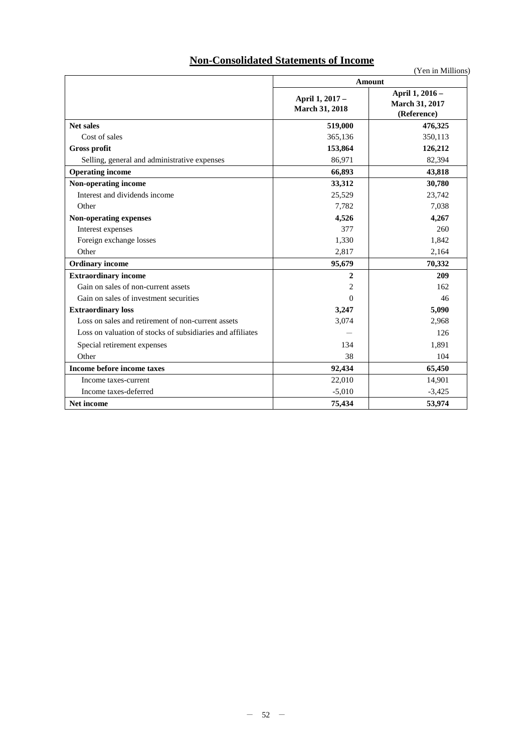# **Non-Consolidated Statements of Income**

|                                                            |                                          | , теп ш імпінопу<br>Amount                       |  |  |  |  |
|------------------------------------------------------------|------------------------------------------|--------------------------------------------------|--|--|--|--|
|                                                            | April 1, 2017 -<br><b>March 31, 2018</b> | April 1, 2016 -<br>March 31, 2017<br>(Reference) |  |  |  |  |
| <b>Net sales</b>                                           | 519,000                                  | 476,325                                          |  |  |  |  |
| Cost of sales                                              | 365,136                                  | 350,113                                          |  |  |  |  |
| <b>Gross profit</b>                                        | 153,864                                  | 126,212                                          |  |  |  |  |
| Selling, general and administrative expenses               | 86,971                                   | 82,394                                           |  |  |  |  |
| <b>Operating income</b>                                    | 66,893                                   | 43,818                                           |  |  |  |  |
| Non-operating income                                       | 33,312                                   | 30,780                                           |  |  |  |  |
| Interest and dividends income                              | 25,529                                   | 23,742                                           |  |  |  |  |
| Other                                                      | 7,782                                    | 7,038                                            |  |  |  |  |
| Non-operating expenses                                     | 4,526                                    | 4,267                                            |  |  |  |  |
| Interest expenses                                          | 377                                      | 260                                              |  |  |  |  |
| Foreign exchange losses                                    | 1,330                                    | 1,842                                            |  |  |  |  |
| Other                                                      | 2,817                                    | 2,164                                            |  |  |  |  |
| <b>Ordinary income</b>                                     | 95,679                                   | 70,332                                           |  |  |  |  |
| <b>Extraordinary income</b>                                | $\mathbf{2}$                             | 209                                              |  |  |  |  |
| Gain on sales of non-current assets                        | $\overline{c}$                           | 162                                              |  |  |  |  |
| Gain on sales of investment securities                     | $\theta$                                 | 46                                               |  |  |  |  |
| <b>Extraordinary loss</b>                                  | 3,247                                    | 5,090                                            |  |  |  |  |
| Loss on sales and retirement of non-current assets         | 3,074                                    | 2,968                                            |  |  |  |  |
| Loss on valuation of stocks of subsidiaries and affiliates |                                          | 126                                              |  |  |  |  |
| Special retirement expenses                                | 134                                      | 1,891                                            |  |  |  |  |
| Other                                                      | 38                                       | 104                                              |  |  |  |  |
| Income before income taxes                                 | 92,434                                   | 65,450                                           |  |  |  |  |
| Income taxes-current                                       | 22,010                                   | 14,901                                           |  |  |  |  |
| Income taxes-deferred                                      | $-5,010$                                 | $-3,425$                                         |  |  |  |  |
| Net income                                                 | 75,434                                   | 53,974                                           |  |  |  |  |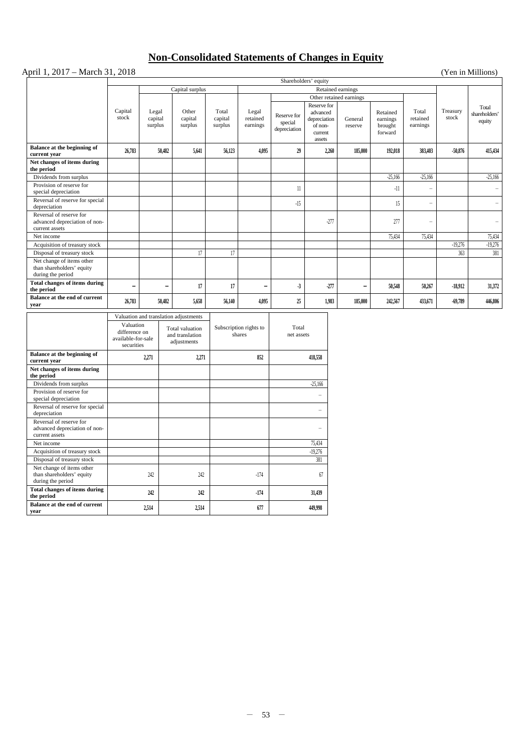# **Non-Consolidated Statements of Changes in Equity**

## April 1, 2017 – March 31, 2018 (Yen in Millions)

|                                                                             |                                                   |                             |                                                          |                             |                                  |                                        | Shareholders' equity                                                    |                                        |                                            |                               |                   |                                  |
|-----------------------------------------------------------------------------|---------------------------------------------------|-----------------------------|----------------------------------------------------------|-----------------------------|----------------------------------|----------------------------------------|-------------------------------------------------------------------------|----------------------------------------|--------------------------------------------|-------------------------------|-------------------|----------------------------------|
|                                                                             |                                                   |                             | Capital surplus                                          |                             |                                  |                                        |                                                                         | Retained earnings                      |                                            |                               |                   |                                  |
|                                                                             |                                                   |                             |                                                          |                             |                                  |                                        |                                                                         | Other retained earnings                |                                            |                               |                   |                                  |
|                                                                             | Capital<br>stock                                  | Legal<br>capital<br>surplus | Other<br>capital<br>surplus                              | Total<br>capital<br>surplus | Legal<br>retained<br>earnings    | Reserve for<br>special<br>depreciation | Reserve for<br>advanced<br>depreciation<br>of non-<br>current<br>assets | General<br>reserve                     | Retained<br>earnings<br>brought<br>forward | Total<br>retained<br>earnings | Treasury<br>stock | Total<br>shareholders'<br>equity |
| Balance at the beginning of<br>current year                                 | 26,783                                            | 50,482                      | 5,641                                                    | 56,123                      | 4,095                            | 29                                     |                                                                         | 2,260<br>185,000                       | 192,018                                    | 383,403                       | $-50,876$         | 415,434                          |
| Net changes of items during<br>the period                                   |                                                   |                             |                                                          |                             |                                  |                                        |                                                                         |                                        |                                            |                               |                   |                                  |
| Dividends from surplus                                                      |                                                   |                             |                                                          |                             |                                  |                                        |                                                                         |                                        | $-25,166$                                  | $-25,166$                     |                   | $-25,166$                        |
| Provision of reserve for<br>special depreciation                            |                                                   |                             |                                                          |                             |                                  | $11\,$                                 |                                                                         |                                        | $-11$                                      |                               |                   | $\overline{\phantom{a}}$         |
| Reversal of reserve for special<br>depreciation                             |                                                   |                             |                                                          |                             |                                  | $-15$                                  |                                                                         |                                        | 15                                         | $\overline{\phantom{0}}$      |                   | $\overline{\phantom{a}}$         |
| Reversal of reserve for<br>advanced depreciation of non-                    |                                                   |                             |                                                          |                             |                                  |                                        |                                                                         | $-277$                                 | 277                                        | ÷                             |                   | ÷,                               |
| current assets                                                              |                                                   |                             |                                                          |                             |                                  |                                        |                                                                         |                                        |                                            |                               |                   |                                  |
| Net income                                                                  |                                                   |                             |                                                          |                             |                                  |                                        |                                                                         |                                        | 75,434                                     | 75,434                        |                   | 75,434                           |
| Acquisition of treasury stock                                               |                                                   |                             |                                                          |                             |                                  |                                        |                                                                         |                                        |                                            |                               | $-19,276$         | $-19,276$                        |
| Disposal of treasury stock                                                  |                                                   |                             | 17                                                       | 17                          |                                  |                                        |                                                                         |                                        |                                            |                               | 363               | 381                              |
| Net change of items other<br>than shareholders' equity<br>during the period |                                                   |                             |                                                          |                             |                                  |                                        |                                                                         |                                        |                                            |                               |                   |                                  |
| Total changes of items during<br>the period                                 | $\overline{a}$                                    | $\overline{\phantom{0}}$    | 17                                                       | 17                          | $\blacksquare$                   | $\cdot$ 3                              |                                                                         | $-277$<br>$\qquad \qquad \blacksquare$ | 50,548                                     | 50,267                        | $-18.912$         | 31,372                           |
| Balance at the end of current<br>year                                       | 26,783                                            | 50.482                      | 5,658                                                    | 56,140                      | 4.095                            | 25                                     |                                                                         | 1.983<br>185,000                       | 242,567                                    | 433,671                       | $-69,789$         | 446,806                          |
|                                                                             |                                                   |                             | Valuation and translation adjustments                    |                             |                                  |                                        |                                                                         |                                        |                                            |                               |                   |                                  |
|                                                                             | Valuation                                         |                             |                                                          |                             |                                  |                                        |                                                                         |                                        |                                            |                               |                   |                                  |
|                                                                             | difference on<br>available-for-sale<br>securities |                             | <b>Total</b> valuation<br>and translation<br>adjustments |                             | Subscription rights to<br>shares | Total<br>net assets                    |                                                                         |                                        |                                            |                               |                   |                                  |
| Balance at the beginning of<br>current year                                 |                                                   | 2,271                       | 2,271                                                    |                             | 852                              |                                        | 418,558                                                                 |                                        |                                            |                               |                   |                                  |
| Net changes of items during<br>the period                                   |                                                   |                             |                                                          |                             |                                  |                                        |                                                                         |                                        |                                            |                               |                   |                                  |
| Dividends from surplus                                                      |                                                   |                             |                                                          |                             |                                  |                                        | $-25.166$                                                               |                                        |                                            |                               |                   |                                  |
| Provision of reserve for<br>special depreciation                            |                                                   |                             |                                                          |                             |                                  |                                        | ÷                                                                       |                                        |                                            |                               |                   |                                  |
| Reversal of reserve for special<br>depreciation                             |                                                   |                             |                                                          |                             |                                  |                                        | $\overline{a}$                                                          |                                        |                                            |                               |                   |                                  |
| Reversal of reserve for<br>advanced depreciation of non-<br>current assets  |                                                   |                             |                                                          |                             |                                  |                                        | L,                                                                      |                                        |                                            |                               |                   |                                  |
| Net income                                                                  |                                                   |                             |                                                          |                             |                                  |                                        | 75,434                                                                  |                                        |                                            |                               |                   |                                  |
| Acquisition of treasury stock                                               |                                                   |                             |                                                          |                             |                                  |                                        | $-19,276$                                                               |                                        |                                            |                               |                   |                                  |
| Disposal of treasury stock                                                  |                                                   |                             |                                                          |                             |                                  |                                        | 381                                                                     |                                        |                                            |                               |                   |                                  |
| Net change of items other<br>than shareholders' equity<br>during the period |                                                   | 242                         | 242                                                      |                             | $-174$                           |                                        | 67                                                                      |                                        |                                            |                               |                   |                                  |
| <b>Total changes of items during</b><br>the period                          |                                                   | 242                         | 242                                                      |                             | $-174$                           |                                        | 31.439                                                                  |                                        |                                            |                               |                   |                                  |
| Balance at the end of current<br>year                                       |                                                   | 2,514                       | 2,514                                                    |                             | 677                              |                                        | 449,998                                                                 |                                        |                                            |                               |                   |                                  |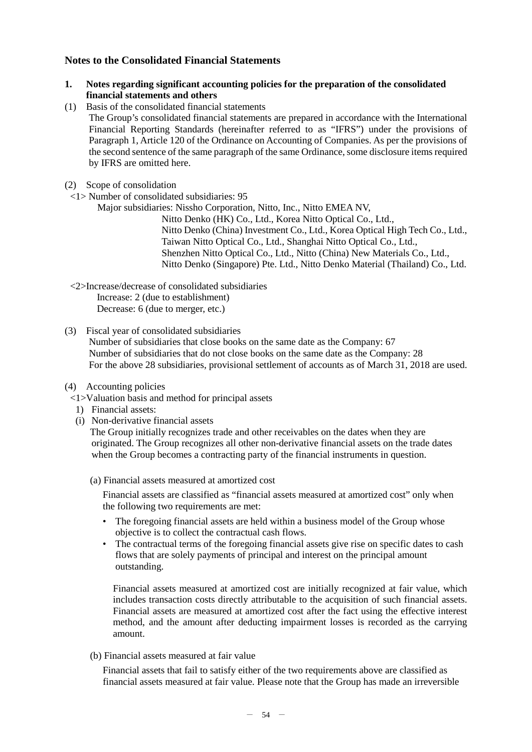# **Notes to the Consolidated Financial Statements**

- **1. Notes regarding significant accounting policies for the preparation of the consolidated financial statements and others**
- (1) Basis of the consolidated financial statements The Group's consolidated financial statements are prepared in accordance with the International Financial Reporting Standards (hereinafter referred to as "IFRS") under the provisions of Paragraph 1, Article 120 of the Ordinance on Accounting of Companies. As per the provisions of the second sentence of the same paragraph of the same Ordinance, some disclosure items required by IFRS are omitted here.
- (2) Scope of consolidation
- <1> Number of consolidated subsidiaries: 95
	- Major subsidiaries: Nissho Corporation, Nitto, Inc., Nitto EMEA NV,

Nitto Denko (HK) Co., Ltd., Korea Nitto Optical Co., Ltd., Nitto Denko (China) Investment Co., Ltd., Korea Optical High Tech Co., Ltd., Taiwan Nitto Optical Co., Ltd., Shanghai Nitto Optical Co., Ltd., Shenzhen Nitto Optical Co., Ltd., Nitto (China) New Materials Co., Ltd., Nitto Denko (Singapore) Pte. Ltd., Nitto Denko Material (Thailand) Co., Ltd.

<2>Increase/decrease of consolidated subsidiaries Increase: 2 (due to establishment) Decrease: 6 (due to merger, etc.)

(3) Fiscal year of consolidated subsidiaries Number of subsidiaries that close books on the same date as the Company: 67 Number of subsidiaries that do not close books on the same date as the Company: 28 For the above 28 subsidiaries, provisional settlement of accounts as of March 31, 2018 are used.

- (4) Accounting policies
	- <1>Valuation basis and method for principal assets
		- 1) Financial assets:
		- (i) Non-derivative financial assets

The Group initially recognizes trade and other receivables on the dates when they are originated. The Group recognizes all other non-derivative financial assets on the trade dates when the Group becomes a contracting party of the financial instruments in question.

(a) Financial assets measured at amortized cost

Financial assets are classified as "financial assets measured at amortized cost" only when the following two requirements are met:

- The foregoing financial assets are held within a business model of the Group whose objective is to collect the contractual cash flows.
- The contractual terms of the foregoing financial assets give rise on specific dates to cash flows that are solely payments of principal and interest on the principal amount outstanding.

Financial assets measured at amortized cost are initially recognized at fair value, which includes transaction costs directly attributable to the acquisition of such financial assets. Financial assets are measured at amortized cost after the fact using the effective interest method, and the amount after deducting impairment losses is recorded as the carrying amount.

(b) Financial assets measured at fair value

Financial assets that fail to satisfy either of the two requirements above are classified as financial assets measured at fair value. Please note that the Group has made an irreversible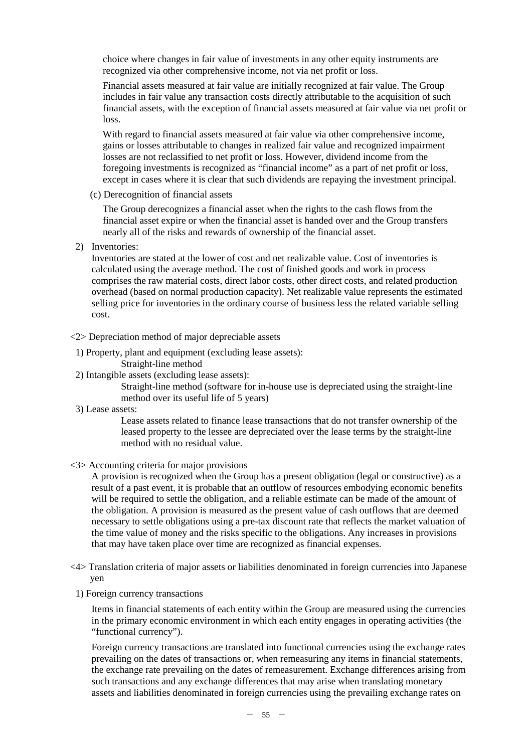choice where changes in fair value of investments in any other equity instruments are recognized via other comprehensive income, not via net profit or loss.

Financial assets measured at fair value are initially recognized at fair value. The Group includes in fair value any transaction costs directly attributable to the acquisition of such financial assets, with the exception of financial assets measured at fair value via net profit or loss.

With regard to financial assets measured at fair value via other comprehensive income. gains or losses attributable to changes in realized fair value and recognized impairment losses are not reclassified to net profit or loss. However, dividend income from the foregoing investments is recognized as "financial income" as a part of net profit or loss, except in cases where it is clear that such dividends are repaying the investment principal.

(c) Derecognition of financial assets

The Group derecognizes a financial asset when the rights to the cash flows from the financial asset expire or when the financial asset is handed over and the Group transfers nearly all of the risks and rewards of ownership of the financial asset.

2) Inventories:

Inventories are stated at the lower of cost and net realizable value. Cost of inventories is calculated using the average method. The cost of finished goods and work in process comprises the raw material costs, direct labor costs, other direct costs, and related production overhead (based on normal production capacity). Net realizable value represents the estimated selling price for inventories in the ordinary course of business less the related variable selling cost.

- <2> Depreciation method of major depreciable assets
	- 1) Property, plant and equipment (excluding lease assets):
		- Straight-line method
- 2) Intangible assets (excluding lease assets):

Straight-line method (software for in-house use is depreciated using the straight-line method over its useful life of 5 years)

3) Lease assets:

Lease assets related to finance lease transactions that do not transfer ownership of the leased property to the lessee are depreciated over the lease terms by the straight-line method with no residual value.

<3> Accounting criteria for major provisions

A provision is recognized when the Group has a present obligation (legal or constructive) as a result of a past event, it is probable that an outflow of resources embodying economic benefits will be required to settle the obligation, and a reliable estimate can be made of the amount of the obligation. A provision is measured as the present value of cash outflows that are deemed necessary to settle obligations using a pre-tax discount rate that reflects the market valuation of the time value of money and the risks specific to the obligations. Any increases in provisions that may have taken place over time are recognized as financial expenses.

- <4> Translation criteria of major assets or liabilities denominated in foreign currencies into Japanese yen
	- 1) Foreign currency transactions

Items in financial statements of each entity within the Group are measured using the currencies in the primary economic environment in which each entity engages in operating activities (the "functional currency").

Foreign currency transactions are translated into functional currencies using the exchange rates prevailing on the dates of transactions or, when remeasuring any items in financial statements, the exchange rate prevailing on the dates of remeasurement. Exchange differences arising from such transactions and any exchange differences that may arise when translating monetary assets and liabilities denominated in foreign currencies using the prevailing exchange rates on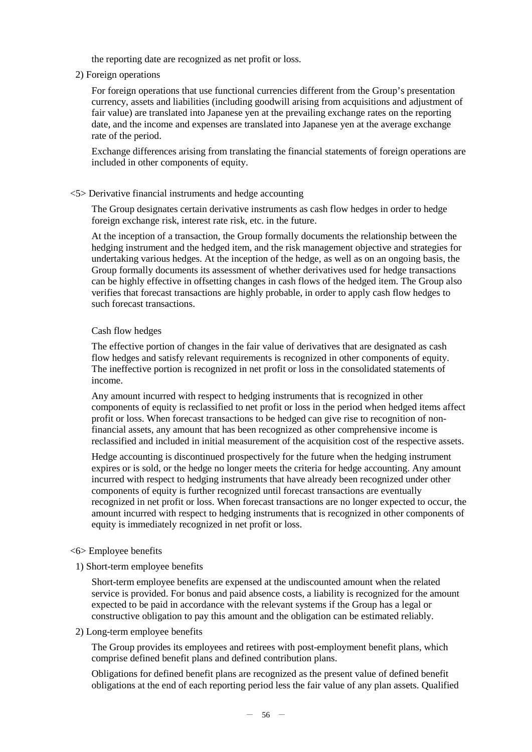the reporting date are recognized as net profit or loss.

2) Foreign operations

For foreign operations that use functional currencies different from the Group's presentation currency, assets and liabilities (including goodwill arising from acquisitions and adjustment of fair value) are translated into Japanese yen at the prevailing exchange rates on the reporting date, and the income and expenses are translated into Japanese yen at the average exchange rate of the period.

Exchange differences arising from translating the financial statements of foreign operations are included in other components of equity.

### <5> Derivative financial instruments and hedge accounting

The Group designates certain derivative instruments as cash flow hedges in order to hedge foreign exchange risk, interest rate risk, etc. in the future.

At the inception of a transaction, the Group formally documents the relationship between the hedging instrument and the hedged item, and the risk management objective and strategies for undertaking various hedges. At the inception of the hedge, as well as on an ongoing basis, the Group formally documents its assessment of whether derivatives used for hedge transactions can be highly effective in offsetting changes in cash flows of the hedged item. The Group also verifies that forecast transactions are highly probable, in order to apply cash flow hedges to such forecast transactions.

#### Cash flow hedges

The effective portion of changes in the fair value of derivatives that are designated as cash flow hedges and satisfy relevant requirements is recognized in other components of equity. The ineffective portion is recognized in net profit or loss in the consolidated statements of income.

Any amount incurred with respect to hedging instruments that is recognized in other components of equity is reclassified to net profit or loss in the period when hedged items affect profit or loss. When forecast transactions to be hedged can give rise to recognition of nonfinancial assets, any amount that has been recognized as other comprehensive income is reclassified and included in initial measurement of the acquisition cost of the respective assets.

Hedge accounting is discontinued prospectively for the future when the hedging instrument expires or is sold, or the hedge no longer meets the criteria for hedge accounting. Any amount incurred with respect to hedging instruments that have already been recognized under other components of equity is further recognized until forecast transactions are eventually recognized in net profit or loss. When forecast transactions are no longer expected to occur, the amount incurred with respect to hedging instruments that is recognized in other components of equity is immediately recognized in net profit or loss.

#### <6> Employee benefits

1) Short-term employee benefits

Short-term employee benefits are expensed at the undiscounted amount when the related service is provided. For bonus and paid absence costs, a liability is recognized for the amount expected to be paid in accordance with the relevant systems if the Group has a legal or constructive obligation to pay this amount and the obligation can be estimated reliably.

2) Long-term employee benefits

The Group provides its employees and retirees with post-employment benefit plans, which comprise defined benefit plans and defined contribution plans.

Obligations for defined benefit plans are recognized as the present value of defined benefit obligations at the end of each reporting period less the fair value of any plan assets. Qualified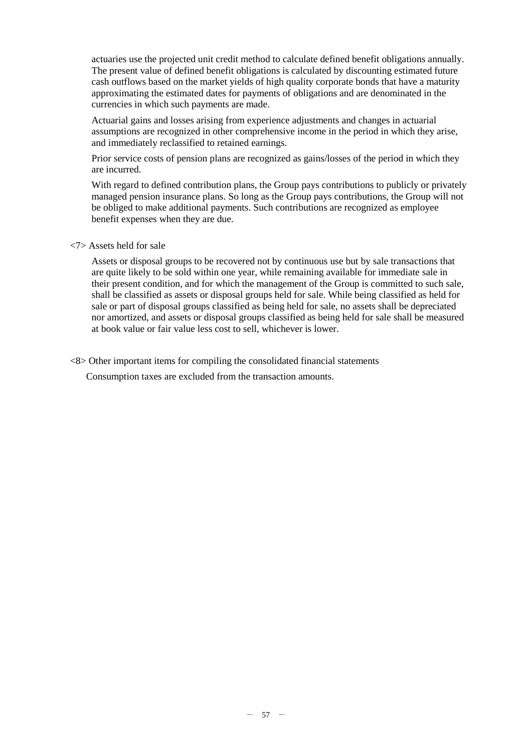actuaries use the projected unit credit method to calculate defined benefit obligations annually. The present value of defined benefit obligations is calculated by discounting estimated future cash outflows based on the market yields of high quality corporate bonds that have a maturity approximating the estimated dates for payments of obligations and are denominated in the currencies in which such payments are made.

Actuarial gains and losses arising from experience adjustments and changes in actuarial assumptions are recognized in other comprehensive income in the period in which they arise, and immediately reclassified to retained earnings.

Prior service costs of pension plans are recognized as gains/losses of the period in which they are incurred.

With regard to defined contribution plans, the Group pays contributions to publicly or privately managed pension insurance plans. So long as the Group pays contributions, the Group will not be obliged to make additional payments. Such contributions are recognized as employee benefit expenses when they are due.

<7> Assets held for sale

Assets or disposal groups to be recovered not by continuous use but by sale transactions that are quite likely to be sold within one year, while remaining available for immediate sale in their present condition, and for which the management of the Group is committed to such sale, shall be classified as assets or disposal groups held for sale. While being classified as held for sale or part of disposal groups classified as being held for sale, no assets shall be depreciated nor amortized, and assets or disposal groups classified as being held for sale shall be measured at book value or fair value less cost to sell, whichever is lower.

<8> Other important items for compiling the consolidated financial statements

Consumption taxes are excluded from the transaction amounts.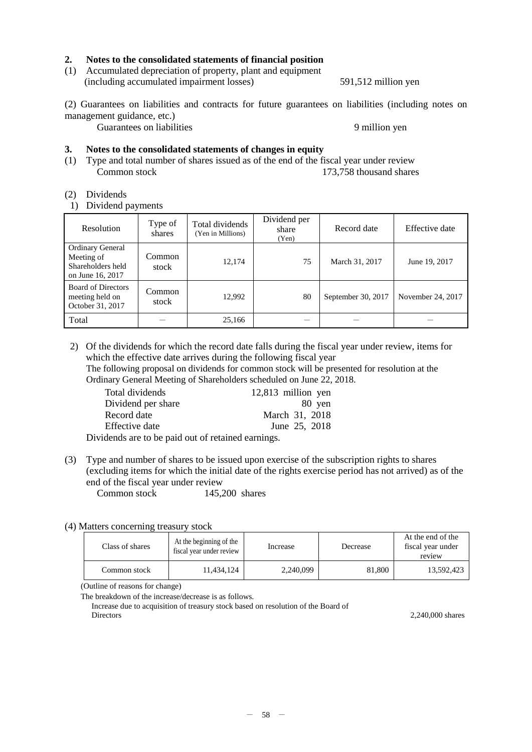### **2. Notes to the consolidated statements of financial position**

(1) Accumulated depreciation of property, plant and equipment (including accumulated impairment losses) 591,512 million yen

(2) Guarantees on liabilities and contracts for future guarantees on liabilities (including notes on management guidance, etc.)

Guarantees on liabilities 9 million yen

#### **3. Notes to the consolidated statements of changes in equity**

(1) Type and total number of shares issued as of the end of the fiscal year under review<br>Common stock 173.758 thousand shares  $173,758$  thousand shares

#### (2) Dividends

1) Dividend payments

| Resolution                                                                     | Type of<br>shares | Total dividends<br>(Yen in Millions) | Dividend per<br>share<br>(Yen) | Record date        | Effective date    |
|--------------------------------------------------------------------------------|-------------------|--------------------------------------|--------------------------------|--------------------|-------------------|
| <b>Ordinary General</b><br>Meeting of<br>Shareholders held<br>on June 16, 2017 | Common<br>stock   | 12.174                               | 75                             | March 31, 2017     | June 19, 2017     |
| <b>Board of Directors</b><br>meeting held on<br>October 31, 2017               | Common<br>stock   | 12.992                               | 80                             | September 30, 2017 | November 24, 2017 |
| Total                                                                          |                   | 25,166                               |                                |                    |                   |

2) Of the dividends for which the record date falls during the fiscal year under review, items for which the effective date arrives during the following fiscal year The following proposal on dividends for common stock will be presented for resolution at the Ordinary General Meeting of Shareholders scheduled on June 22, 2018.

| Total dividends                                                                                                                                                    | 12,813 million yen |
|--------------------------------------------------------------------------------------------------------------------------------------------------------------------|--------------------|
| Dividend per share                                                                                                                                                 | 80 yen             |
| Record date                                                                                                                                                        | March 31, 2018     |
| Effective date                                                                                                                                                     | June 25, 2018      |
| $\mathbf{1}$ , $\mathbf{1}$ , $\mathbf{1}$ , $\mathbf{1}$ , $\mathbf{1}$ , $\mathbf{1}$ , $\mathbf{1}$ , $\mathbf{1}$ , $\mathbf{1}$ , $\mathbf{1}$ , $\mathbf{1}$ |                    |

Dividends are to be paid out of retained earnings.

(3) Type and number of shares to be issued upon exercise of the subscription rights to shares (excluding items for which the initial date of the rights exercise period has not arrived) as of the end of the fiscal year under review<br>Common stock 145.

145,200 shares

#### (4) Matters concerning treasury stock

| Class of shares | At the beginning of the<br>fiscal year under review | Increase  | Decrease | At the end of the<br>fiscal year under<br>review |
|-----------------|-----------------------------------------------------|-----------|----------|--------------------------------------------------|
| Common stock    | 11.434.124                                          | 2,240,099 | 81,800   | 13.592.423                                       |

(Outline of reasons for change)

The breakdown of the increase/decrease is as follows.

Increase due to acquisition of treasury stock based on resolution of the Board of Directors 2,240,000 shares 2,240,000 shares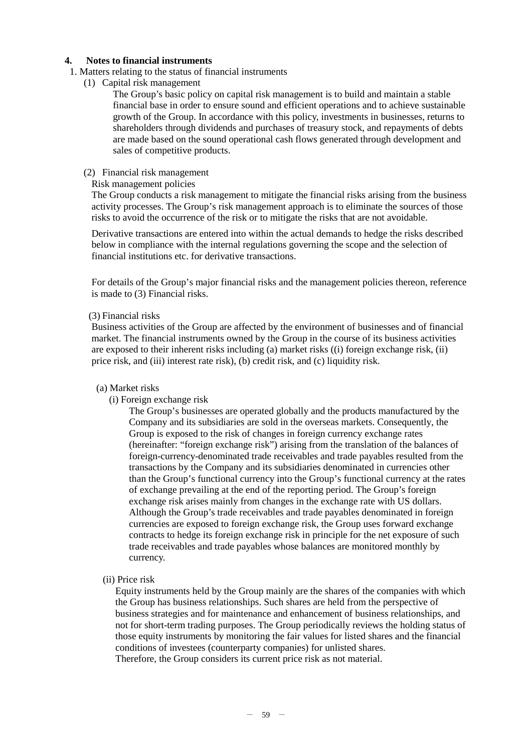## **4. Notes to financial instruments**

- 1. Matters relating to the status of financial instruments
	- (1) Capital risk management

The Group's basic policy on capital risk management is to build and maintain a stable financial base in order to ensure sound and efficient operations and to achieve sustainable growth of the Group. In accordance with this policy, investments in businesses, returns to shareholders through dividends and purchases of treasury stock, and repayments of debts are made based on the sound operational cash flows generated through development and sales of competitive products.

#### (2) Financial risk management

## Risk management policies

The Group conducts a risk management to mitigate the financial risks arising from the business activity processes. The Group's risk management approach is to eliminate the sources of those risks to avoid the occurrence of the risk or to mitigate the risks that are not avoidable.

Derivative transactions are entered into within the actual demands to hedge the risks described below in compliance with the internal regulations governing the scope and the selection of financial institutions etc. for derivative transactions.

For details of the Group's major financial risks and the management policies thereon, reference is made to (3) Financial risks.

#### (3) Financial risks

Business activities of the Group are affected by the environment of businesses and of financial market. The financial instruments owned by the Group in the course of its business activities are exposed to their inherent risks including (a) market risks ((i) foreign exchange risk, (ii) price risk, and (iii) interest rate risk), (b) credit risk, and (c) liquidity risk.

## (a) Market risks

(i) Foreign exchange risk

The Group's businesses are operated globally and the products manufactured by the Company and its subsidiaries are sold in the overseas markets. Consequently, the Group is exposed to the risk of changes in foreign currency exchange rates (hereinafter: "foreign exchange risk") arising from the translation of the balances of foreign-currency-denominated trade receivables and trade payables resulted from the transactions by the Company and its subsidiaries denominated in currencies other than the Group's functional currency into the Group's functional currency at the rates of exchange prevailing at the end of the reporting period. The Group's foreign exchange risk arises mainly from changes in the exchange rate with US dollars. Although the Group's trade receivables and trade payables denominated in foreign currencies are exposed to foreign exchange risk, the Group uses forward exchange contracts to hedge its foreign exchange risk in principle for the net exposure of such trade receivables and trade payables whose balances are monitored monthly by currency.

## (ii) Price risk

Equity instruments held by the Group mainly are the shares of the companies with which the Group has business relationships. Such shares are held from the perspective of business strategies and for maintenance and enhancement of business relationships, and not for short-term trading purposes. The Group periodically reviews the holding status of those equity instruments by monitoring the fair values for listed shares and the financial conditions of investees (counterparty companies) for unlisted shares. Therefore, the Group considers its current price risk as not material.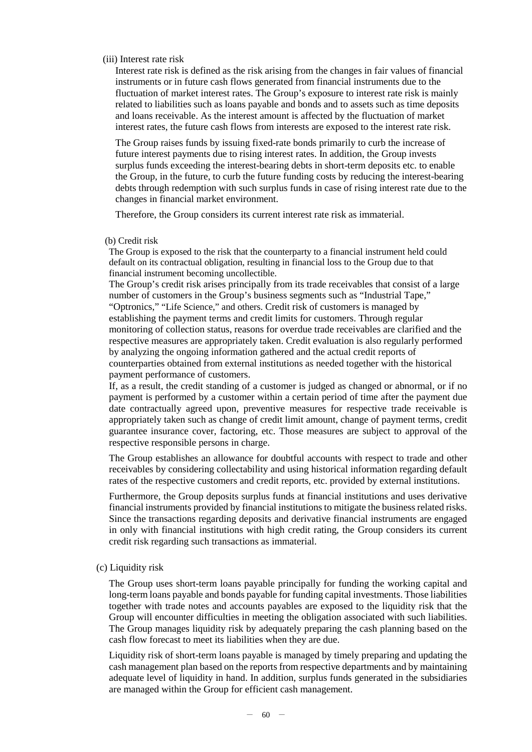#### (iii) Interest rate risk

Interest rate risk is defined as the risk arising from the changes in fair values of financial instruments or in future cash flows generated from financial instruments due to the fluctuation of market interest rates. The Group's exposure to interest rate risk is mainly related to liabilities such as loans payable and bonds and to assets such as time deposits and loans receivable. As the interest amount is affected by the fluctuation of market interest rates, the future cash flows from interests are exposed to the interest rate risk.

The Group raises funds by issuing fixed-rate bonds primarily to curb the increase of future interest payments due to rising interest rates. In addition, the Group invests surplus funds exceeding the interest-bearing debts in short-term deposits etc. to enable the Group, in the future, to curb the future funding costs by reducing the interest-bearing debts through redemption with such surplus funds in case of rising interest rate due to the changes in financial market environment.

Therefore, the Group considers its current interest rate risk as immaterial.

#### (b) Credit risk

The Group is exposed to the risk that the counterparty to a financial instrument held could default on its contractual obligation, resulting in financial loss to the Group due to that financial instrument becoming uncollectible.

The Group's credit risk arises principally from its trade receivables that consist of a large number of customers in the Group's business segments such as "Industrial Tape," "Optronics," "Life Science," and others. Credit risk of customers is managed by establishing the payment terms and credit limits for customers. Through regular monitoring of collection status, reasons for overdue trade receivables are clarified and the respective measures are appropriately taken. Credit evaluation is also regularly performed by analyzing the ongoing information gathered and the actual credit reports of counterparties obtained from external institutions as needed together with the historical payment performance of customers.

If, as a result, the credit standing of a customer is judged as changed or abnormal, or if no payment is performed by a customer within a certain period of time after the payment due date contractually agreed upon, preventive measures for respective trade receivable is appropriately taken such as change of credit limit amount, change of payment terms, credit guarantee insurance cover, factoring, etc. Those measures are subject to approval of the respective responsible persons in charge.

The Group establishes an allowance for doubtful accounts with respect to trade and other receivables by considering collectability and using historical information regarding default rates of the respective customers and credit reports, etc. provided by external institutions.

Furthermore, the Group deposits surplus funds at financial institutions and uses derivative financial instruments provided by financial institutions to mitigate the business related risks. Since the transactions regarding deposits and derivative financial instruments are engaged in only with financial institutions with high credit rating, the Group considers its current credit risk regarding such transactions as immaterial.

## (c) Liquidity risk

The Group uses short-term loans payable principally for funding the working capital and long-term loans payable and bonds payable for funding capital investments. Those liabilities together with trade notes and accounts payables are exposed to the liquidity risk that the Group will encounter difficulties in meeting the obligation associated with such liabilities. The Group manages liquidity risk by adequately preparing the cash planning based on the cash flow forecast to meet its liabilities when they are due.

Liquidity risk of short-term loans payable is managed by timely preparing and updating the cash management plan based on the reports from respective departments and by maintaining adequate level of liquidity in hand. In addition, surplus funds generated in the subsidiaries are managed within the Group for efficient cash management.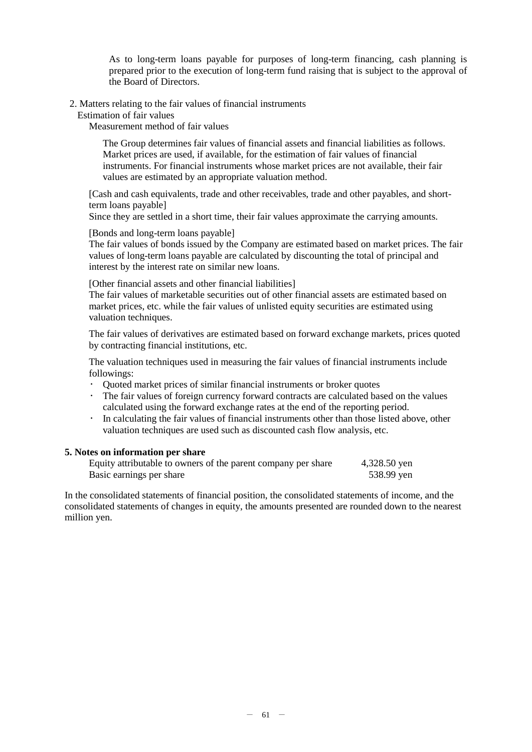As to long-term loans payable for purposes of long-term financing, cash planning is prepared prior to the execution of long-term fund raising that is subject to the approval of the Board of Directors.

2. Matters relating to the fair values of financial instruments

Estimation of fair values

Measurement method of fair values

The Group determines fair values of financial assets and financial liabilities as follows. Market prices are used, if available, for the estimation of fair values of financial instruments. For financial instruments whose market prices are not available, their fair values are estimated by an appropriate valuation method.

[Cash and cash equivalents, trade and other receivables, trade and other payables, and shortterm loans payable]

Since they are settled in a short time, their fair values approximate the carrying amounts.

[Bonds and long-term loans payable]

The fair values of bonds issued by the Company are estimated based on market prices. The fair values of long-term loans payable are calculated by discounting the total of principal and interest by the interest rate on similar new loans.

[Other financial assets and other financial liabilities]

The fair values of marketable securities out of other financial assets are estimated based on market prices, etc. while the fair values of unlisted equity securities are estimated using valuation techniques.

The fair values of derivatives are estimated based on forward exchange markets, prices quoted by contracting financial institutions, etc.

The valuation techniques used in measuring the fair values of financial instruments include followings:

- Quoted market prices of similar financial instruments or broker quotes
- The fair values of foreign currency forward contracts are calculated based on the values calculated using the forward exchange rates at the end of the reporting period.
- In calculating the fair values of financial instruments other than those listed above, other valuation techniques are used such as discounted cash flow analysis, etc.

#### **5. Notes on information per share**

| Equity attributable to owners of the parent company per share | 4,328.50 yen |
|---------------------------------------------------------------|--------------|
| Basic earnings per share                                      | 538.99 yen   |

In the consolidated statements of financial position, the consolidated statements of income, and the consolidated statements of changes in equity, the amounts presented are rounded down to the nearest million yen.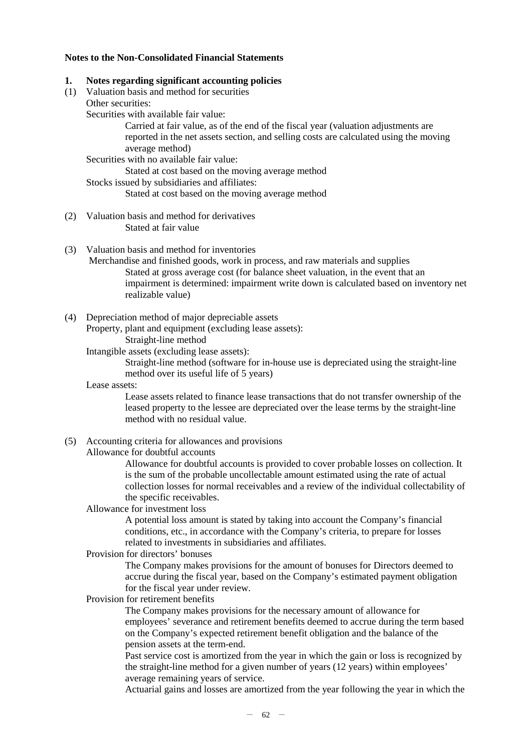#### **Notes to the Non-Consolidated Financial Statements**

#### **1. Notes regarding significant accounting policies**

- (1) Valuation basis and method for securities
- Other securities: Securities with available fair value:

Carried at fair value, as of the end of the fiscal year (valuation adjustments are reported in the net assets section, and selling costs are calculated using the moving average method)

Securities with no available fair value:

Stated at cost based on the moving average method

Stocks issued by subsidiaries and affiliates:

Stated at cost based on the moving average method

- (2) Valuation basis and method for derivatives Stated at fair value
- (3) Valuation basis and method for inventories
	- Merchandise and finished goods, work in process, and raw materials and supplies Stated at gross average cost (for balance sheet valuation, in the event that an impairment is determined: impairment write down is calculated based on inventory net realizable value)
- (4) Depreciation method of major depreciable assets

Property, plant and equipment (excluding lease assets): Straight-line method

Intangible assets (excluding lease assets):

Straight-line method (software for in-house use is depreciated using the straight-line method over its useful life of 5 years)

Lease assets:

Lease assets related to finance lease transactions that do not transfer ownership of the leased property to the lessee are depreciated over the lease terms by the straight-line method with no residual value.

(5) Accounting criteria for allowances and provisions

Allowance for doubtful accounts

Allowance for doubtful accounts is provided to cover probable losses on collection. It is the sum of the probable uncollectable amount estimated using the rate of actual collection losses for normal receivables and a review of the individual collectability of the specific receivables.

Allowance for investment loss

A potential loss amount is stated by taking into account the Company's financial conditions, etc., in accordance with the Company's criteria, to prepare for losses related to investments in subsidiaries and affiliates.

#### Provision for directors' bonuses

The Company makes provisions for the amount of bonuses for Directors deemed to accrue during the fiscal year, based on the Company's estimated payment obligation for the fiscal year under review.

Provision for retirement benefits

The Company makes provisions for the necessary amount of allowance for employees' severance and retirement benefits deemed to accrue during the term based on the Company's expected retirement benefit obligation and the balance of the pension assets at the term-end.

Past service cost is amortized from the year in which the gain or loss is recognized by the straight-line method for a given number of years (12 years) within employees' average remaining years of service.

Actuarial gains and losses are amortized from the year following the year in which the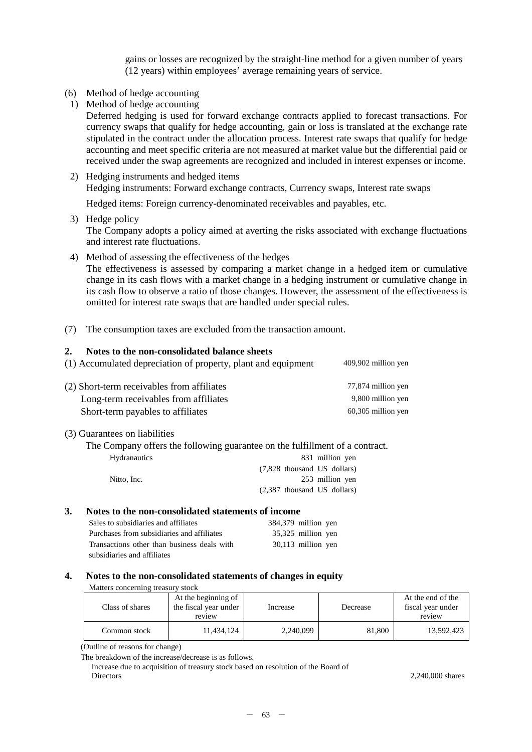gains or losses are recognized by the straight-line method for a given number of years (12 years) within employees' average remaining years of service.

- (6) Method of hedge accounting
	- 1) Method of hedge accounting

Deferred hedging is used for forward exchange contracts applied to forecast transactions. For currency swaps that qualify for hedge accounting, gain or loss is translated at the exchange rate stipulated in the contract under the allocation process. Interest rate swaps that qualify for hedge accounting and meet specific criteria are not measured at market value but the differential paid or received under the swap agreements are recognized and included in interest expenses or income.

2) Hedging instruments and hedged items Hedging instruments: Forward exchange contracts, Currency swaps, Interest rate swaps

Hedged items: Foreign currency-denominated receivables and payables, etc.

3) Hedge policy

The Company adopts a policy aimed at averting the risks associated with exchange fluctuations and interest rate fluctuations.

- 4) Method of assessing the effectiveness of the hedges The effectiveness is assessed by comparing a market change in a hedged item or cumulative change in its cash flows with a market change in a hedging instrument or cumulative change in its cash flow to observe a ratio of those changes. However, the assessment of the effectiveness is omitted for interest rate swaps that are handled under special rules.
- (7) The consumption taxes are excluded from the transaction amount.

#### **2. Notes to the non-consolidated balance sheets**

| (1) Accumulated depreciation of property, plant and equipment | 409,902 million yen |
|---------------------------------------------------------------|---------------------|
|---------------------------------------------------------------|---------------------|

| (2) Short-term receivables from affiliates | 77,874 million yen   |
|--------------------------------------------|----------------------|
| Long-term receivables from affiliates      | 9,800 million yen    |
| Short-term payables to affiliates          | $60,305$ million yen |

### (3) Guarantees on liabilities

The Company offers the following guarantee on the fulfillment of a contract.

| <b>Hydranautics</b> | 831 million yen                |
|---------------------|--------------------------------|
|                     | $(7,828)$ thousand US dollars) |
| Nitto, Inc.         | 253 million yen                |
|                     | $(2,387)$ thousand US dollars) |
|                     |                                |

#### **3. Notes to the non-consolidated statements of income**

| Sales to subsidiaries and affiliates        | 384,379 million yen |
|---------------------------------------------|---------------------|
| Purchases from subsidiaries and affiliates  | 35,325 million yen  |
| Transactions other than business deals with | 30,113 million yen  |
| subsidiaries and affiliates                 |                     |

#### **4. Notes to the non-consolidated statements of changes in equity**

| Matters concerning treasury stock |                                                        |           |          |                                                  |
|-----------------------------------|--------------------------------------------------------|-----------|----------|--------------------------------------------------|
| Class of shares                   | At the beginning of<br>the fiscal year under<br>review | Increase  | Decrease | At the end of the<br>fiscal year under<br>review |
| Common stock                      | 11.434.124                                             | 2,240,099 | 81,800   | 13.592.423                                       |

(Outline of reasons for change)

Increase due to acquisition of treasury stock based on resolution of the Board of Directors 2,240,000 shares

The breakdown of the increase/decrease is as follows.